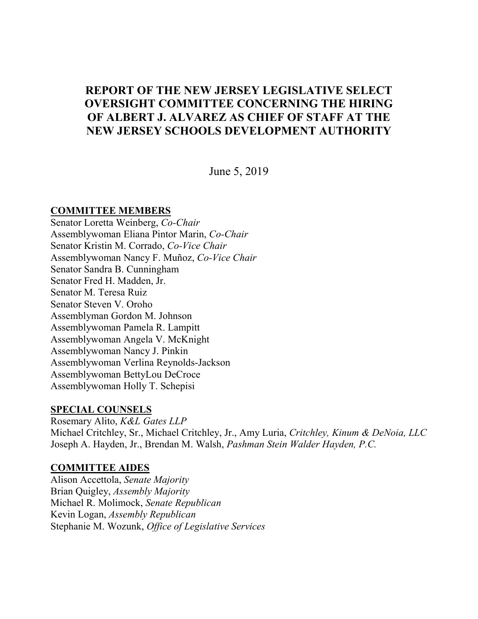# **REPORT OF THE NEW JERSEY LEGISLATIVE SELECT OVERSIGHT COMMITTEE CONCERNING THE HIRING OF ALBERT J. ALVAREZ AS CHIEF OF STAFF AT THE NEW JERSEY SCHOOLS DEVELOPMENT AUTHORITY**

June 5, 2019

#### **COMMITTEE MEMBERS**

Senator Loretta Weinberg, *Co-Chair* Assemblywoman Eliana Pintor Marin, *Co-Chair* Senator Kristin M. Corrado, *Co-Vice Chair* Assemblywoman Nancy F. Muñoz, *Co-Vice Chair* Senator Sandra B. Cunningham Senator Fred H. Madden, Jr. Senator M. Teresa Ruiz Senator Steven V. Oroho Assemblyman Gordon M. Johnson Assemblywoman Pamela R. Lampitt Assemblywoman Angela V. McKnight Assemblywoman Nancy J. Pinkin Assemblywoman Verlina Reynolds-Jackson Assemblywoman BettyLou DeCroce Assemblywoman Holly T. Schepisi

## **SPECIAL COUNSELS**

Rosemary Alito, *K&L Gates LLP* Michael Critchley, Sr., Michael Critchley, Jr., Amy Luria, *Critchley, Kinum & DeNoia, LLC* Joseph A. Hayden, Jr., Brendan M. Walsh, *Pashman Stein Walder Hayden, P.C.*

## **COMMITTEE AIDES**

Alison Accettola, *Senate Majority* Brian Quigley, *Assembly Majority* Michael R. Molimock, *Senate Republican* Kevin Logan, *Assembly Republican* Stephanie M. Wozunk, *Office of Legislative Services*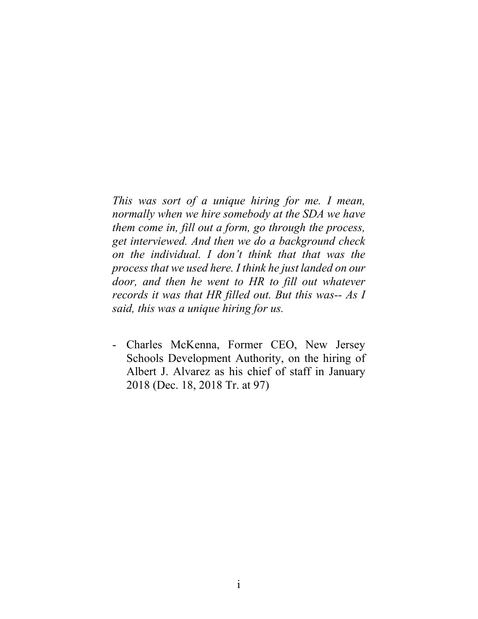*This was sort of a unique hiring for me. I mean, normally when we hire somebody at the SDA we have them come in, fill out a form, go through the process, get interviewed. And then we do a background check on the individual. I don't think that that was the process that we used here. I think he just landed on our door, and then he went to HR to fill out whatever records it was that HR filled out. But this was-- As I said, this was a unique hiring for us.*

- Charles McKenna, Former CEO, New Jersey Schools Development Authority, on the hiring of Albert J. Alvarez as his chief of staff in January 2018 (Dec. 18, 2018 Tr. at 97)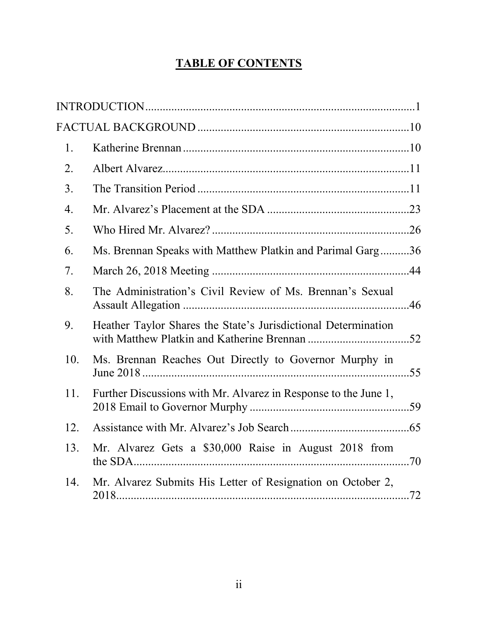# **TABLE OF CONTENTS**

| 1.  |                                                                 |  |
|-----|-----------------------------------------------------------------|--|
| 2.  |                                                                 |  |
| 3.  |                                                                 |  |
| 4.  |                                                                 |  |
| 5.  |                                                                 |  |
| 6.  | Ms. Brennan Speaks with Matthew Platkin and Parimal Garg36      |  |
| 7.  |                                                                 |  |
| 8.  | The Administration's Civil Review of Ms. Brennan's Sexual       |  |
| 9.  | Heather Taylor Shares the State's Jurisdictional Determination  |  |
| 10. | Ms. Brennan Reaches Out Directly to Governor Murphy in          |  |
| 11. | Further Discussions with Mr. Alvarez in Response to the June 1, |  |
| 12. |                                                                 |  |
| 13. | Mr. Alvarez Gets a \$30,000 Raise in August 2018 from           |  |
| 14. | Mr. Alvarez Submits His Letter of Resignation on October 2,     |  |
|     |                                                                 |  |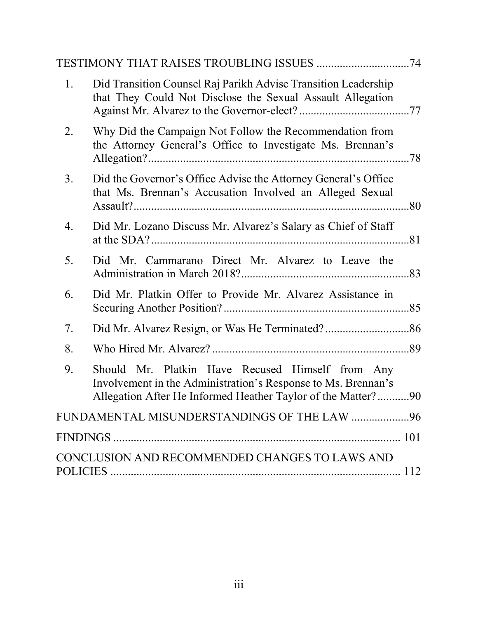| 1. | Did Transition Counsel Raj Parikh Advise Transition Leadership<br>that They Could Not Disclose the Sexual Assault Allegation                                                      |  |
|----|-----------------------------------------------------------------------------------------------------------------------------------------------------------------------------------|--|
| 2. | Why Did the Campaign Not Follow the Recommendation from<br>the Attorney General's Office to Investigate Ms. Brennan's                                                             |  |
| 3. | Did the Governor's Office Advise the Attorney General's Office<br>that Ms. Brennan's Accusation Involved an Alleged Sexual                                                        |  |
| 4. | Did Mr. Lozano Discuss Mr. Alvarez's Salary as Chief of Staff                                                                                                                     |  |
| 5. | Did Mr. Cammarano Direct Mr. Alvarez to Leave the                                                                                                                                 |  |
| 6. | Did Mr. Platkin Offer to Provide Mr. Alvarez Assistance in                                                                                                                        |  |
| 7. |                                                                                                                                                                                   |  |
| 8. |                                                                                                                                                                                   |  |
| 9. | Should Mr. Platkin Have Recused Himself from Any<br>Involvement in the Administration's Response to Ms. Brennan's<br>Allegation After He Informed Heather Taylor of the Matter?90 |  |
|    | FUNDAMENTAL MISUNDERSTANDINGS OF THE LAW 96                                                                                                                                       |  |
|    |                                                                                                                                                                                   |  |
|    | CONCLUSION AND RECOMMENDED CHANGES TO LAWS AND                                                                                                                                    |  |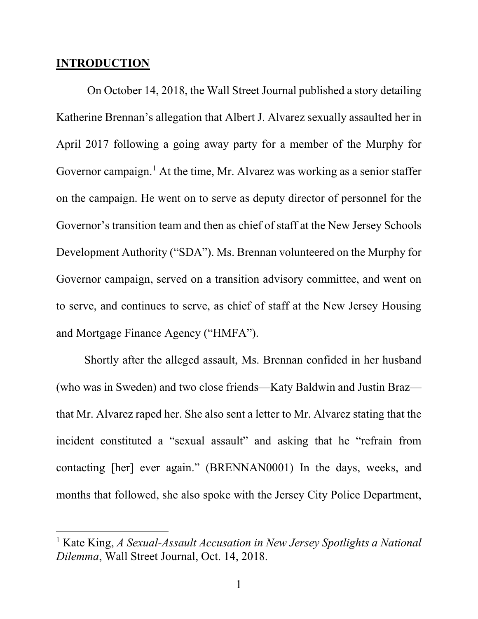#### <span id="page-4-0"></span>**INTRODUCTION**

l

On October 14, 2018, the Wall Street Journal published a story detailing Katherine Brennan's allegation that Albert J. Alvarez sexually assaulted her in April 2017 following a going away party for a member of the Murphy for Governor campaign.<sup>[1](#page-4-1)</sup> At the time, Mr. Alvarez was working as a senior staffer on the campaign. He went on to serve as deputy director of personnel for the Governor's transition team and then as chief of staff at the New Jersey Schools Development Authority ("SDA"). Ms. Brennan volunteered on the Murphy for Governor campaign, served on a transition advisory committee, and went on to serve, and continues to serve, as chief of staff at the New Jersey Housing and Mortgage Finance Agency ("HMFA").

Shortly after the alleged assault, Ms. Brennan confided in her husband (who was in Sweden) and two close friends—Katy Baldwin and Justin Braz that Mr. Alvarez raped her. She also sent a letter to Mr. Alvarez stating that the incident constituted a "sexual assault" and asking that he "refrain from contacting [her] ever again." (BRENNAN0001) In the days, weeks, and months that followed, she also spoke with the Jersey City Police Department,

<span id="page-4-1"></span><sup>1</sup> Kate King, *A Sexual-Assault Accusation in New Jersey Spotlights a National Dilemma*, Wall Street Journal, Oct. 14, 2018.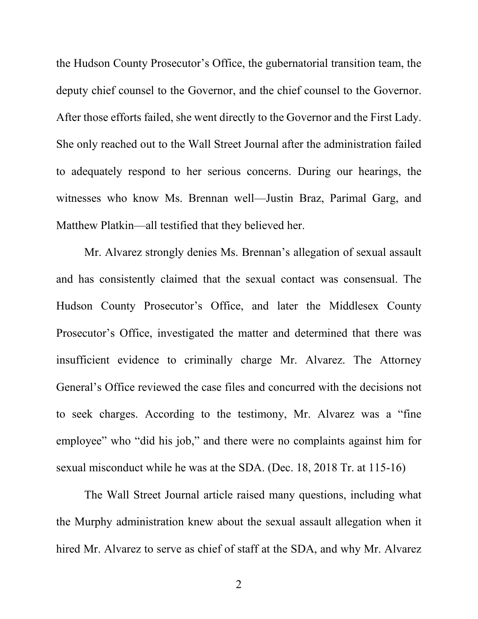the Hudson County Prosecutor's Office, the gubernatorial transition team, the deputy chief counsel to the Governor, and the chief counsel to the Governor. After those efforts failed, she went directly to the Governor and the First Lady. She only reached out to the Wall Street Journal after the administration failed to adequately respond to her serious concerns. During our hearings, the witnesses who know Ms. Brennan well—Justin Braz, Parimal Garg, and Matthew Platkin—all testified that they believed her.

Mr. Alvarez strongly denies Ms. Brennan's allegation of sexual assault and has consistently claimed that the sexual contact was consensual. The Hudson County Prosecutor's Office, and later the Middlesex County Prosecutor's Office, investigated the matter and determined that there was insufficient evidence to criminally charge Mr. Alvarez. The Attorney General's Office reviewed the case files and concurred with the decisions not to seek charges. According to the testimony, Mr. Alvarez was a "fine employee" who "did his job," and there were no complaints against him for sexual misconduct while he was at the SDA. (Dec. 18, 2018 Tr. at 115-16)

The Wall Street Journal article raised many questions, including what the Murphy administration knew about the sexual assault allegation when it hired Mr. Alvarez to serve as chief of staff at the SDA, and why Mr. Alvarez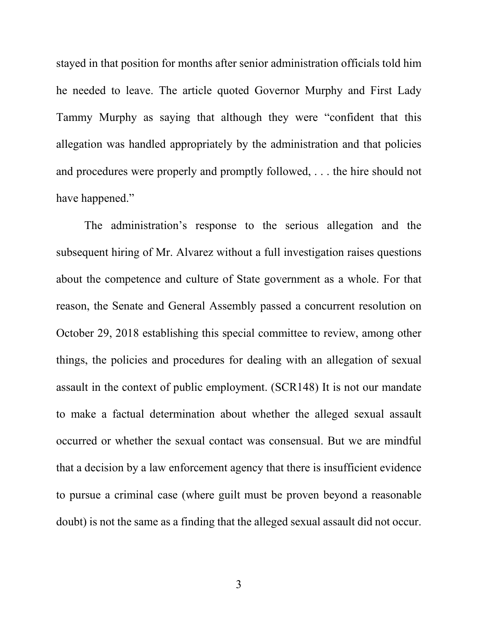stayed in that position for months after senior administration officials told him he needed to leave. The article quoted Governor Murphy and First Lady Tammy Murphy as saying that although they were "confident that this allegation was handled appropriately by the administration and that policies and procedures were properly and promptly followed, . . . the hire should not have happened."

The administration's response to the serious allegation and the subsequent hiring of Mr. Alvarez without a full investigation raises questions about the competence and culture of State government as a whole. For that reason, the Senate and General Assembly passed a concurrent resolution on October 29, 2018 establishing this special committee to review, among other things, the policies and procedures for dealing with an allegation of sexual assault in the context of public employment. (SCR148) It is not our mandate to make a factual determination about whether the alleged sexual assault occurred or whether the sexual contact was consensual. But we are mindful that a decision by a law enforcement agency that there is insufficient evidence to pursue a criminal case (where guilt must be proven beyond a reasonable doubt) is not the same as a finding that the alleged sexual assault did not occur.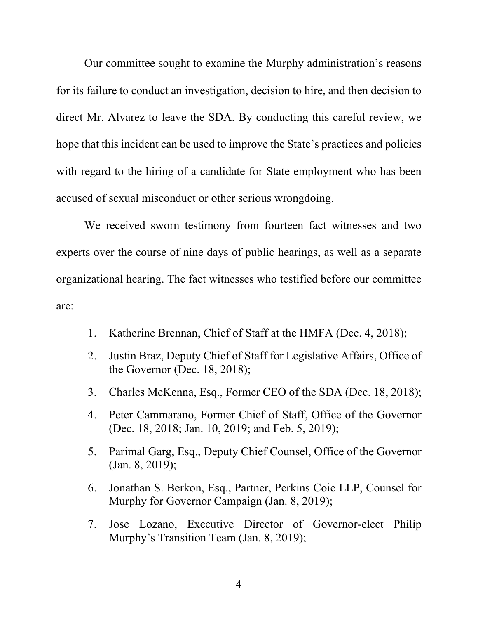Our committee sought to examine the Murphy administration's reasons for its failure to conduct an investigation, decision to hire, and then decision to direct Mr. Alvarez to leave the SDA. By conducting this careful review, we hope that this incident can be used to improve the State's practices and policies with regard to the hiring of a candidate for State employment who has been accused of sexual misconduct or other serious wrongdoing.

We received sworn testimony from fourteen fact witnesses and two experts over the course of nine days of public hearings, as well as a separate organizational hearing. The fact witnesses who testified before our committee are:

- 1. Katherine Brennan, Chief of Staff at the HMFA (Dec. 4, 2018);
- 2. Justin Braz, Deputy Chief of Staff for Legislative Affairs, Office of the Governor (Dec. 18, 2018);
- 3. Charles McKenna, Esq., Former CEO of the SDA (Dec. 18, 2018);
- 4. Peter Cammarano, Former Chief of Staff, Office of the Governor (Dec. 18, 2018; Jan. 10, 2019; and Feb. 5, 2019);
- 5. Parimal Garg, Esq., Deputy Chief Counsel, Office of the Governor (Jan. 8, 2019);
- 6. Jonathan S. Berkon, Esq., Partner, Perkins Coie LLP, Counsel for Murphy for Governor Campaign (Jan. 8, 2019);
- 7. Jose Lozano, Executive Director of Governor-elect Philip Murphy's Transition Team (Jan. 8, 2019);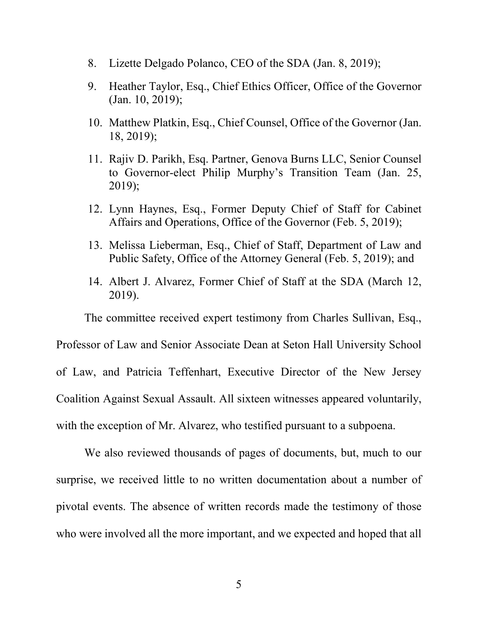- 8. Lizette Delgado Polanco, CEO of the SDA (Jan. 8, 2019);
- 9. Heather Taylor, Esq., Chief Ethics Officer, Office of the Governor (Jan. 10, 2019);
- 10. Matthew Platkin, Esq., Chief Counsel, Office of the Governor (Jan. 18, 2019);
- 11. Rajiv D. Parikh, Esq. Partner, Genova Burns LLC, Senior Counsel to Governor-elect Philip Murphy's Transition Team (Jan. 25, 2019);
- 12. Lynn Haynes, Esq., Former Deputy Chief of Staff for Cabinet Affairs and Operations, Office of the Governor (Feb. 5, 2019);
- 13. Melissa Lieberman, Esq., Chief of Staff, Department of Law and Public Safety, Office of the Attorney General (Feb. 5, 2019); and
- 14. Albert J. Alvarez, Former Chief of Staff at the SDA (March 12, 2019).

The committee received expert testimony from Charles Sullivan, Esq.,

Professor of Law and Senior Associate Dean at Seton Hall University School of Law, and Patricia Teffenhart, Executive Director of the New Jersey Coalition Against Sexual Assault. All sixteen witnesses appeared voluntarily, with the exception of Mr. Alvarez, who testified pursuant to a subpoena.

We also reviewed thousands of pages of documents, but, much to our surprise, we received little to no written documentation about a number of pivotal events. The absence of written records made the testimony of those who were involved all the more important, and we expected and hoped that all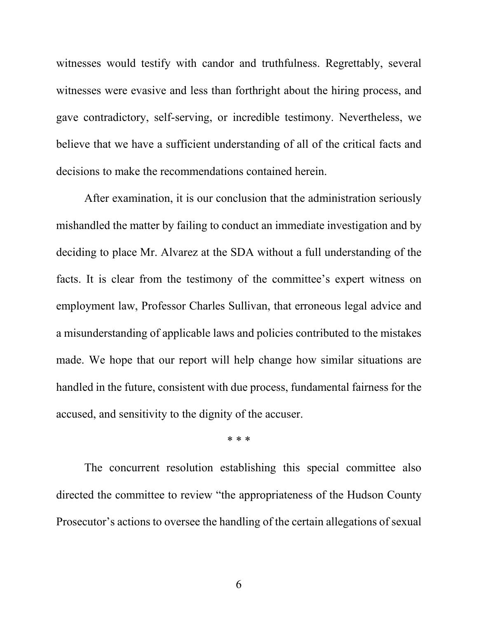witnesses would testify with candor and truthfulness. Regrettably, several witnesses were evasive and less than forthright about the hiring process, and gave contradictory, self-serving, or incredible testimony. Nevertheless, we believe that we have a sufficient understanding of all of the critical facts and decisions to make the recommendations contained herein.

After examination, it is our conclusion that the administration seriously mishandled the matter by failing to conduct an immediate investigation and by deciding to place Mr. Alvarez at the SDA without a full understanding of the facts. It is clear from the testimony of the committee's expert witness on employment law, Professor Charles Sullivan, that erroneous legal advice and a misunderstanding of applicable laws and policies contributed to the mistakes made. We hope that our report will help change how similar situations are handled in the future, consistent with due process, fundamental fairness for the accused, and sensitivity to the dignity of the accuser.

\* \* \*

The concurrent resolution establishing this special committee also directed the committee to review "the appropriateness of the Hudson County Prosecutor's actions to oversee the handling of the certain allegations of sexual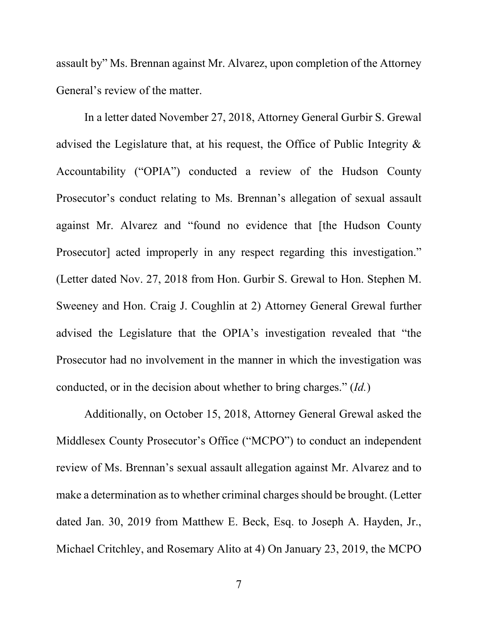assault by" Ms. Brennan against Mr. Alvarez, upon completion of the Attorney General's review of the matter.

In a letter dated November 27, 2018, Attorney General Gurbir S. Grewal advised the Legislature that, at his request, the Office of Public Integrity & Accountability ("OPIA") conducted a review of the Hudson County Prosecutor's conduct relating to Ms. Brennan's allegation of sexual assault against Mr. Alvarez and "found no evidence that [the Hudson County Prosecutor] acted improperly in any respect regarding this investigation." (Letter dated Nov. 27, 2018 from Hon. Gurbir S. Grewal to Hon. Stephen M. Sweeney and Hon. Craig J. Coughlin at 2) Attorney General Grewal further advised the Legislature that the OPIA's investigation revealed that "the Prosecutor had no involvement in the manner in which the investigation was conducted, or in the decision about whether to bring charges." (*Id.*)

Additionally, on October 15, 2018, Attorney General Grewal asked the Middlesex County Prosecutor's Office ("MCPO") to conduct an independent review of Ms. Brennan's sexual assault allegation against Mr. Alvarez and to make a determination as to whether criminal charges should be brought. (Letter dated Jan. 30, 2019 from Matthew E. Beck, Esq. to Joseph A. Hayden, Jr., Michael Critchley, and Rosemary Alito at 4) On January 23, 2019, the MCPO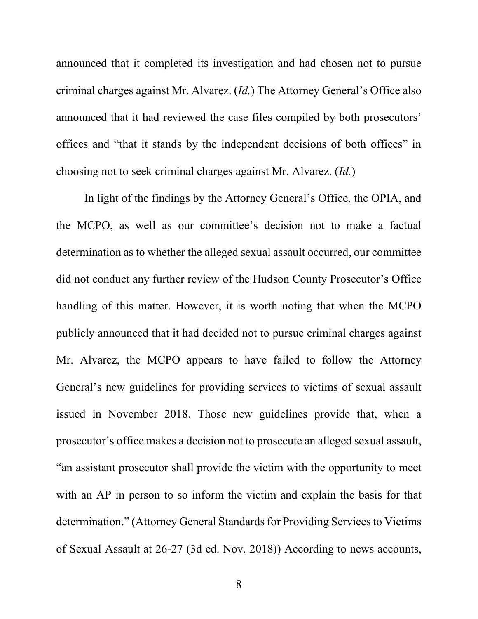announced that it completed its investigation and had chosen not to pursue criminal charges against Mr. Alvarez. (*Id.*) The Attorney General's Office also announced that it had reviewed the case files compiled by both prosecutors' offices and "that it stands by the independent decisions of both offices" in choosing not to seek criminal charges against Mr. Alvarez. (*Id.*)

In light of the findings by the Attorney General's Office, the OPIA, and the MCPO, as well as our committee's decision not to make a factual determination as to whether the alleged sexual assault occurred, our committee did not conduct any further review of the Hudson County Prosecutor's Office handling of this matter. However, it is worth noting that when the MCPO publicly announced that it had decided not to pursue criminal charges against Mr. Alvarez, the MCPO appears to have failed to follow the Attorney General's new guidelines for providing services to victims of sexual assault issued in November 2018. Those new guidelines provide that, when a prosecutor's office makes a decision not to prosecute an alleged sexual assault, "an assistant prosecutor shall provide the victim with the opportunity to meet with an AP in person to so inform the victim and explain the basis for that determination." (Attorney General Standards for Providing Services to Victims of Sexual Assault at 26-27 (3d ed. Nov. 2018)) According to news accounts,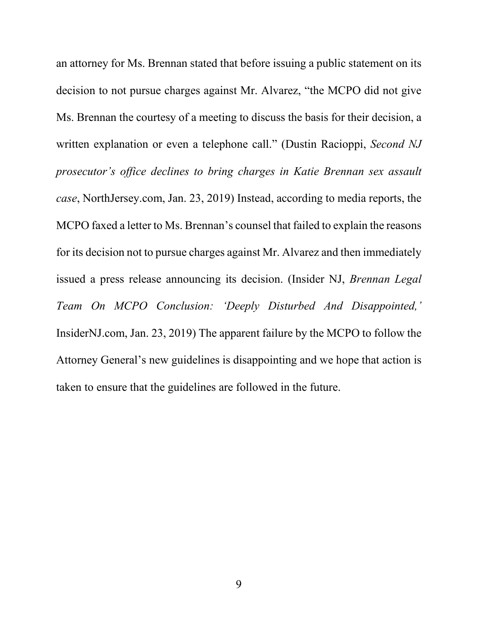an attorney for Ms. Brennan stated that before issuing a public statement on its decision to not pursue charges against Mr. Alvarez, "the MCPO did not give Ms. Brennan the courtesy of a meeting to discuss the basis for their decision, a written explanation or even a telephone call." (Dustin Racioppi, *Second NJ prosecutor's office declines to bring charges in Katie Brennan sex assault case*, NorthJersey.com, Jan. 23, 2019) Instead, according to media reports, the MCPO faxed a letter to Ms. Brennan's counsel that failed to explain the reasons for its decision not to pursue charges against Mr. Alvarez and then immediately issued a press release announcing its decision. (Insider NJ, *Brennan Legal Team On MCPO Conclusion: 'Deeply Disturbed And Disappointed,'* InsiderNJ.com, Jan. 23, 2019) The apparent failure by the MCPO to follow the Attorney General's new guidelines is disappointing and we hope that action is taken to ensure that the guidelines are followed in the future.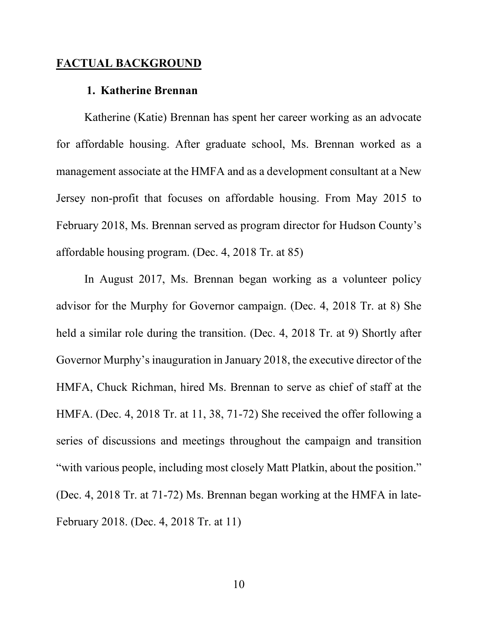### <span id="page-13-1"></span><span id="page-13-0"></span>**FACTUAL BACKGROUND**

#### **1. Katherine Brennan**

Katherine (Katie) Brennan has spent her career working as an advocate for affordable housing. After graduate school, Ms. Brennan worked as a management associate at the HMFA and as a development consultant at a New Jersey non-profit that focuses on affordable housing. From May 2015 to February 2018, Ms. Brennan served as program director for Hudson County's affordable housing program. (Dec. 4, 2018 Tr. at 85)

In August 2017, Ms. Brennan began working as a volunteer policy advisor for the Murphy for Governor campaign. (Dec. 4, 2018 Tr. at 8) She held a similar role during the transition. (Dec. 4, 2018 Tr. at 9) Shortly after Governor Murphy's inauguration in January 2018, the executive director of the HMFA, Chuck Richman, hired Ms. Brennan to serve as chief of staff at the HMFA. (Dec. 4, 2018 Tr. at 11, 38, 71-72) She received the offer following a series of discussions and meetings throughout the campaign and transition "with various people, including most closely Matt Platkin, about the position." (Dec. 4, 2018 Tr. at 71-72) Ms. Brennan began working at the HMFA in late-February 2018. (Dec. 4, 2018 Tr. at 11)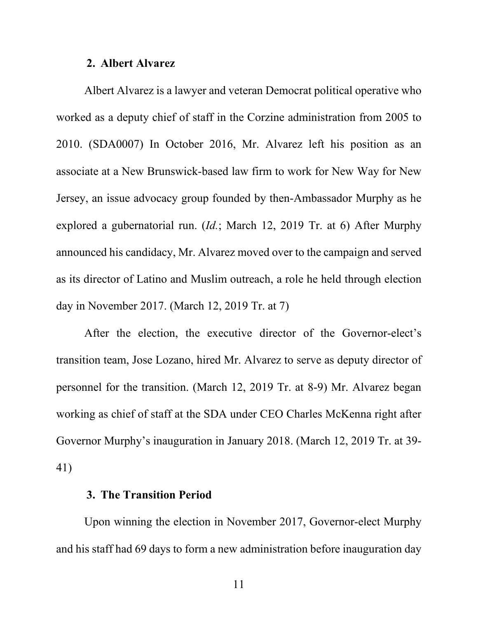#### **2. Albert Alvarez**

<span id="page-14-0"></span>Albert Alvarez is a lawyer and veteran Democrat political operative who worked as a deputy chief of staff in the Corzine administration from 2005 to 2010. (SDA0007) In October 2016, Mr. Alvarez left his position as an associate at a New Brunswick-based law firm to work for New Way for New Jersey, an issue advocacy group founded by then-Ambassador Murphy as he explored a gubernatorial run. (*Id.*; March 12, 2019 Tr. at 6) After Murphy announced his candidacy, Mr. Alvarez moved over to the campaign and served as its director of Latino and Muslim outreach, a role he held through election day in November 2017. (March 12, 2019 Tr. at 7)

After the election, the executive director of the Governor-elect's transition team, Jose Lozano, hired Mr. Alvarez to serve as deputy director of personnel for the transition. (March 12, 2019 Tr. at 8-9) Mr. Alvarez began working as chief of staff at the SDA under CEO Charles McKenna right after Governor Murphy's inauguration in January 2018. (March 12, 2019 Tr. at 39- 41)

#### **3. The Transition Period**

<span id="page-14-1"></span>Upon winning the election in November 2017, Governor-elect Murphy and his staff had 69 days to form a new administration before inauguration day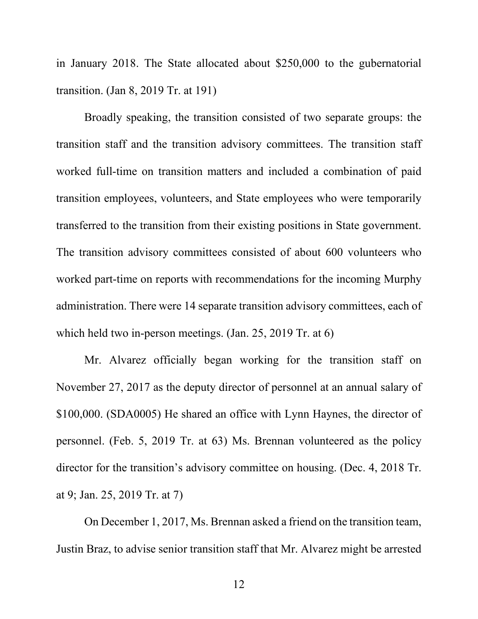in January 2018. The State allocated about \$250,000 to the gubernatorial transition. (Jan 8, 2019 Tr. at 191)

Broadly speaking, the transition consisted of two separate groups: the transition staff and the transition advisory committees. The transition staff worked full-time on transition matters and included a combination of paid transition employees, volunteers, and State employees who were temporarily transferred to the transition from their existing positions in State government. The transition advisory committees consisted of about 600 volunteers who worked part-time on reports with recommendations for the incoming Murphy administration. There were 14 separate transition advisory committees, each of which held two in-person meetings. (Jan. 25, 2019 Tr. at 6)

Mr. Alvarez officially began working for the transition staff on November 27, 2017 as the deputy director of personnel at an annual salary of \$100,000. (SDA0005) He shared an office with Lynn Haynes, the director of personnel. (Feb. 5, 2019 Tr. at 63) Ms. Brennan volunteered as the policy director for the transition's advisory committee on housing. (Dec. 4, 2018 Tr. at 9; Jan. 25, 2019 Tr. at 7)

On December 1, 2017, Ms. Brennan asked a friend on the transition team, Justin Braz, to advise senior transition staff that Mr. Alvarez might be arrested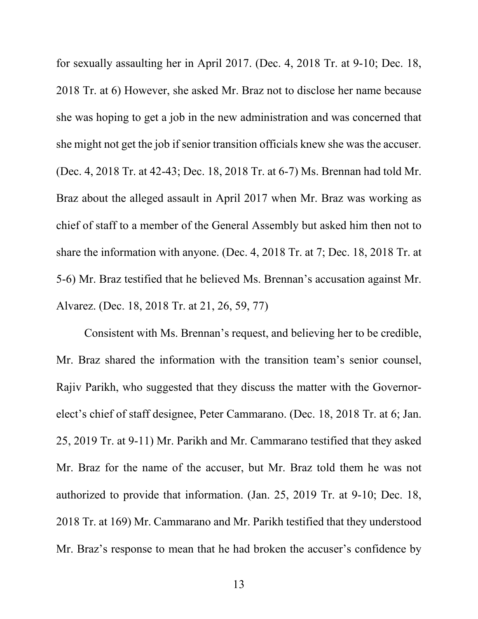for sexually assaulting her in April 2017. (Dec. 4, 2018 Tr. at 9-10; Dec. 18, 2018 Tr. at 6) However, she asked Mr. Braz not to disclose her name because she was hoping to get a job in the new administration and was concerned that she might not get the job if senior transition officials knew she was the accuser. (Dec. 4, 2018 Tr. at 42-43; Dec. 18, 2018 Tr. at 6-7) Ms. Brennan had told Mr. Braz about the alleged assault in April 2017 when Mr. Braz was working as chief of staff to a member of the General Assembly but asked him then not to share the information with anyone. (Dec. 4, 2018 Tr. at 7; Dec. 18, 2018 Tr. at 5-6) Mr. Braz testified that he believed Ms. Brennan's accusation against Mr. Alvarez. (Dec. 18, 2018 Tr. at 21, 26, 59, 77)

Consistent with Ms. Brennan's request, and believing her to be credible, Mr. Braz shared the information with the transition team's senior counsel, Rajiv Parikh, who suggested that they discuss the matter with the Governorelect's chief of staff designee, Peter Cammarano. (Dec. 18, 2018 Tr. at 6; Jan. 25, 2019 Tr. at 9-11) Mr. Parikh and Mr. Cammarano testified that they asked Mr. Braz for the name of the accuser, but Mr. Braz told them he was not authorized to provide that information. (Jan. 25, 2019 Tr. at 9-10; Dec. 18, 2018 Tr. at 169) Mr. Cammarano and Mr. Parikh testified that they understood Mr. Braz's response to mean that he had broken the accuser's confidence by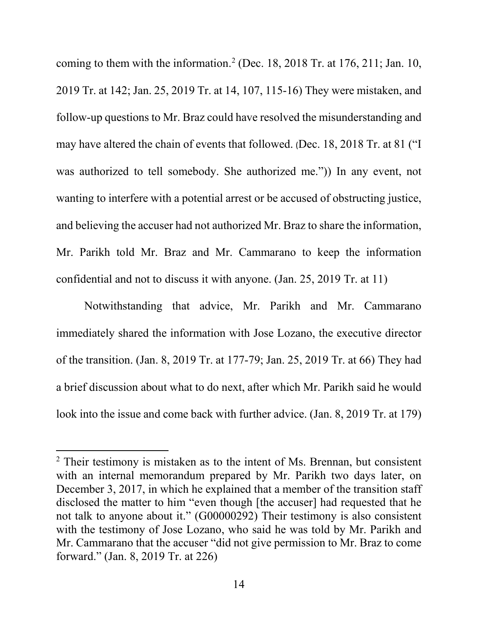coming to them with the information.<sup>[2](#page-17-0)</sup> (Dec. 18, 2018 Tr. at 176, 211; Jan. 10, 2019 Tr. at 142; Jan. 25, 2019 Tr. at 14, 107, 115-16) They were mistaken, and follow-up questions to Mr. Braz could have resolved the misunderstanding and may have altered the chain of events that followed. (Dec. 18, 2018 Tr. at 81 ("I was authorized to tell somebody. She authorized me.")) In any event, not wanting to interfere with a potential arrest or be accused of obstructing justice, and believing the accuser had not authorized Mr. Braz to share the information, Mr. Parikh told Mr. Braz and Mr. Cammarano to keep the information confidential and not to discuss it with anyone. (Jan. 25, 2019 Tr. at 11)

Notwithstanding that advice, Mr. Parikh and Mr. Cammarano immediately shared the information with Jose Lozano, the executive director of the transition. (Jan. 8, 2019 Tr. at 177-79; Jan. 25, 2019 Tr. at 66) They had a brief discussion about what to do next, after which Mr. Parikh said he would look into the issue and come back with further advice. (Jan. 8, 2019 Tr. at 179)

 $\overline{a}$ 

<span id="page-17-0"></span><sup>&</sup>lt;sup>2</sup> Their testimony is mistaken as to the intent of Ms. Brennan, but consistent with an internal memorandum prepared by Mr. Parikh two days later, on December 3, 2017, in which he explained that a member of the transition staff disclosed the matter to him "even though [the accuser] had requested that he not talk to anyone about it." (G00000292) Their testimony is also consistent with the testimony of Jose Lozano, who said he was told by Mr. Parikh and Mr. Cammarano that the accuser "did not give permission to Mr. Braz to come forward." (Jan. 8, 2019 Tr. at 226)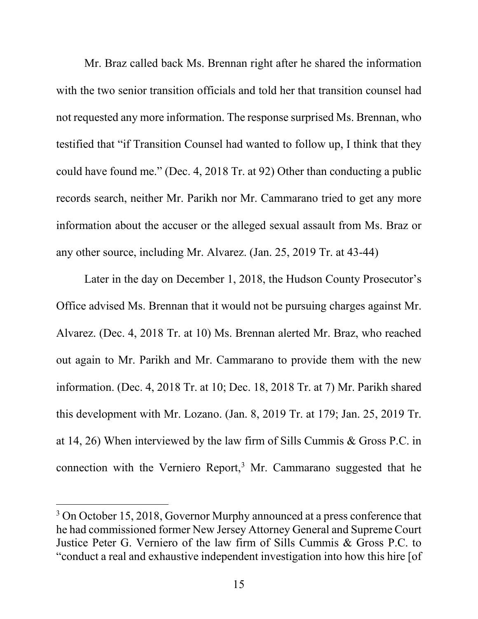Mr. Braz called back Ms. Brennan right after he shared the information with the two senior transition officials and told her that transition counsel had not requested any more information. The response surprised Ms. Brennan, who testified that "if Transition Counsel had wanted to follow up, I think that they could have found me." (Dec. 4, 2018 Tr. at 92) Other than conducting a public records search, neither Mr. Parikh nor Mr. Cammarano tried to get any more information about the accuser or the alleged sexual assault from Ms. Braz or any other source, including Mr. Alvarez. (Jan. 25, 2019 Tr. at 43-44)

Later in the day on December 1, 2018, the Hudson County Prosecutor's Office advised Ms. Brennan that it would not be pursuing charges against Mr. Alvarez. (Dec. 4, 2018 Tr. at 10) Ms. Brennan alerted Mr. Braz, who reached out again to Mr. Parikh and Mr. Cammarano to provide them with the new information. (Dec. 4, 2018 Tr. at 10; Dec. 18, 2018 Tr. at 7) Mr. Parikh shared this development with Mr. Lozano. (Jan. 8, 2019 Tr. at 179; Jan. 25, 2019 Tr. at 14, 26) When interviewed by the law firm of Sills Cummis & Gross P.C. in connection with the Verniero Report,<sup>[3](#page-18-0)</sup> Mr. Cammarano suggested that he

 $\overline{a}$ 

<span id="page-18-0"></span><sup>&</sup>lt;sup>3</sup> On October 15, 2018, Governor Murphy announced at a press conference that he had commissioned former New Jersey Attorney General and Supreme Court Justice Peter G. Verniero of the law firm of Sills Cummis & Gross P.C. to "conduct a real and exhaustive independent investigation into how this hire [of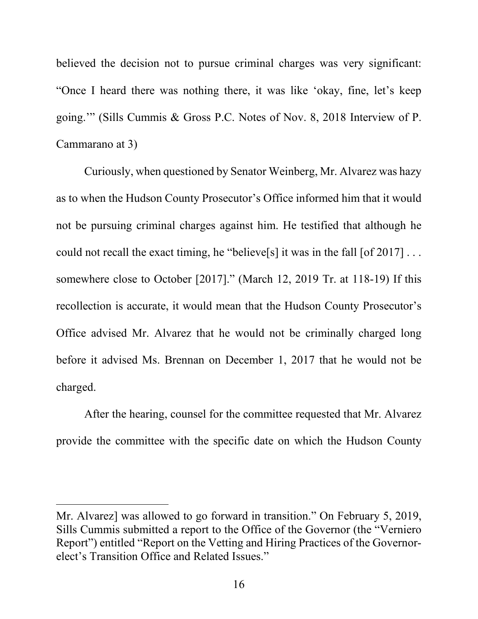believed the decision not to pursue criminal charges was very significant: "Once I heard there was nothing there, it was like 'okay, fine, let's keep going.'" (Sills Cummis & Gross P.C. Notes of Nov. 8, 2018 Interview of P. Cammarano at 3)

Curiously, when questioned by Senator Weinberg, Mr. Alvarez was hazy as to when the Hudson County Prosecutor's Office informed him that it would not be pursuing criminal charges against him. He testified that although he could not recall the exact timing, he "believe<sup>[s]</sup> it was in the fall  $[of 2017] \dots$ somewhere close to October [2017]." (March 12, 2019 Tr. at 118-19) If this recollection is accurate, it would mean that the Hudson County Prosecutor's Office advised Mr. Alvarez that he would not be criminally charged long before it advised Ms. Brennan on December 1, 2017 that he would not be charged.

After the hearing, counsel for the committee requested that Mr. Alvarez provide the committee with the specific date on which the Hudson County

 $\overline{a}$ 

Mr. Alvarez] was allowed to go forward in transition." On February 5, 2019, Sills Cummis submitted a report to the Office of the Governor (the "Verniero Report") entitled "Report on the Vetting and Hiring Practices of the Governorelect's Transition Office and Related Issues."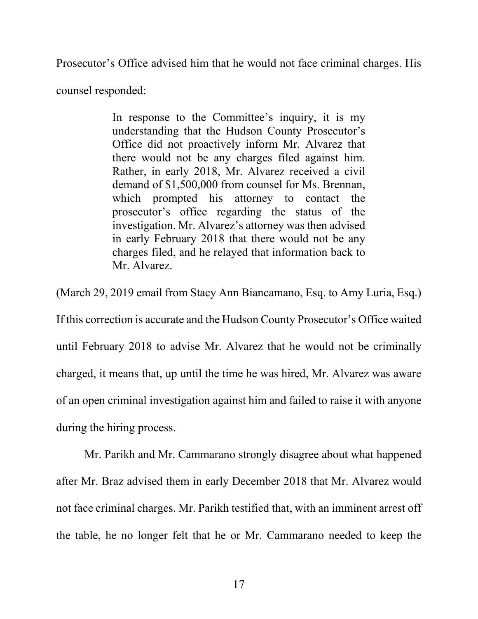Prosecutor's Office advised him that he would not face criminal charges. His

counsel responded:

In response to the Committee's inquiry, it is my understanding that the Hudson County Prosecutor's Office did not proactively inform Mr. Alvarez that there would not be any charges filed against him. Rather, in early 2018, Mr. Alvarez received a civil demand of \$1,500,000 from counsel for Ms. Brennan, which prompted his attorney to contact the prosecutor's office regarding the status of the investigation. Mr. Alvarez's attorney was then advised in early February 2018 that there would not be any charges filed, and he relayed that information back to Mr. Alvarez.

(March 29, 2019 email from Stacy Ann Biancamano, Esq. to Amy Luria, Esq.) If this correction is accurate and the Hudson County Prosecutor's Office waited until February 2018 to advise Mr. Alvarez that he would not be criminally charged, it means that, up until the time he was hired, Mr. Alvarez was aware of an open criminal investigation against him and failed to raise it with anyone during the hiring process.

Mr. Parikh and Mr. Cammarano strongly disagree about what happened after Mr. Braz advised them in early December 2018 that Mr. Alvarez would not face criminal charges. Mr. Parikh testified that, with an imminent arrest off the table, he no longer felt that he or Mr. Cammarano needed to keep the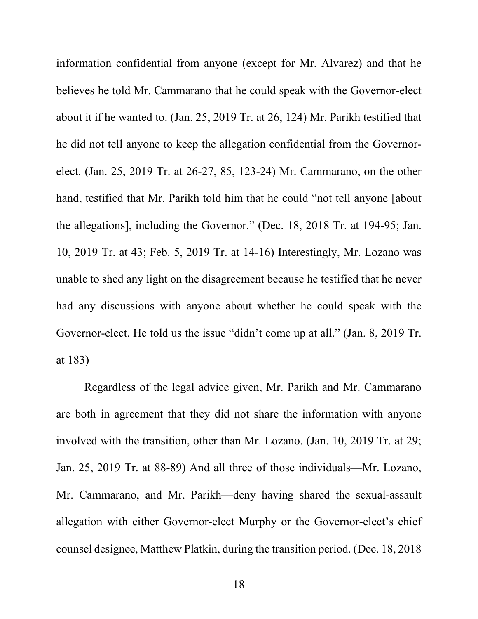information confidential from anyone (except for Mr. Alvarez) and that he believes he told Mr. Cammarano that he could speak with the Governor-elect about it if he wanted to. (Jan. 25, 2019 Tr. at 26, 124) Mr. Parikh testified that he did not tell anyone to keep the allegation confidential from the Governorelect. (Jan. 25, 2019 Tr. at 26-27, 85, 123-24) Mr. Cammarano, on the other hand, testified that Mr. Parikh told him that he could "not tell anyone [about the allegations], including the Governor." (Dec. 18, 2018 Tr. at 194-95; Jan. 10, 2019 Tr. at 43; Feb. 5, 2019 Tr. at 14-16) Interestingly, Mr. Lozano was unable to shed any light on the disagreement because he testified that he never had any discussions with anyone about whether he could speak with the Governor-elect. He told us the issue "didn't come up at all." (Jan. 8, 2019 Tr. at 183)

Regardless of the legal advice given, Mr. Parikh and Mr. Cammarano are both in agreement that they did not share the information with anyone involved with the transition, other than Mr. Lozano. (Jan. 10, 2019 Tr. at 29; Jan. 25, 2019 Tr. at 88-89) And all three of those individuals—Mr. Lozano, Mr. Cammarano, and Mr. Parikh—deny having shared the sexual-assault allegation with either Governor-elect Murphy or the Governor-elect's chief counsel designee, Matthew Platkin, during the transition period. (Dec. 18, 2018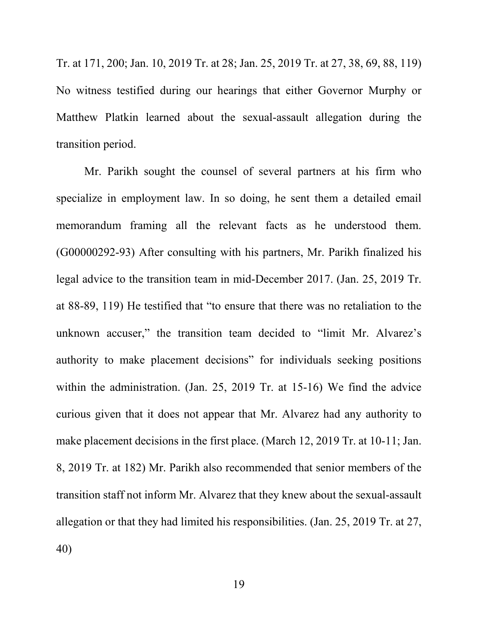Tr. at 171, 200; Jan. 10, 2019 Tr. at 28; Jan. 25, 2019 Tr. at 27, 38, 69, 88, 119) No witness testified during our hearings that either Governor Murphy or Matthew Platkin learned about the sexual-assault allegation during the transition period.

Mr. Parikh sought the counsel of several partners at his firm who specialize in employment law. In so doing, he sent them a detailed email memorandum framing all the relevant facts as he understood them. (G00000292-93) After consulting with his partners, Mr. Parikh finalized his legal advice to the transition team in mid-December 2017. (Jan. 25, 2019 Tr. at 88-89, 119) He testified that "to ensure that there was no retaliation to the unknown accuser," the transition team decided to "limit Mr. Alvarez's authority to make placement decisions" for individuals seeking positions within the administration. (Jan. 25, 2019 Tr. at 15-16) We find the advice curious given that it does not appear that Mr. Alvarez had any authority to make placement decisions in the first place. (March 12, 2019 Tr. at 10-11; Jan. 8, 2019 Tr. at 182) Mr. Parikh also recommended that senior members of the transition staff not inform Mr. Alvarez that they knew about the sexual-assault allegation or that they had limited his responsibilities. (Jan. 25, 2019 Tr. at 27, 40)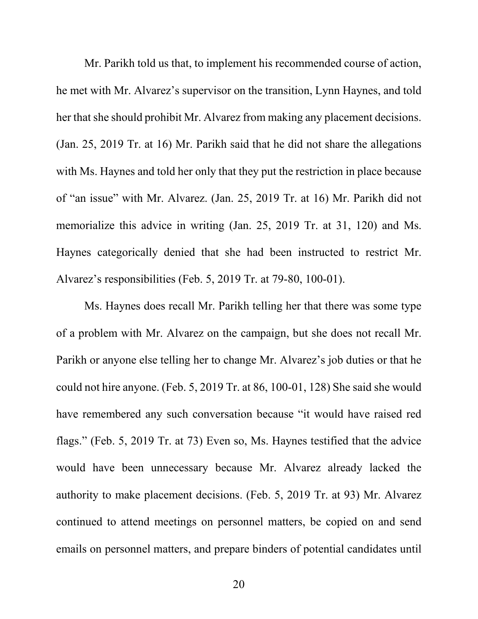Mr. Parikh told us that, to implement his recommended course of action, he met with Mr. Alvarez's supervisor on the transition, Lynn Haynes, and told her that she should prohibit Mr. Alvarez from making any placement decisions. (Jan. 25, 2019 Tr. at 16) Mr. Parikh said that he did not share the allegations with Ms. Haynes and told her only that they put the restriction in place because of "an issue" with Mr. Alvarez. (Jan. 25, 2019 Tr. at 16) Mr. Parikh did not memorialize this advice in writing (Jan. 25, 2019 Tr. at 31, 120) and Ms. Haynes categorically denied that she had been instructed to restrict Mr. Alvarez's responsibilities (Feb. 5, 2019 Tr. at 79-80, 100-01).

Ms. Haynes does recall Mr. Parikh telling her that there was some type of a problem with Mr. Alvarez on the campaign, but she does not recall Mr. Parikh or anyone else telling her to change Mr. Alvarez's job duties or that he could not hire anyone. (Feb. 5, 2019 Tr. at 86, 100-01, 128) She said she would have remembered any such conversation because "it would have raised red flags." (Feb. 5, 2019 Tr. at 73) Even so, Ms. Haynes testified that the advice would have been unnecessary because Mr. Alvarez already lacked the authority to make placement decisions. (Feb. 5, 2019 Tr. at 93) Mr. Alvarez continued to attend meetings on personnel matters, be copied on and send emails on personnel matters, and prepare binders of potential candidates until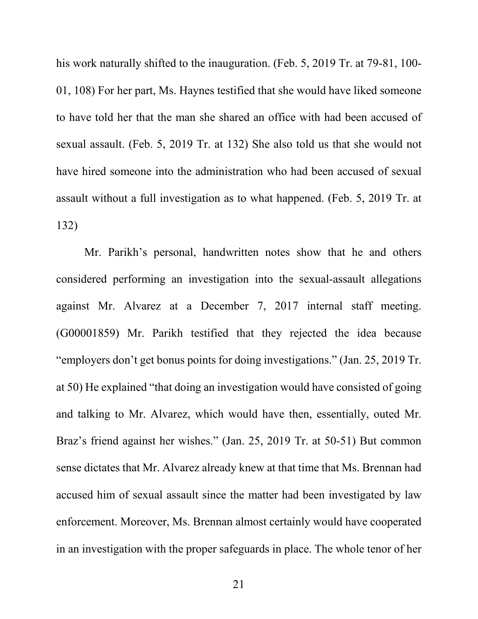his work naturally shifted to the inauguration. (Feb. 5, 2019 Tr. at 79-81, 100- 01, 108) For her part, Ms. Haynes testified that she would have liked someone to have told her that the man she shared an office with had been accused of sexual assault. (Feb. 5, 2019 Tr. at 132) She also told us that she would not have hired someone into the administration who had been accused of sexual assault without a full investigation as to what happened. (Feb. 5, 2019 Tr. at 132)

Mr. Parikh's personal, handwritten notes show that he and others considered performing an investigation into the sexual-assault allegations against Mr. Alvarez at a December 7, 2017 internal staff meeting. (G00001859) Mr. Parikh testified that they rejected the idea because "employers don't get bonus points for doing investigations." (Jan. 25, 2019 Tr. at 50) He explained "that doing an investigation would have consisted of going and talking to Mr. Alvarez, which would have then, essentially, outed Mr. Braz's friend against her wishes." (Jan. 25, 2019 Tr. at 50-51) But common sense dictates that Mr. Alvarez already knew at that time that Ms. Brennan had accused him of sexual assault since the matter had been investigated by law enforcement. Moreover, Ms. Brennan almost certainly would have cooperated in an investigation with the proper safeguards in place. The whole tenor of her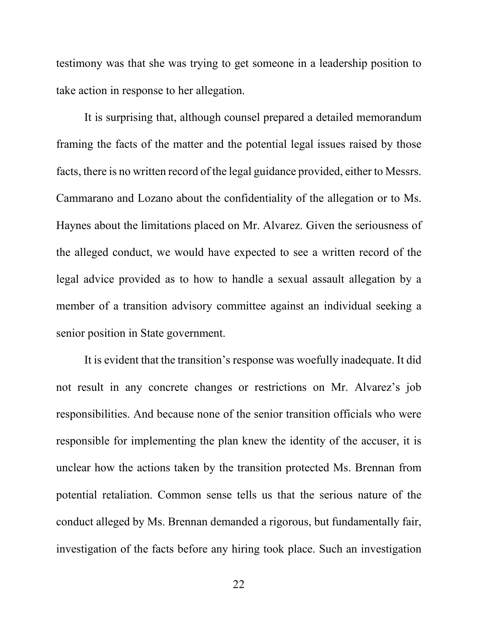testimony was that she was trying to get someone in a leadership position to take action in response to her allegation.

It is surprising that, although counsel prepared a detailed memorandum framing the facts of the matter and the potential legal issues raised by those facts, there is no written record of the legal guidance provided, either to Messrs. Cammarano and Lozano about the confidentiality of the allegation or to Ms. Haynes about the limitations placed on Mr. Alvarez. Given the seriousness of the alleged conduct, we would have expected to see a written record of the legal advice provided as to how to handle a sexual assault allegation by a member of a transition advisory committee against an individual seeking a senior position in State government.

It is evident that the transition's response was woefully inadequate. It did not result in any concrete changes or restrictions on Mr. Alvarez's job responsibilities. And because none of the senior transition officials who were responsible for implementing the plan knew the identity of the accuser, it is unclear how the actions taken by the transition protected Ms. Brennan from potential retaliation. Common sense tells us that the serious nature of the conduct alleged by Ms. Brennan demanded a rigorous, but fundamentally fair, investigation of the facts before any hiring took place. Such an investigation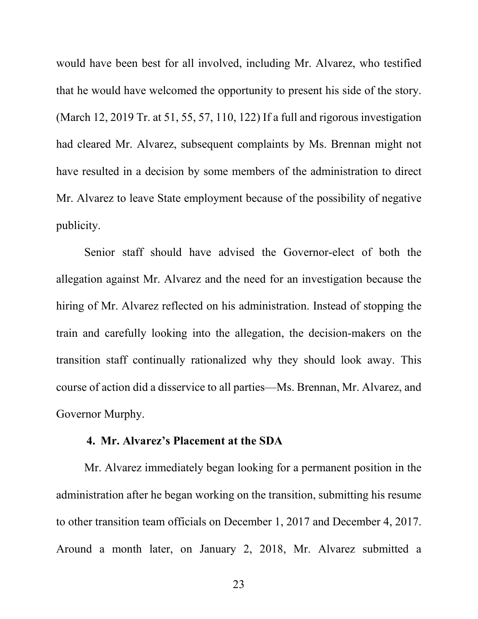would have been best for all involved, including Mr. Alvarez, who testified that he would have welcomed the opportunity to present his side of the story. (March 12, 2019 Tr. at 51, 55, 57, 110, 122) If a full and rigorous investigation had cleared Mr. Alvarez, subsequent complaints by Ms. Brennan might not have resulted in a decision by some members of the administration to direct Mr. Alvarez to leave State employment because of the possibility of negative publicity.

Senior staff should have advised the Governor-elect of both the allegation against Mr. Alvarez and the need for an investigation because the hiring of Mr. Alvarez reflected on his administration. Instead of stopping the train and carefully looking into the allegation, the decision-makers on the transition staff continually rationalized why they should look away. This course of action did a disservice to all parties—Ms. Brennan, Mr. Alvarez, and Governor Murphy.

#### **4. Mr. Alvarez's Placement at the SDA**

<span id="page-26-0"></span>Mr. Alvarez immediately began looking for a permanent position in the administration after he began working on the transition, submitting his resume to other transition team officials on December 1, 2017 and December 4, 2017. Around a month later, on January 2, 2018, Mr. Alvarez submitted a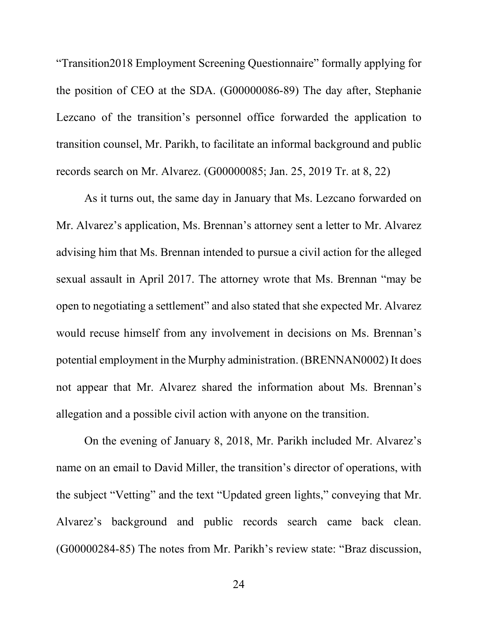"Transition2018 Employment Screening Questionnaire" formally applying for the position of CEO at the SDA. (G00000086-89) The day after, Stephanie Lezcano of the transition's personnel office forwarded the application to transition counsel, Mr. Parikh, to facilitate an informal background and public records search on Mr. Alvarez. (G00000085; Jan. 25, 2019 Tr. at 8, 22)

As it turns out, the same day in January that Ms. Lezcano forwarded on Mr. Alvarez's application, Ms. Brennan's attorney sent a letter to Mr. Alvarez advising him that Ms. Brennan intended to pursue a civil action for the alleged sexual assault in April 2017. The attorney wrote that Ms. Brennan "may be open to negotiating a settlement" and also stated that she expected Mr. Alvarez would recuse himself from any involvement in decisions on Ms. Brennan's potential employment in the Murphy administration. (BRENNAN0002) It does not appear that Mr. Alvarez shared the information about Ms. Brennan's allegation and a possible civil action with anyone on the transition.

On the evening of January 8, 2018, Mr. Parikh included Mr. Alvarez's name on an email to David Miller, the transition's director of operations, with the subject "Vetting" and the text "Updated green lights," conveying that Mr. Alvarez's background and public records search came back clean. (G00000284-85) The notes from Mr. Parikh's review state: "Braz discussion,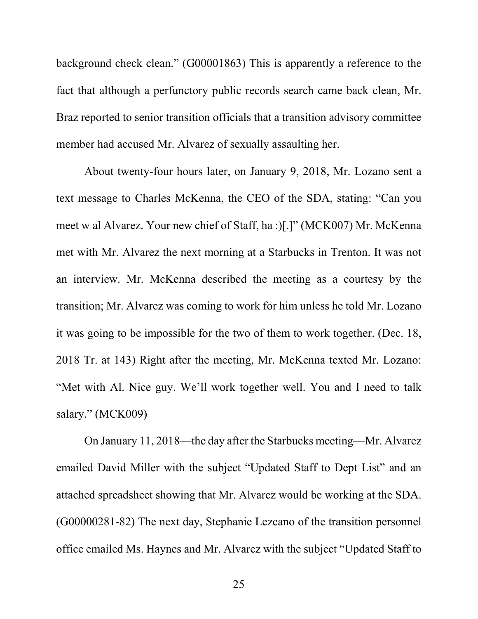background check clean." (G00001863) This is apparently a reference to the fact that although a perfunctory public records search came back clean, Mr. Braz reported to senior transition officials that a transition advisory committee member had accused Mr. Alvarez of sexually assaulting her.

About twenty-four hours later, on January 9, 2018, Mr. Lozano sent a text message to Charles McKenna, the CEO of the SDA, stating: "Can you meet w al Alvarez. Your new chief of Staff, ha :)[.]" (MCK007) Mr. McKenna met with Mr. Alvarez the next morning at a Starbucks in Trenton. It was not an interview. Mr. McKenna described the meeting as a courtesy by the transition; Mr. Alvarez was coming to work for him unless he told Mr. Lozano it was going to be impossible for the two of them to work together. (Dec. 18, 2018 Tr. at 143) Right after the meeting, Mr. McKenna texted Mr. Lozano: "Met with Al. Nice guy. We'll work together well. You and I need to talk salary." (MCK009)

On January 11, 2018—the day after the Starbucks meeting—Mr. Alvarez emailed David Miller with the subject "Updated Staff to Dept List" and an attached spreadsheet showing that Mr. Alvarez would be working at the SDA. (G00000281-82) The next day, Stephanie Lezcano of the transition personnel office emailed Ms. Haynes and Mr. Alvarez with the subject "Updated Staff to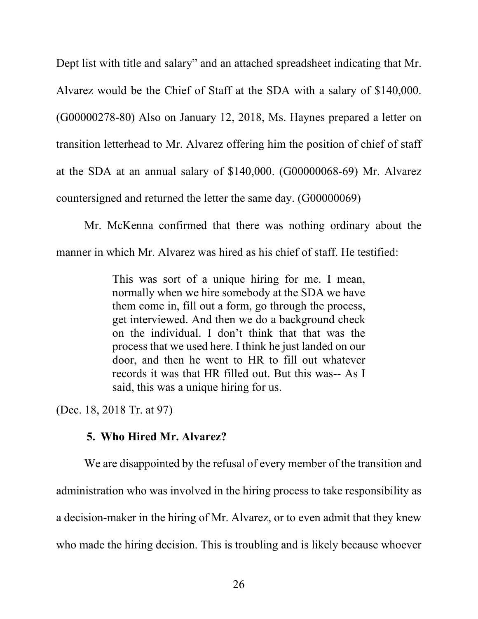Dept list with title and salary" and an attached spreadsheet indicating that Mr. Alvarez would be the Chief of Staff at the SDA with a salary of \$140,000. (G00000278-80) Also on January 12, 2018, Ms. Haynes prepared a letter on transition letterhead to Mr. Alvarez offering him the position of chief of staff at the SDA at an annual salary of \$140,000. (G00000068-69) Mr. Alvarez countersigned and returned the letter the same day. (G00000069)

Mr. McKenna confirmed that there was nothing ordinary about the manner in which Mr. Alvarez was hired as his chief of staff. He testified:

> This was sort of a unique hiring for me. I mean, normally when we hire somebody at the SDA we have them come in, fill out a form, go through the process, get interviewed. And then we do a background check on the individual. I don't think that that was the process that we used here. I think he just landed on our door, and then he went to HR to fill out whatever records it was that HR filled out. But this was-- As I said, this was a unique hiring for us.

<span id="page-29-0"></span>(Dec. 18, 2018 Tr. at 97)

# **5. Who Hired Mr. Alvarez?**

We are disappointed by the refusal of every member of the transition and administration who was involved in the hiring process to take responsibility as a decision-maker in the hiring of Mr. Alvarez, or to even admit that they knew who made the hiring decision. This is troubling and is likely because whoever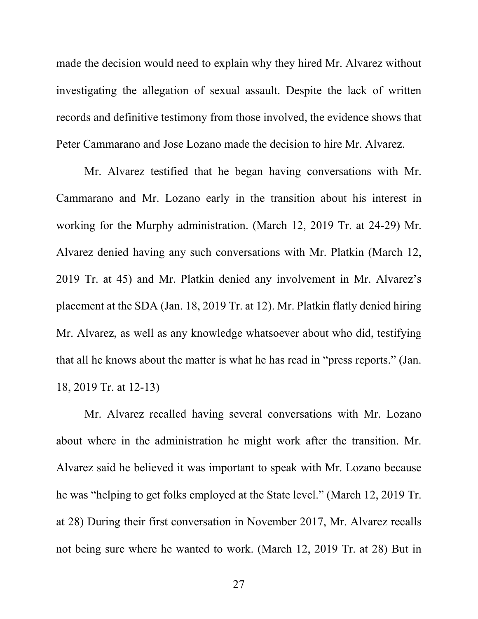made the decision would need to explain why they hired Mr. Alvarez without investigating the allegation of sexual assault. Despite the lack of written records and definitive testimony from those involved, the evidence shows that Peter Cammarano and Jose Lozano made the decision to hire Mr. Alvarez.

Mr. Alvarez testified that he began having conversations with Mr. Cammarano and Mr. Lozano early in the transition about his interest in working for the Murphy administration. (March 12, 2019 Tr. at 24-29) Mr. Alvarez denied having any such conversations with Mr. Platkin (March 12, 2019 Tr. at 45) and Mr. Platkin denied any involvement in Mr. Alvarez's placement at the SDA (Jan. 18, 2019 Tr. at 12). Mr. Platkin flatly denied hiring Mr. Alvarez, as well as any knowledge whatsoever about who did, testifying that all he knows about the matter is what he has read in "press reports." (Jan. 18, 2019 Tr. at 12-13)

Mr. Alvarez recalled having several conversations with Mr. Lozano about where in the administration he might work after the transition. Mr. Alvarez said he believed it was important to speak with Mr. Lozano because he was "helping to get folks employed at the State level." (March 12, 2019 Tr. at 28) During their first conversation in November 2017, Mr. Alvarez recalls not being sure where he wanted to work. (March 12, 2019 Tr. at 28) But in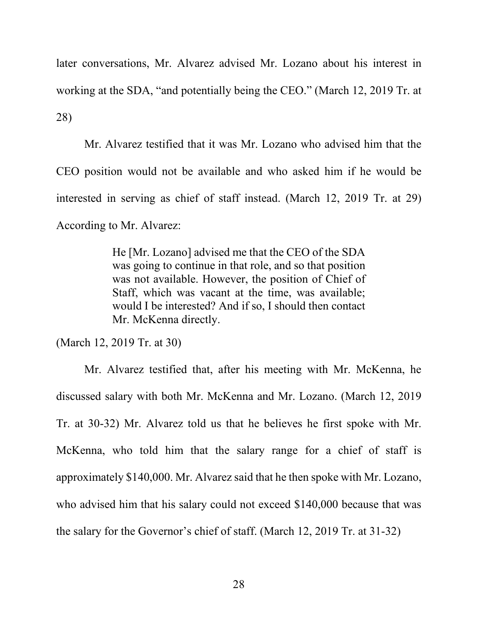later conversations, Mr. Alvarez advised Mr. Lozano about his interest in working at the SDA, "and potentially being the CEO." (March 12, 2019 Tr. at 28)

Mr. Alvarez testified that it was Mr. Lozano who advised him that the CEO position would not be available and who asked him if he would be interested in serving as chief of staff instead. (March 12, 2019 Tr. at 29) According to Mr. Alvarez:

> He [Mr. Lozano] advised me that the CEO of the SDA was going to continue in that role, and so that position was not available. However, the position of Chief of Staff, which was vacant at the time, was available; would I be interested? And if so, I should then contact Mr. McKenna directly.

(March 12, 2019 Tr. at 30)

Mr. Alvarez testified that, after his meeting with Mr. McKenna, he discussed salary with both Mr. McKenna and Mr. Lozano. (March 12, 2019 Tr. at 30-32) Mr. Alvarez told us that he believes he first spoke with Mr. McKenna, who told him that the salary range for a chief of staff is approximately \$140,000. Mr. Alvarez said that he then spoke with Mr. Lozano, who advised him that his salary could not exceed \$140,000 because that was the salary for the Governor's chief of staff. (March 12, 2019 Tr. at 31-32)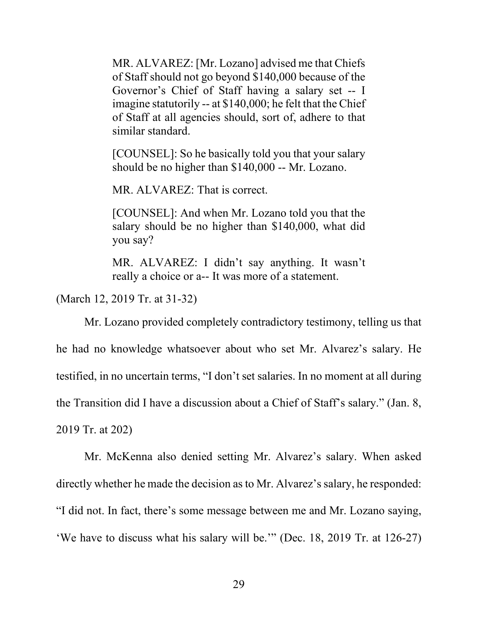MR. ALVAREZ: [Mr. Lozano] advised me that Chiefs of Staff should not go beyond \$140,000 because of the Governor's Chief of Staff having a salary set -- I imagine statutorily -- at \$140,000; he felt that the Chief of Staff at all agencies should, sort of, adhere to that similar standard.

[COUNSEL]: So he basically told you that your salary should be no higher than \$140,000 -- Mr. Lozano.

MR. ALVAREZ: That is correct.

[COUNSEL]: And when Mr. Lozano told you that the salary should be no higher than \$140,000, what did you say?

MR. ALVAREZ: I didn't say anything. It wasn't really a choice or a-- It was more of a statement.

(March 12, 2019 Tr. at 31-32)

Mr. Lozano provided completely contradictory testimony, telling us that he had no knowledge whatsoever about who set Mr. Alvarez's salary. He testified, in no uncertain terms, "I don't set salaries. In no moment at all during the Transition did I have a discussion about a Chief of Staff's salary." (Jan. 8, 2019 Tr. at 202)

Mr. McKenna also denied setting Mr. Alvarez's salary. When asked directly whether he made the decision as to Mr. Alvarez's salary, he responded: "I did not. In fact, there's some message between me and Mr. Lozano saying, 'We have to discuss what his salary will be.'" (Dec. 18, 2019 Tr. at 126-27)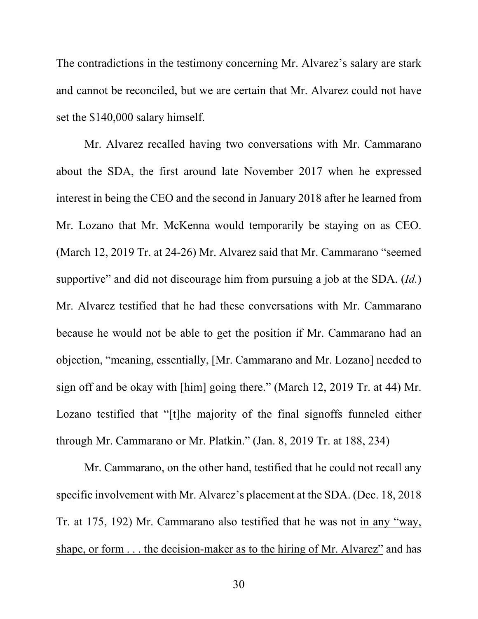The contradictions in the testimony concerning Mr. Alvarez's salary are stark and cannot be reconciled, but we are certain that Mr. Alvarez could not have set the \$140,000 salary himself.

Mr. Alvarez recalled having two conversations with Mr. Cammarano about the SDA, the first around late November 2017 when he expressed interest in being the CEO and the second in January 2018 after he learned from Mr. Lozano that Mr. McKenna would temporarily be staying on as CEO. (March 12, 2019 Tr. at 24-26) Mr. Alvarez said that Mr. Cammarano "seemed supportive" and did not discourage him from pursuing a job at the SDA. (*Id.*) Mr. Alvarez testified that he had these conversations with Mr. Cammarano because he would not be able to get the position if Mr. Cammarano had an objection, "meaning, essentially, [Mr. Cammarano and Mr. Lozano] needed to sign off and be okay with [him] going there." (March 12, 2019 Tr. at 44) Mr. Lozano testified that "[t]he majority of the final signoffs funneled either through Mr. Cammarano or Mr. Platkin." (Jan. 8, 2019 Tr. at 188, 234)

Mr. Cammarano, on the other hand, testified that he could not recall any specific involvement with Mr. Alvarez's placement at the SDA. (Dec. 18, 2018 Tr. at 175, 192) Mr. Cammarano also testified that he was not in any "way, shape, or form . . . the decision-maker as to the hiring of Mr. Alvarez" and has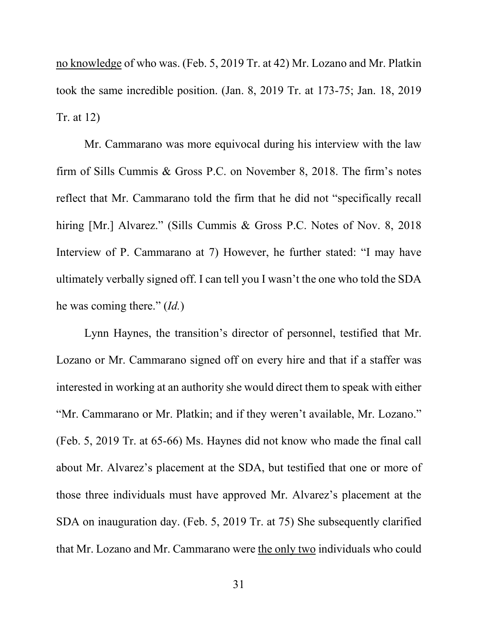no knowledge of who was. (Feb. 5, 2019 Tr. at 42) Mr. Lozano and Mr. Platkin took the same incredible position. (Jan. 8, 2019 Tr. at 173-75; Jan. 18, 2019 Tr. at 12)

Mr. Cammarano was more equivocal during his interview with the law firm of Sills Cummis & Gross P.C. on November 8, 2018. The firm's notes reflect that Mr. Cammarano told the firm that he did not "specifically recall hiring [Mr.] Alvarez." (Sills Cummis & Gross P.C. Notes of Nov. 8, 2018) Interview of P. Cammarano at 7) However, he further stated: "I may have ultimately verbally signed off. I can tell you I wasn't the one who told the SDA he was coming there." (*Id.*)

Lynn Haynes, the transition's director of personnel, testified that Mr. Lozano or Mr. Cammarano signed off on every hire and that if a staffer was interested in working at an authority she would direct them to speak with either "Mr. Cammarano or Mr. Platkin; and if they weren't available, Mr. Lozano." (Feb. 5, 2019 Tr. at 65-66) Ms. Haynes did not know who made the final call about Mr. Alvarez's placement at the SDA, but testified that one or more of those three individuals must have approved Mr. Alvarez's placement at the SDA on inauguration day. (Feb. 5, 2019 Tr. at 75) She subsequently clarified that Mr. Lozano and Mr. Cammarano were the only two individuals who could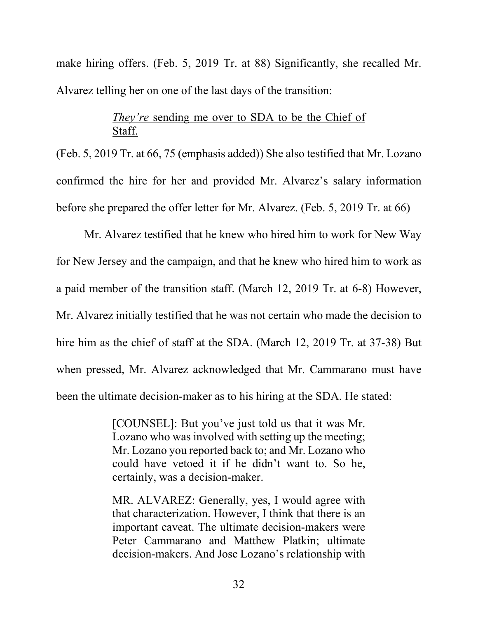make hiring offers. (Feb. 5, 2019 Tr. at 88) Significantly, she recalled Mr. Alvarez telling her on one of the last days of the transition:

# *They're* sending me over to SDA to be the Chief of Staff.

(Feb. 5, 2019 Tr. at 66, 75 (emphasis added)) She also testified that Mr. Lozano confirmed the hire for her and provided Mr. Alvarez's salary information before she prepared the offer letter for Mr. Alvarez. (Feb. 5, 2019 Tr. at 66)

Mr. Alvarez testified that he knew who hired him to work for New Way for New Jersey and the campaign, and that he knew who hired him to work as a paid member of the transition staff. (March 12, 2019 Tr. at 6-8) However, Mr. Alvarez initially testified that he was not certain who made the decision to hire him as the chief of staff at the SDA. (March 12, 2019 Tr. at 37-38) But when pressed, Mr. Alvarez acknowledged that Mr. Cammarano must have been the ultimate decision-maker as to his hiring at the SDA. He stated:

> [COUNSEL]: But you've just told us that it was Mr. Lozano who was involved with setting up the meeting; Mr. Lozano you reported back to; and Mr. Lozano who could have vetoed it if he didn't want to. So he, certainly, was a decision-maker.

> MR. ALVAREZ: Generally, yes, I would agree with that characterization. However, I think that there is an important caveat. The ultimate decision-makers were Peter Cammarano and Matthew Platkin; ultimate decision-makers. And Jose Lozano's relationship with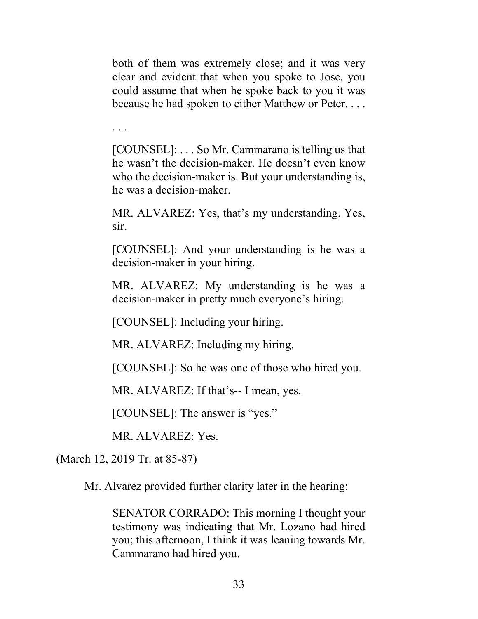both of them was extremely close; and it was very clear and evident that when you spoke to Jose, you could assume that when he spoke back to you it was because he had spoken to either Matthew or Peter. . . .

. . .

[COUNSEL]: . . . So Mr. Cammarano is telling us that he wasn't the decision-maker. He doesn't even know who the decision-maker is. But your understanding is, he was a decision-maker.

MR. ALVAREZ: Yes, that's my understanding. Yes, sir.

[COUNSEL]: And your understanding is he was a decision-maker in your hiring.

MR. ALVAREZ: My understanding is he was a decision-maker in pretty much everyone's hiring.

[COUNSEL]: Including your hiring.

MR. ALVAREZ: Including my hiring.

[COUNSEL]: So he was one of those who hired you.

MR. ALVAREZ: If that's-- I mean, yes.

[COUNSEL]: The answer is "yes."

MR. ALVAREZ: Yes.

(March 12, 2019 Tr. at 85-87)

Mr. Alvarez provided further clarity later in the hearing:

SENATOR CORRADO: This morning I thought your testimony was indicating that Mr. Lozano had hired you; this afternoon, I think it was leaning towards Mr. Cammarano had hired you.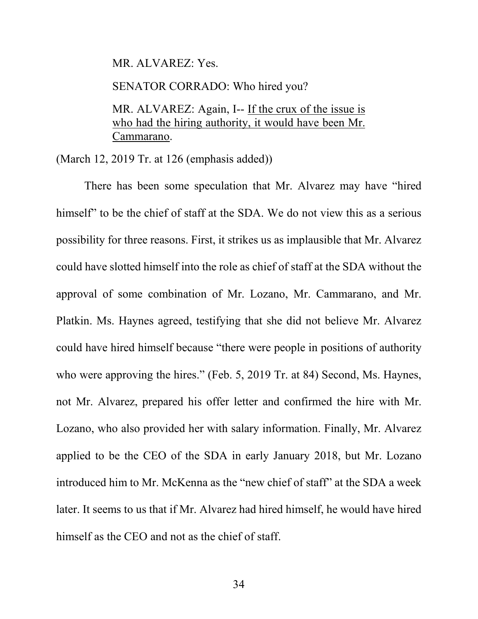MR. ALVAREZ: Yes.

SENATOR CORRADO: Who hired you?

MR. ALVAREZ: Again, I-- If the crux of the issue is who had the hiring authority, it would have been Mr. Cammarano.

(March 12, 2019 Tr. at 126 (emphasis added))

There has been some speculation that Mr. Alvarez may have "hired himself" to be the chief of staff at the SDA. We do not view this as a serious possibility for three reasons. First, it strikes us as implausible that Mr. Alvarez could have slotted himself into the role as chief of staff at the SDA without the approval of some combination of Mr. Lozano, Mr. Cammarano, and Mr. Platkin. Ms. Haynes agreed, testifying that she did not believe Mr. Alvarez could have hired himself because "there were people in positions of authority who were approving the hires." (Feb. 5, 2019 Tr. at 84) Second, Ms. Haynes, not Mr. Alvarez, prepared his offer letter and confirmed the hire with Mr. Lozano, who also provided her with salary information. Finally, Mr. Alvarez applied to be the CEO of the SDA in early January 2018, but Mr. Lozano introduced him to Mr. McKenna as the "new chief of staff" at the SDA a week later. It seems to us that if Mr. Alvarez had hired himself, he would have hired himself as the CEO and not as the chief of staff.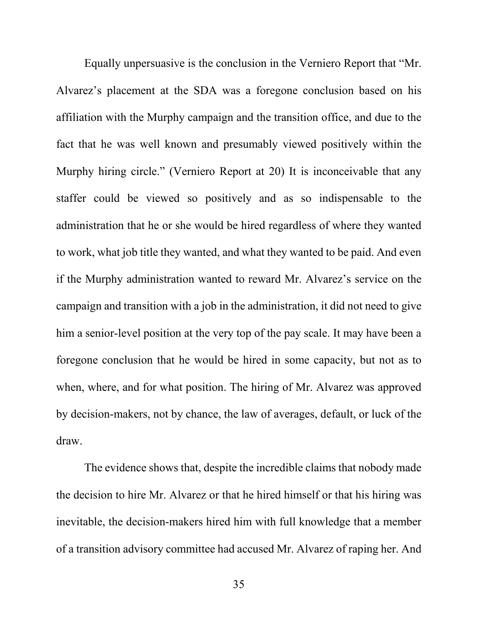Equally unpersuasive is the conclusion in the Verniero Report that "Mr. Alvarez's placement at the SDA was a foregone conclusion based on his affiliation with the Murphy campaign and the transition office, and due to the fact that he was well known and presumably viewed positively within the Murphy hiring circle." (Verniero Report at 20) It is inconceivable that any staffer could be viewed so positively and as so indispensable to the administration that he or she would be hired regardless of where they wanted to work, what job title they wanted, and what they wanted to be paid. And even if the Murphy administration wanted to reward Mr. Alvarez's service on the campaign and transition with a job in the administration, it did not need to give him a senior-level position at the very top of the pay scale. It may have been a foregone conclusion that he would be hired in some capacity, but not as to when, where, and for what position. The hiring of Mr. Alvarez was approved by decision-makers, not by chance, the law of averages, default, or luck of the draw.

The evidence shows that, despite the incredible claims that nobody made the decision to hire Mr. Alvarez or that he hired himself or that his hiring was inevitable, the decision-makers hired him with full knowledge that a member of a transition advisory committee had accused Mr. Alvarez of raping her. And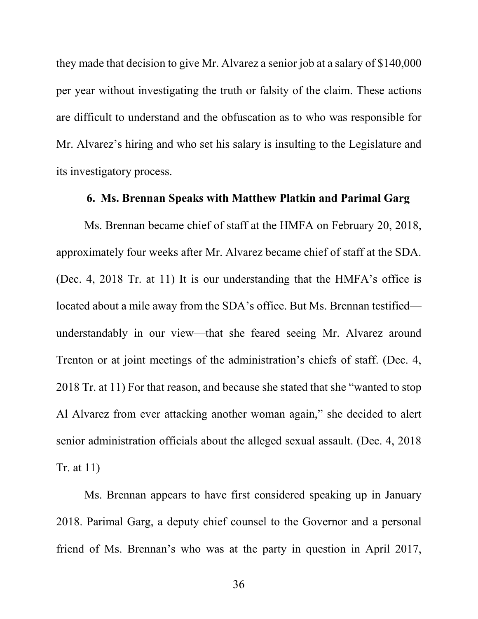they made that decision to give Mr. Alvarez a senior job at a salary of \$140,000 per year without investigating the truth or falsity of the claim. These actions are difficult to understand and the obfuscation as to who was responsible for Mr. Alvarez's hiring and who set his salary is insulting to the Legislature and its investigatory process.

### **6. Ms. Brennan Speaks with Matthew Platkin and Parimal Garg**

Ms. Brennan became chief of staff at the HMFA on February 20, 2018, approximately four weeks after Mr. Alvarez became chief of staff at the SDA. (Dec. 4, 2018 Tr. at 11) It is our understanding that the HMFA's office is located about a mile away from the SDA's office. But Ms. Brennan testified understandably in our view—that she feared seeing Mr. Alvarez around Trenton or at joint meetings of the administration's chiefs of staff. (Dec. 4, 2018 Tr. at 11) For that reason, and because she stated that she "wanted to stop Al Alvarez from ever attacking another woman again," she decided to alert senior administration officials about the alleged sexual assault. (Dec. 4, 2018 Tr. at 11)

Ms. Brennan appears to have first considered speaking up in January 2018. Parimal Garg, a deputy chief counsel to the Governor and a personal friend of Ms. Brennan's who was at the party in question in April 2017,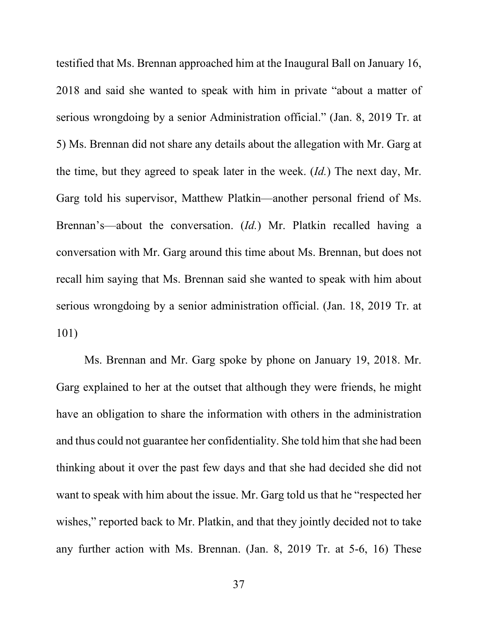testified that Ms. Brennan approached him at the Inaugural Ball on January 16, 2018 and said she wanted to speak with him in private "about a matter of serious wrongdoing by a senior Administration official." (Jan. 8, 2019 Tr. at 5) Ms. Brennan did not share any details about the allegation with Mr. Garg at the time, but they agreed to speak later in the week. (*Id.*) The next day, Mr. Garg told his supervisor, Matthew Platkin—another personal friend of Ms. Brennan's—about the conversation. (*Id.*) Mr. Platkin recalled having a conversation with Mr. Garg around this time about Ms. Brennan, but does not recall him saying that Ms. Brennan said she wanted to speak with him about serious wrongdoing by a senior administration official. (Jan. 18, 2019 Tr. at 101)

Ms. Brennan and Mr. Garg spoke by phone on January 19, 2018. Mr. Garg explained to her at the outset that although they were friends, he might have an obligation to share the information with others in the administration and thus could not guarantee her confidentiality. She told him that she had been thinking about it over the past few days and that she had decided she did not want to speak with him about the issue. Mr. Garg told us that he "respected her wishes," reported back to Mr. Platkin, and that they jointly decided not to take any further action with Ms. Brennan. (Jan. 8, 2019 Tr. at 5-6, 16) These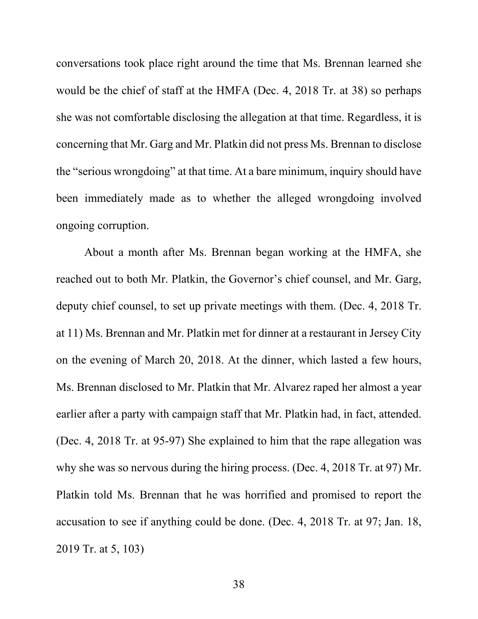conversations took place right around the time that Ms. Brennan learned she would be the chief of staff at the HMFA (Dec. 4, 2018 Tr. at 38) so perhaps she was not comfortable disclosing the allegation at that time. Regardless, it is concerning that Mr. Garg and Mr. Platkin did not press Ms. Brennan to disclose the "serious wrongdoing" at that time. At a bare minimum, inquiry should have been immediately made as to whether the alleged wrongdoing involved ongoing corruption.

About a month after Ms. Brennan began working at the HMFA, she reached out to both Mr. Platkin, the Governor's chief counsel, and Mr. Garg, deputy chief counsel, to set up private meetings with them. (Dec. 4, 2018 Tr. at 11) Ms. Brennan and Mr. Platkin met for dinner at a restaurant in Jersey City on the evening of March 20, 2018. At the dinner, which lasted a few hours, Ms. Brennan disclosed to Mr. Platkin that Mr. Alvarez raped her almost a year earlier after a party with campaign staff that Mr. Platkin had, in fact, attended. (Dec. 4, 2018 Tr. at 95-97) She explained to him that the rape allegation was why she was so nervous during the hiring process. (Dec. 4, 2018 Tr. at 97) Mr. Platkin told Ms. Brennan that he was horrified and promised to report the accusation to see if anything could be done. (Dec. 4, 2018 Tr. at 97; Jan. 18, 2019 Tr. at 5, 103)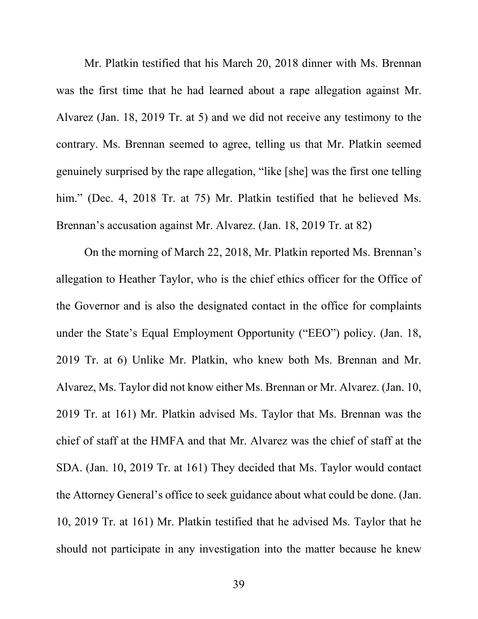Mr. Platkin testified that his March 20, 2018 dinner with Ms. Brennan was the first time that he had learned about a rape allegation against Mr. Alvarez (Jan. 18, 2019 Tr. at 5) and we did not receive any testimony to the contrary. Ms. Brennan seemed to agree, telling us that Mr. Platkin seemed genuinely surprised by the rape allegation, "like [she] was the first one telling him." (Dec. 4, 2018 Tr. at 75) Mr. Platkin testified that he believed Ms. Brennan's accusation against Mr. Alvarez. (Jan. 18, 2019 Tr. at 82)

On the morning of March 22, 2018, Mr. Platkin reported Ms. Brennan's allegation to Heather Taylor, who is the chief ethics officer for the Office of the Governor and is also the designated contact in the office for complaints under the State's Equal Employment Opportunity ("EEO") policy. (Jan. 18, 2019 Tr. at 6) Unlike Mr. Platkin, who knew both Ms. Brennan and Mr. Alvarez, Ms. Taylor did not know either Ms. Brennan or Mr. Alvarez. (Jan. 10, 2019 Tr. at 161) Mr. Platkin advised Ms. Taylor that Ms. Brennan was the chief of staff at the HMFA and that Mr. Alvarez was the chief of staff at the SDA. (Jan. 10, 2019 Tr. at 161) They decided that Ms. Taylor would contact the Attorney General's office to seek guidance about what could be done. (Jan. 10, 2019 Tr. at 161) Mr. Platkin testified that he advised Ms. Taylor that he should not participate in any investigation into the matter because he knew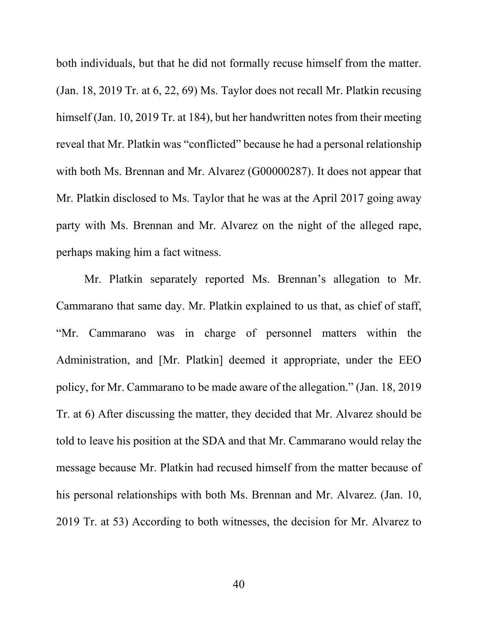both individuals, but that he did not formally recuse himself from the matter. (Jan. 18, 2019 Tr. at 6, 22, 69) Ms. Taylor does not recall Mr. Platkin recusing himself (Jan. 10, 2019 Tr. at 184), but her handwritten notes from their meeting reveal that Mr. Platkin was "conflicted" because he had a personal relationship with both Ms. Brennan and Mr. Alvarez (G00000287). It does not appear that Mr. Platkin disclosed to Ms. Taylor that he was at the April 2017 going away party with Ms. Brennan and Mr. Alvarez on the night of the alleged rape, perhaps making him a fact witness.

Mr. Platkin separately reported Ms. Brennan's allegation to Mr. Cammarano that same day. Mr. Platkin explained to us that, as chief of staff, "Mr. Cammarano was in charge of personnel matters within the Administration, and [Mr. Platkin] deemed it appropriate, under the EEO policy, for Mr. Cammarano to be made aware of the allegation." (Jan. 18, 2019 Tr. at 6) After discussing the matter, they decided that Mr. Alvarez should be told to leave his position at the SDA and that Mr. Cammarano would relay the message because Mr. Platkin had recused himself from the matter because of his personal relationships with both Ms. Brennan and Mr. Alvarez. (Jan. 10, 2019 Tr. at 53) According to both witnesses, the decision for Mr. Alvarez to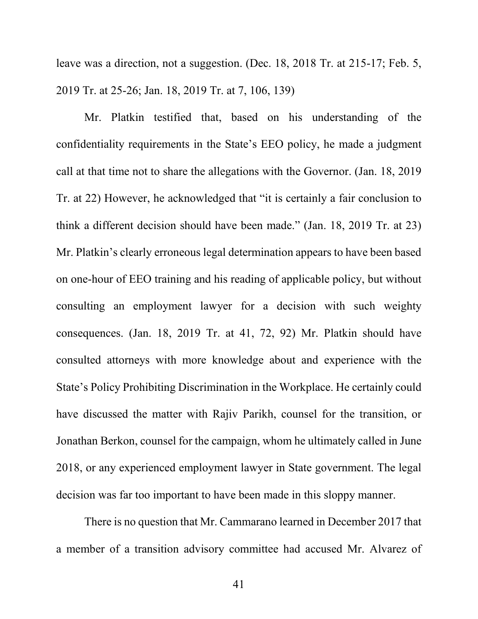leave was a direction, not a suggestion. (Dec. 18, 2018 Tr. at 215-17; Feb. 5, 2019 Tr. at 25-26; Jan. 18, 2019 Tr. at 7, 106, 139)

Mr. Platkin testified that, based on his understanding of the confidentiality requirements in the State's EEO policy, he made a judgment call at that time not to share the allegations with the Governor. (Jan. 18, 2019 Tr. at 22) However, he acknowledged that "it is certainly a fair conclusion to think a different decision should have been made." (Jan. 18, 2019 Tr. at 23) Mr. Platkin's clearly erroneous legal determination appears to have been based on one-hour of EEO training and his reading of applicable policy, but without consulting an employment lawyer for a decision with such weighty consequences. (Jan. 18, 2019 Tr. at 41, 72, 92) Mr. Platkin should have consulted attorneys with more knowledge about and experience with the State's Policy Prohibiting Discrimination in the Workplace. He certainly could have discussed the matter with Rajiv Parikh, counsel for the transition, or Jonathan Berkon, counsel for the campaign, whom he ultimately called in June 2018, or any experienced employment lawyer in State government. The legal decision was far too important to have been made in this sloppy manner.

There is no question that Mr. Cammarano learned in December 2017 that a member of a transition advisory committee had accused Mr. Alvarez of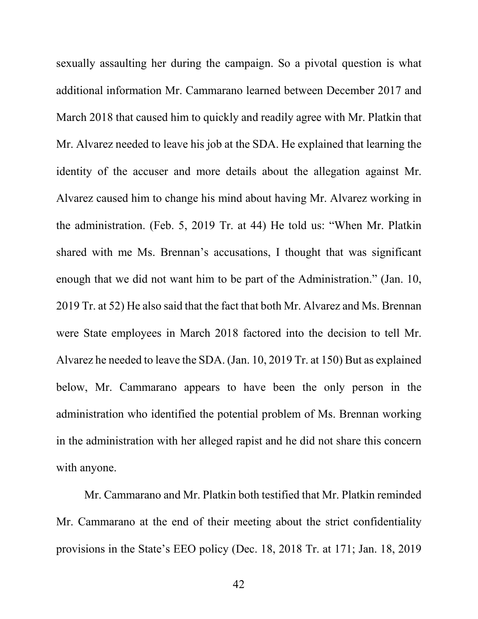sexually assaulting her during the campaign. So a pivotal question is what additional information Mr. Cammarano learned between December 2017 and March 2018 that caused him to quickly and readily agree with Mr. Platkin that Mr. Alvarez needed to leave his job at the SDA. He explained that learning the identity of the accuser and more details about the allegation against Mr. Alvarez caused him to change his mind about having Mr. Alvarez working in the administration. (Feb. 5, 2019 Tr. at 44) He told us: "When Mr. Platkin shared with me Ms. Brennan's accusations, I thought that was significant enough that we did not want him to be part of the Administration." (Jan. 10, 2019 Tr. at 52) He also said that the fact that both Mr. Alvarez and Ms. Brennan were State employees in March 2018 factored into the decision to tell Mr. Alvarez he needed to leave the SDA. (Jan. 10, 2019 Tr. at 150) But as explained below, Mr. Cammarano appears to have been the only person in the administration who identified the potential problem of Ms. Brennan working in the administration with her alleged rapist and he did not share this concern with anyone.

Mr. Cammarano and Mr. Platkin both testified that Mr. Platkin reminded Mr. Cammarano at the end of their meeting about the strict confidentiality provisions in the State's EEO policy (Dec. 18, 2018 Tr. at 171; Jan. 18, 2019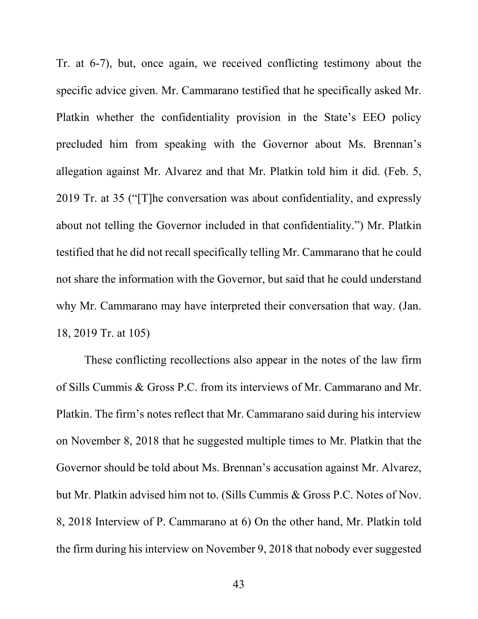Tr. at 6-7), but, once again, we received conflicting testimony about the specific advice given. Mr. Cammarano testified that he specifically asked Mr. Platkin whether the confidentiality provision in the State's EEO policy precluded him from speaking with the Governor about Ms. Brennan's allegation against Mr. Alvarez and that Mr. Platkin told him it did. (Feb. 5, 2019 Tr. at 35 ("[T]he conversation was about confidentiality, and expressly about not telling the Governor included in that confidentiality.") Mr. Platkin testified that he did not recall specifically telling Mr. Cammarano that he could not share the information with the Governor, but said that he could understand why Mr. Cammarano may have interpreted their conversation that way. (Jan. 18, 2019 Tr. at 105)

These conflicting recollections also appear in the notes of the law firm of Sills Cummis & Gross P.C. from its interviews of Mr. Cammarano and Mr. Platkin. The firm's notes reflect that Mr. Cammarano said during his interview on November 8, 2018 that he suggested multiple times to Mr. Platkin that the Governor should be told about Ms. Brennan's accusation against Mr. Alvarez, but Mr. Platkin advised him not to. (Sills Cummis & Gross P.C. Notes of Nov. 8, 2018 Interview of P. Cammarano at 6) On the other hand, Mr. Platkin told the firm during his interview on November 9, 2018 that nobody ever suggested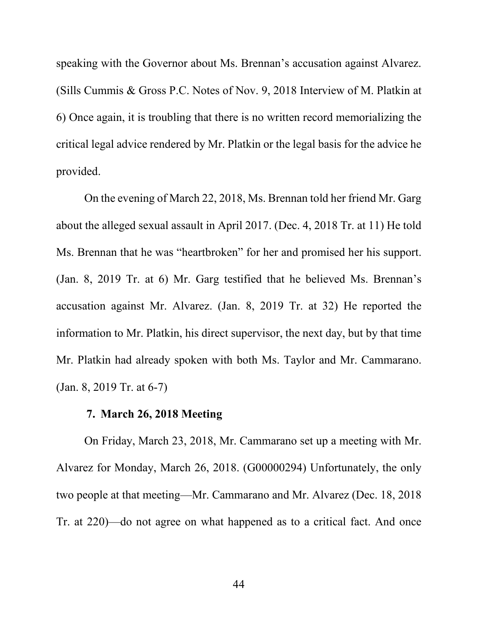speaking with the Governor about Ms. Brennan's accusation against Alvarez. (Sills Cummis & Gross P.C. Notes of Nov. 9, 2018 Interview of M. Platkin at 6) Once again, it is troubling that there is no written record memorializing the critical legal advice rendered by Mr. Platkin or the legal basis for the advice he provided.

On the evening of March 22, 2018, Ms. Brennan told her friend Mr. Garg about the alleged sexual assault in April 2017. (Dec. 4, 2018 Tr. at 11) He told Ms. Brennan that he was "heartbroken" for her and promised her his support. (Jan. 8, 2019 Tr. at 6) Mr. Garg testified that he believed Ms. Brennan's accusation against Mr. Alvarez. (Jan. 8, 2019 Tr. at 32) He reported the information to Mr. Platkin, his direct supervisor, the next day, but by that time Mr. Platkin had already spoken with both Ms. Taylor and Mr. Cammarano. (Jan. 8, 2019 Tr. at 6-7)

### **7. March 26, 2018 Meeting**

On Friday, March 23, 2018, Mr. Cammarano set up a meeting with Mr. Alvarez for Monday, March 26, 2018. (G00000294) Unfortunately, the only two people at that meeting—Mr. Cammarano and Mr. Alvarez (Dec. 18, 2018 Tr. at 220)—do not agree on what happened as to a critical fact. And once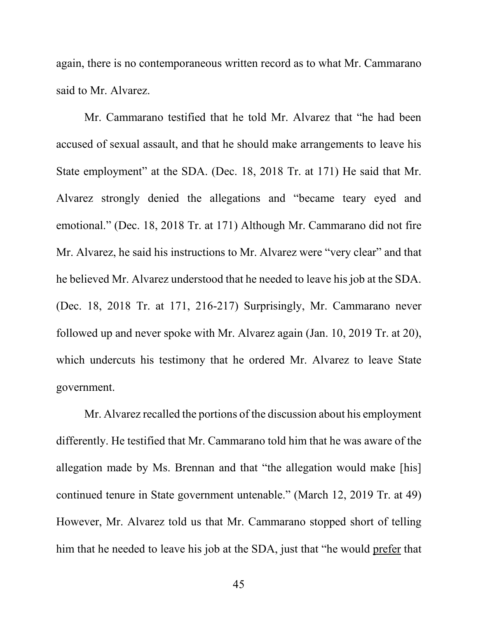again, there is no contemporaneous written record as to what Mr. Cammarano said to Mr. Alvarez.

Mr. Cammarano testified that he told Mr. Alvarez that "he had been accused of sexual assault, and that he should make arrangements to leave his State employment" at the SDA. (Dec. 18, 2018 Tr. at 171) He said that Mr. Alvarez strongly denied the allegations and "became teary eyed and emotional." (Dec. 18, 2018 Tr. at 171) Although Mr. Cammarano did not fire Mr. Alvarez, he said his instructions to Mr. Alvarez were "very clear" and that he believed Mr. Alvarez understood that he needed to leave his job at the SDA. (Dec. 18, 2018 Tr. at 171, 216-217) Surprisingly, Mr. Cammarano never followed up and never spoke with Mr. Alvarez again (Jan. 10, 2019 Tr. at 20), which undercuts his testimony that he ordered Mr. Alvarez to leave State government.

Mr. Alvarez recalled the portions of the discussion about his employment differently. He testified that Mr. Cammarano told him that he was aware of the allegation made by Ms. Brennan and that "the allegation would make [his] continued tenure in State government untenable." (March 12, 2019 Tr. at 49) However, Mr. Alvarez told us that Mr. Cammarano stopped short of telling him that he needed to leave his job at the SDA, just that "he would prefer that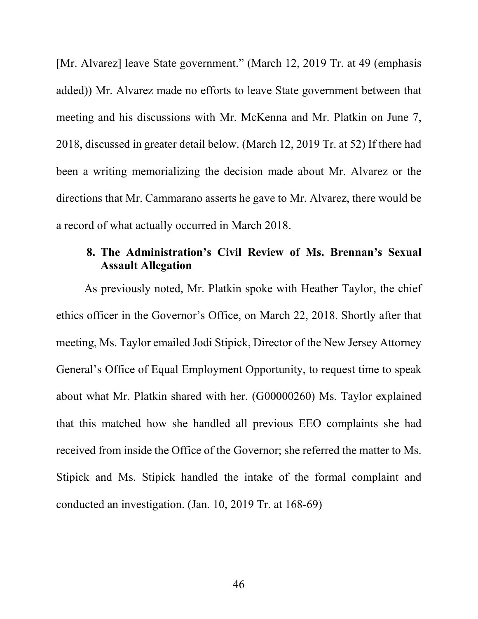[Mr. Alvarez] leave State government." (March 12, 2019 Tr. at 49 (emphasis added)) Mr. Alvarez made no efforts to leave State government between that meeting and his discussions with Mr. McKenna and Mr. Platkin on June 7, 2018, discussed in greater detail below. (March 12, 2019 Tr. at 52) If there had been a writing memorializing the decision made about Mr. Alvarez or the directions that Mr. Cammarano asserts he gave to Mr. Alvarez, there would be a record of what actually occurred in March 2018.

# **8. The Administration's Civil Review of Ms. Brennan's Sexual Assault Allegation**

As previously noted, Mr. Platkin spoke with Heather Taylor, the chief ethics officer in the Governor's Office, on March 22, 2018. Shortly after that meeting, Ms. Taylor emailed Jodi Stipick, Director of the New Jersey Attorney General's Office of Equal Employment Opportunity, to request time to speak about what Mr. Platkin shared with her. (G00000260) Ms. Taylor explained that this matched how she handled all previous EEO complaints she had received from inside the Office of the Governor; she referred the matter to Ms. Stipick and Ms. Stipick handled the intake of the formal complaint and conducted an investigation. (Jan. 10, 2019 Tr. at 168-69)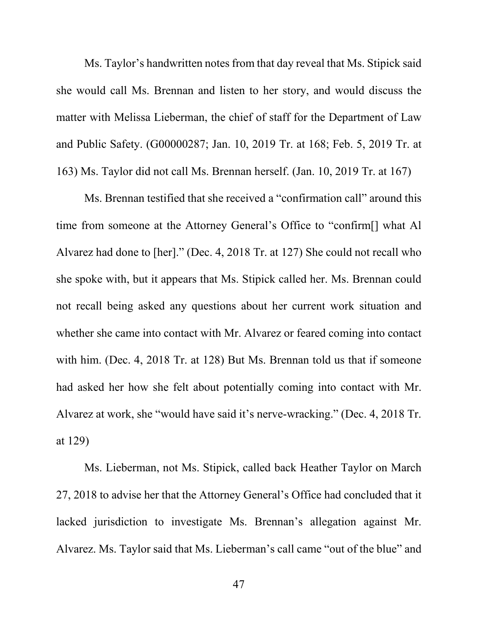Ms. Taylor's handwritten notes from that day reveal that Ms. Stipick said she would call Ms. Brennan and listen to her story, and would discuss the matter with Melissa Lieberman, the chief of staff for the Department of Law and Public Safety. (G00000287; Jan. 10, 2019 Tr. at 168; Feb. 5, 2019 Tr. at 163) Ms. Taylor did not call Ms. Brennan herself. (Jan. 10, 2019 Tr. at 167)

Ms. Brennan testified that she received a "confirmation call" around this time from someone at the Attorney General's Office to "confirm[] what Al Alvarez had done to [her]." (Dec. 4, 2018 Tr. at 127) She could not recall who she spoke with, but it appears that Ms. Stipick called her. Ms. Brennan could not recall being asked any questions about her current work situation and whether she came into contact with Mr. Alvarez or feared coming into contact with him. (Dec. 4, 2018 Tr. at 128) But Ms. Brennan told us that if someone had asked her how she felt about potentially coming into contact with Mr. Alvarez at work, she "would have said it's nerve-wracking." (Dec. 4, 2018 Tr. at 129)

Ms. Lieberman, not Ms. Stipick, called back Heather Taylor on March 27, 2018 to advise her that the Attorney General's Office had concluded that it lacked jurisdiction to investigate Ms. Brennan's allegation against Mr. Alvarez. Ms. Taylor said that Ms. Lieberman's call came "out of the blue" and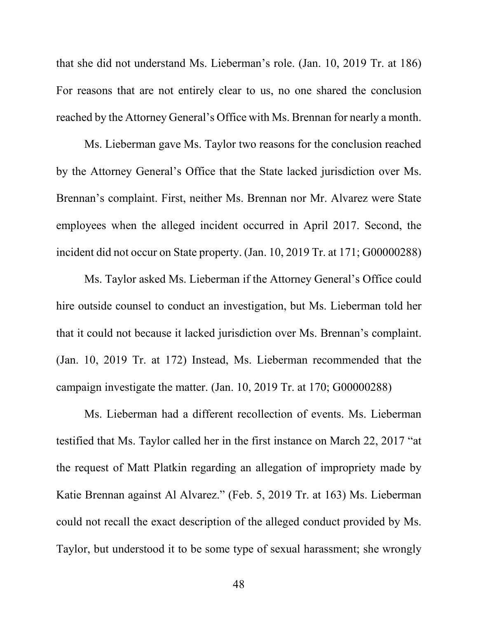that she did not understand Ms. Lieberman's role. (Jan. 10, 2019 Tr. at 186) For reasons that are not entirely clear to us, no one shared the conclusion reached by the Attorney General's Office with Ms. Brennan for nearly a month.

Ms. Lieberman gave Ms. Taylor two reasons for the conclusion reached by the Attorney General's Office that the State lacked jurisdiction over Ms. Brennan's complaint. First, neither Ms. Brennan nor Mr. Alvarez were State employees when the alleged incident occurred in April 2017. Second, the incident did not occur on State property. (Jan. 10, 2019 Tr. at 171; G00000288)

Ms. Taylor asked Ms. Lieberman if the Attorney General's Office could hire outside counsel to conduct an investigation, but Ms. Lieberman told her that it could not because it lacked jurisdiction over Ms. Brennan's complaint. (Jan. 10, 2019 Tr. at 172) Instead, Ms. Lieberman recommended that the campaign investigate the matter. (Jan. 10, 2019 Tr. at 170; G00000288)

Ms. Lieberman had a different recollection of events. Ms. Lieberman testified that Ms. Taylor called her in the first instance on March 22, 2017 "at the request of Matt Platkin regarding an allegation of impropriety made by Katie Brennan against Al Alvarez." (Feb. 5, 2019 Tr. at 163) Ms. Lieberman could not recall the exact description of the alleged conduct provided by Ms. Taylor, but understood it to be some type of sexual harassment; she wrongly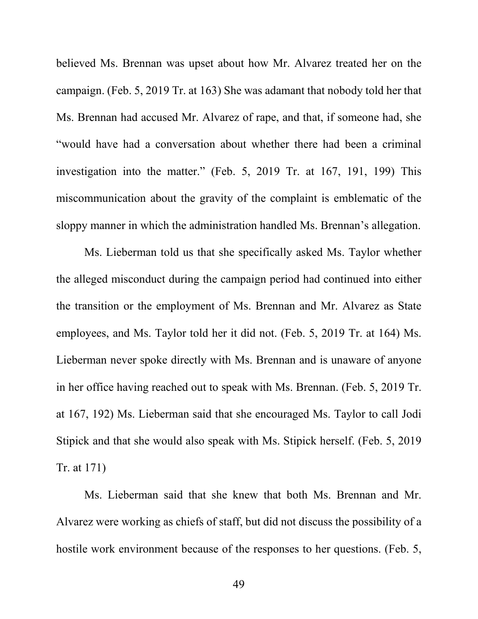believed Ms. Brennan was upset about how Mr. Alvarez treated her on the campaign. (Feb. 5, 2019 Tr. at 163) She was adamant that nobody told her that Ms. Brennan had accused Mr. Alvarez of rape, and that, if someone had, she "would have had a conversation about whether there had been a criminal investigation into the matter." (Feb. 5, 2019 Tr. at 167, 191, 199) This miscommunication about the gravity of the complaint is emblematic of the sloppy manner in which the administration handled Ms. Brennan's allegation.

Ms. Lieberman told us that she specifically asked Ms. Taylor whether the alleged misconduct during the campaign period had continued into either the transition or the employment of Ms. Brennan and Mr. Alvarez as State employees, and Ms. Taylor told her it did not. (Feb. 5, 2019 Tr. at 164) Ms. Lieberman never spoke directly with Ms. Brennan and is unaware of anyone in her office having reached out to speak with Ms. Brennan. (Feb. 5, 2019 Tr. at 167, 192) Ms. Lieberman said that she encouraged Ms. Taylor to call Jodi Stipick and that she would also speak with Ms. Stipick herself. (Feb. 5, 2019 Tr. at 171)

Ms. Lieberman said that she knew that both Ms. Brennan and Mr. Alvarez were working as chiefs of staff, but did not discuss the possibility of a hostile work environment because of the responses to her questions. (Feb. 5,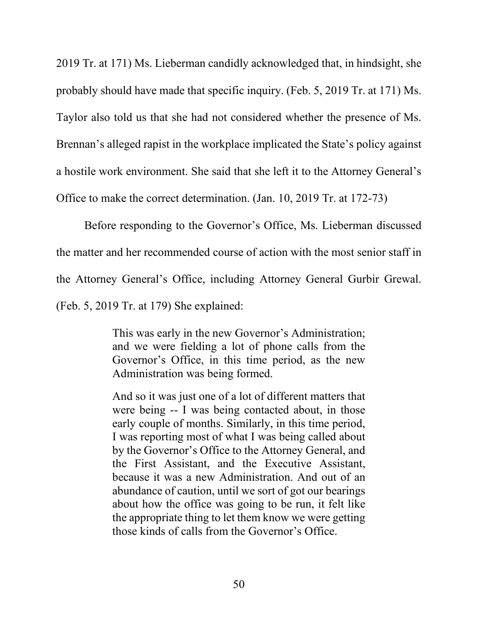2019 Tr. at 171) Ms. Lieberman candidly acknowledged that, in hindsight, she probably should have made that specific inquiry. (Feb. 5, 2019 Tr. at 171) Ms. Taylor also told us that she had not considered whether the presence of Ms. Brennan's alleged rapist in the workplace implicated the State's policy against a hostile work environment. She said that she left it to the Attorney General's Office to make the correct determination. (Jan. 10, 2019 Tr. at 172-73)

Before responding to the Governor's Office, Ms. Lieberman discussed the matter and her recommended course of action with the most senior staff in the Attorney General's Office, including Attorney General Gurbir Grewal. (Feb. 5, 2019 Tr. at 179) She explained:

> This was early in the new Governor's Administration; and we were fielding a lot of phone calls from the Governor's Office, in this time period, as the new Administration was being formed.

> And so it was just one of a lot of different matters that were being -- I was being contacted about, in those early couple of months. Similarly, in this time period, I was reporting most of what I was being called about by the Governor's Office to the Attorney General, and the First Assistant, and the Executive Assistant, because it was a new Administration. And out of an abundance of caution, until we sort of got our bearings about how the office was going to be run, it felt like the appropriate thing to let them know we were getting those kinds of calls from the Governor's Office.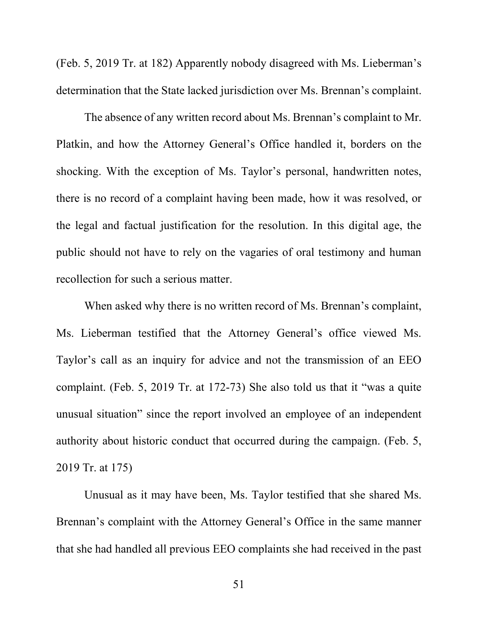(Feb. 5, 2019 Tr. at 182) Apparently nobody disagreed with Ms. Lieberman's determination that the State lacked jurisdiction over Ms. Brennan's complaint.

The absence of any written record about Ms. Brennan's complaint to Mr. Platkin, and how the Attorney General's Office handled it, borders on the shocking. With the exception of Ms. Taylor's personal, handwritten notes, there is no record of a complaint having been made, how it was resolved, or the legal and factual justification for the resolution. In this digital age, the public should not have to rely on the vagaries of oral testimony and human recollection for such a serious matter.

When asked why there is no written record of Ms. Brennan's complaint, Ms. Lieberman testified that the Attorney General's office viewed Ms. Taylor's call as an inquiry for advice and not the transmission of an EEO complaint. (Feb. 5, 2019 Tr. at 172-73) She also told us that it "was a quite unusual situation" since the report involved an employee of an independent authority about historic conduct that occurred during the campaign. (Feb. 5, 2019 Tr. at 175)

Unusual as it may have been, Ms. Taylor testified that she shared Ms. Brennan's complaint with the Attorney General's Office in the same manner that she had handled all previous EEO complaints she had received in the past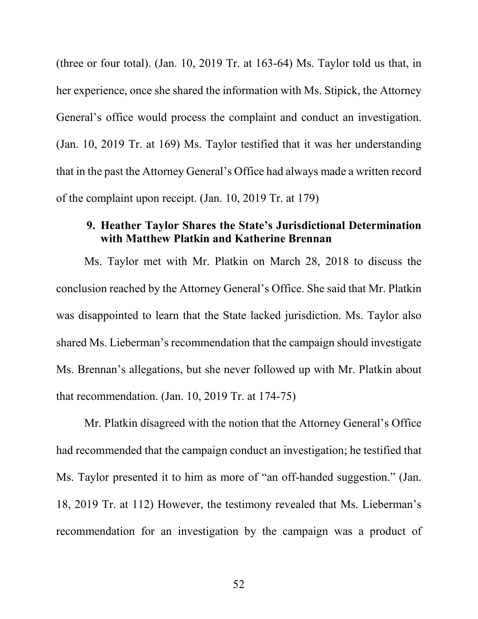(three or four total). (Jan. 10, 2019 Tr. at 163-64) Ms. Taylor told us that, in her experience, once she shared the information with Ms. Stipick, the Attorney General's office would process the complaint and conduct an investigation. (Jan. 10, 2019 Tr. at 169) Ms. Taylor testified that it was her understanding that in the past the Attorney General's Office had always made a written record of the complaint upon receipt. (Jan. 10, 2019 Tr. at 179)

# **9. Heather Taylor Shares the State's Jurisdictional Determination with Matthew Platkin and Katherine Brennan**

Ms. Taylor met with Mr. Platkin on March 28, 2018 to discuss the conclusion reached by the Attorney General's Office. She said that Mr. Platkin was disappointed to learn that the State lacked jurisdiction. Ms. Taylor also shared Ms. Lieberman's recommendation that the campaign should investigate Ms. Brennan's allegations, but she never followed up with Mr. Platkin about that recommendation. (Jan. 10, 2019 Tr. at 174-75)

Mr. Platkin disagreed with the notion that the Attorney General's Office had recommended that the campaign conduct an investigation; he testified that Ms. Taylor presented it to him as more of "an off-handed suggestion." (Jan. 18, 2019 Tr. at 112) However, the testimony revealed that Ms. Lieberman's recommendation for an investigation by the campaign was a product of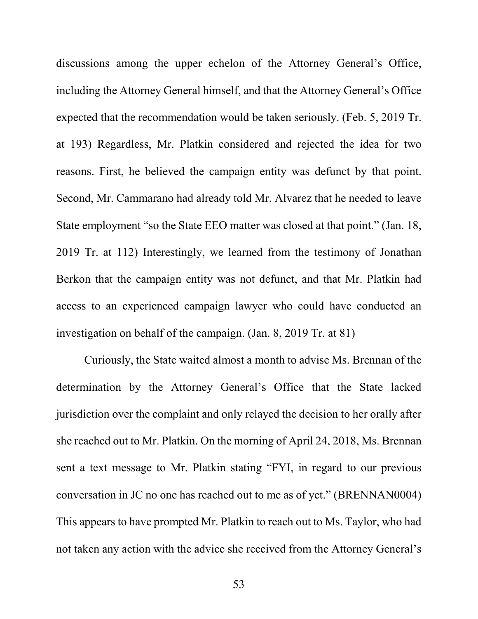discussions among the upper echelon of the Attorney General's Office, including the Attorney General himself, and that the Attorney General's Office expected that the recommendation would be taken seriously. (Feb. 5, 2019 Tr. at 193) Regardless, Mr. Platkin considered and rejected the idea for two reasons. First, he believed the campaign entity was defunct by that point. Second, Mr. Cammarano had already told Mr. Alvarez that he needed to leave State employment "so the State EEO matter was closed at that point." (Jan. 18, 2019 Tr. at 112) Interestingly, we learned from the testimony of Jonathan Berkon that the campaign entity was not defunct, and that Mr. Platkin had access to an experienced campaign lawyer who could have conducted an investigation on behalf of the campaign. (Jan. 8, 2019 Tr. at 81)

Curiously, the State waited almost a month to advise Ms. Brennan of the determination by the Attorney General's Office that the State lacked jurisdiction over the complaint and only relayed the decision to her orally after she reached out to Mr. Platkin. On the morning of April 24, 2018, Ms. Brennan sent a text message to Mr. Platkin stating "FYI, in regard to our previous conversation in JC no one has reached out to me as of yet." (BRENNAN0004) This appears to have prompted Mr. Platkin to reach out to Ms. Taylor, who had not taken any action with the advice she received from the Attorney General's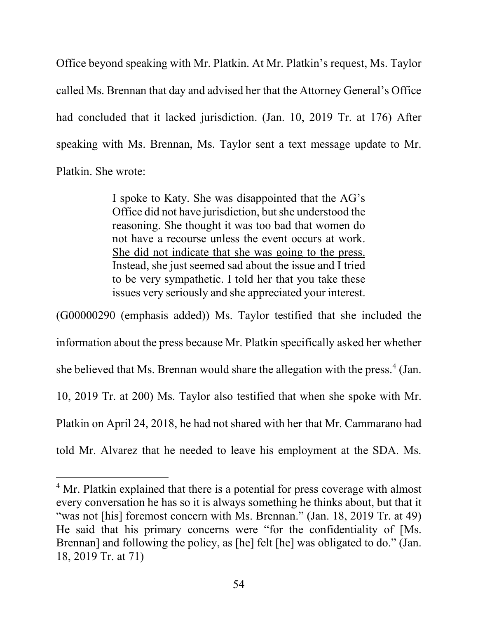Office beyond speaking with Mr. Platkin. At Mr. Platkin's request, Ms. Taylor called Ms. Brennan that day and advised her that the Attorney General's Office had concluded that it lacked jurisdiction. (Jan. 10, 2019 Tr. at 176) After speaking with Ms. Brennan, Ms. Taylor sent a text message update to Mr. Platkin. She wrote:

> I spoke to Katy. She was disappointed that the AG's Office did not have jurisdiction, but she understood the reasoning. She thought it was too bad that women do not have a recourse unless the event occurs at work. She did not indicate that she was going to the press. Instead, she just seemed sad about the issue and I tried to be very sympathetic. I told her that you take these issues very seriously and she appreciated your interest.

(G00000290 (emphasis added)) Ms. Taylor testified that she included the information about the press because Mr. Platkin specifically asked her whether she believed that Ms. Brennan would share the allegation with the press. $4$  (Jan.) 10, 2019 Tr. at 200) Ms. Taylor also testified that when she spoke with Mr. Platkin on April 24, 2018, he had not shared with her that Mr. Cammarano had told Mr. Alvarez that he needed to leave his employment at the SDA. Ms.

l

<span id="page-57-0"></span><sup>&</sup>lt;sup>4</sup> Mr. Platkin explained that there is a potential for press coverage with almost every conversation he has so it is always something he thinks about, but that it "was not [his] foremost concern with Ms. Brennan." (Jan. 18, 2019 Tr. at 49) He said that his primary concerns were "for the confidentiality of [Ms. Brennan] and following the policy, as [he] felt [he] was obligated to do." (Jan. 18, 2019 Tr. at 71)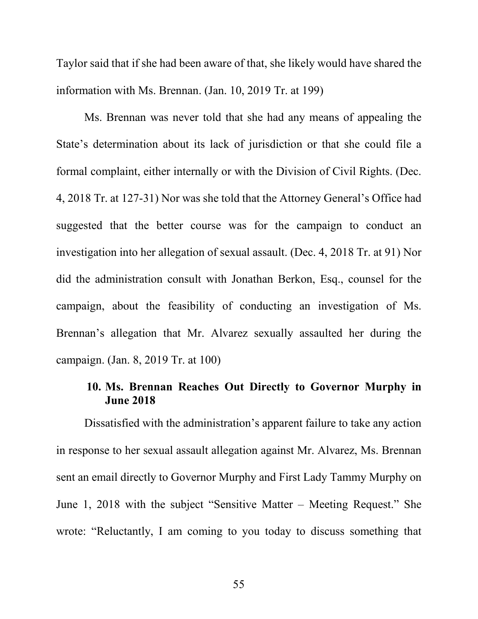Taylor said that if she had been aware of that, she likely would have shared the information with Ms. Brennan. (Jan. 10, 2019 Tr. at 199)

Ms. Brennan was never told that she had any means of appealing the State's determination about its lack of jurisdiction or that she could file a formal complaint, either internally or with the Division of Civil Rights. (Dec. 4, 2018 Tr. at 127-31) Nor was she told that the Attorney General's Office had suggested that the better course was for the campaign to conduct an investigation into her allegation of sexual assault. (Dec. 4, 2018 Tr. at 91) Nor did the administration consult with Jonathan Berkon, Esq., counsel for the campaign, about the feasibility of conducting an investigation of Ms. Brennan's allegation that Mr. Alvarez sexually assaulted her during the campaign. (Jan. 8, 2019 Tr. at 100)

## **10. Ms. Brennan Reaches Out Directly to Governor Murphy in June 2018**

Dissatisfied with the administration's apparent failure to take any action in response to her sexual assault allegation against Mr. Alvarez, Ms. Brennan sent an email directly to Governor Murphy and First Lady Tammy Murphy on June 1, 2018 with the subject "Sensitive Matter – Meeting Request." She wrote: "Reluctantly, I am coming to you today to discuss something that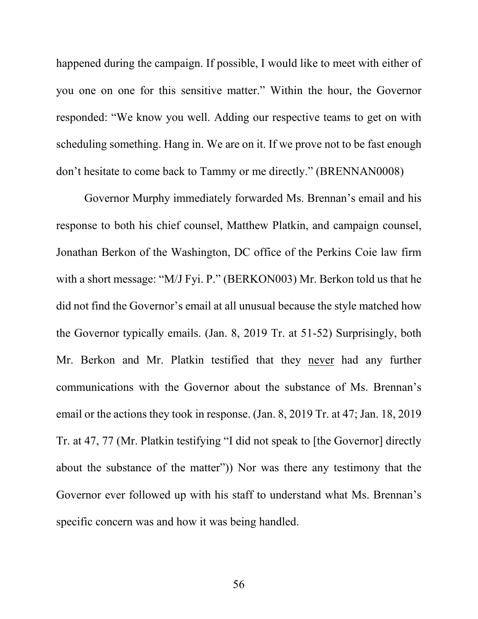happened during the campaign. If possible, I would like to meet with either of you one on one for this sensitive matter." Within the hour, the Governor responded: "We know you well. Adding our respective teams to get on with scheduling something. Hang in. We are on it. If we prove not to be fast enough don't hesitate to come back to Tammy or me directly." (BRENNAN0008)

Governor Murphy immediately forwarded Ms. Brennan's email and his response to both his chief counsel, Matthew Platkin, and campaign counsel, Jonathan Berkon of the Washington, DC office of the Perkins Coie law firm with a short message: "M/J Fyi. P." (BERKON003) Mr. Berkon told us that he did not find the Governor's email at all unusual because the style matched how the Governor typically emails. (Jan. 8, 2019 Tr. at 51-52) Surprisingly, both Mr. Berkon and Mr. Platkin testified that they never had any further communications with the Governor about the substance of Ms. Brennan's email or the actions they took in response. (Jan. 8, 2019 Tr. at 47; Jan. 18, 2019 Tr. at 47, 77 (Mr. Platkin testifying "I did not speak to [the Governor] directly about the substance of the matter")) Nor was there any testimony that the Governor ever followed up with his staff to understand what Ms. Brennan's specific concern was and how it was being handled.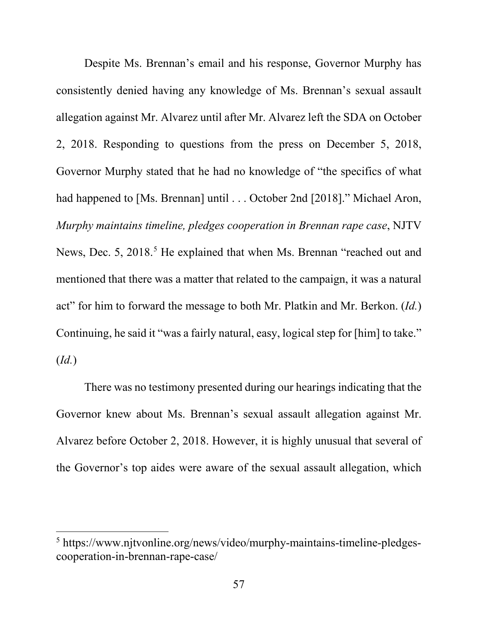Despite Ms. Brennan's email and his response, Governor Murphy has consistently denied having any knowledge of Ms. Brennan's sexual assault allegation against Mr. Alvarez until after Mr. Alvarez left the SDA on October 2, 2018. Responding to questions from the press on December 5, 2018, Governor Murphy stated that he had no knowledge of "the specifics of what had happened to [Ms. Brennan] until . . . October 2nd [2018]." Michael Aron, *Murphy maintains timeline, pledges cooperation in Brennan rape case*, NJTV News, Dec. [5](#page-60-0), 2018.<sup>5</sup> He explained that when Ms. Brennan "reached out and mentioned that there was a matter that related to the campaign, it was a natural act" for him to forward the message to both Mr. Platkin and Mr. Berkon. (*Id.*) Continuing, he said it "was a fairly natural, easy, logical step for [him] to take." (*Id.*)

There was no testimony presented during our hearings indicating that the Governor knew about Ms. Brennan's sexual assault allegation against Mr. Alvarez before October 2, 2018. However, it is highly unusual that several of the Governor's top aides were aware of the sexual assault allegation, which

l

<span id="page-60-0"></span><sup>5</sup> https://www.njtvonline.org/news/video/murphy-maintains-timeline-pledgescooperation-in-brennan-rape-case/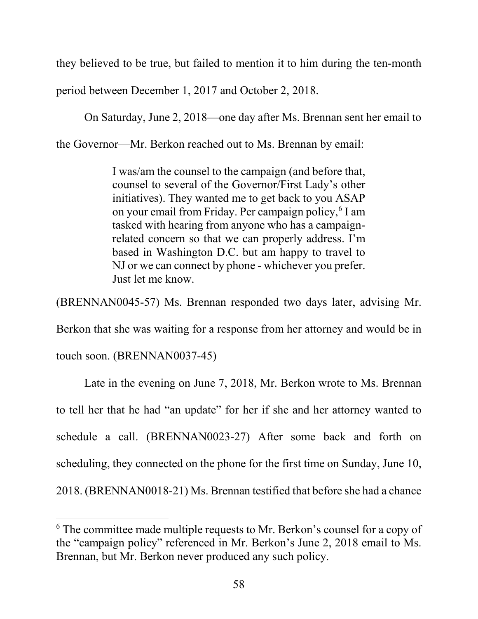they believed to be true, but failed to mention it to him during the ten-month

period between December 1, 2017 and October 2, 2018.

On Saturday, June 2, 2018—one day after Ms. Brennan sent her email to

the Governor—Mr. Berkon reached out to Ms. Brennan by email:

I was/am the counsel to the campaign (and before that, counsel to several of the Governor/First Lady's other initiatives). They wanted me to get back to you ASAP on your email from Friday. Per campaign policy,<sup>[6](#page-61-0)</sup> I am tasked with hearing from anyone who has a campaignrelated concern so that we can properly address. I'm based in Washington D.C. but am happy to travel to NJ or we can connect by phone - whichever you prefer. Just let me know.

(BRENNAN0045-57) Ms. Brennan responded two days later, advising Mr.

Berkon that she was waiting for a response from her attorney and would be in

touch soon. (BRENNAN0037-45)

 $\overline{a}$ 

Late in the evening on June 7, 2018, Mr. Berkon wrote to Ms. Brennan to tell her that he had "an update" for her if she and her attorney wanted to schedule a call. (BRENNAN0023-27) After some back and forth on scheduling, they connected on the phone for the first time on Sunday, June 10, 2018. (BRENNAN0018-21) Ms. Brennan testified that before she had a chance

<span id="page-61-0"></span> $6$  The committee made multiple requests to Mr. Berkon's counsel for a copy of the "campaign policy" referenced in Mr. Berkon's June 2, 2018 email to Ms. Brennan, but Mr. Berkon never produced any such policy.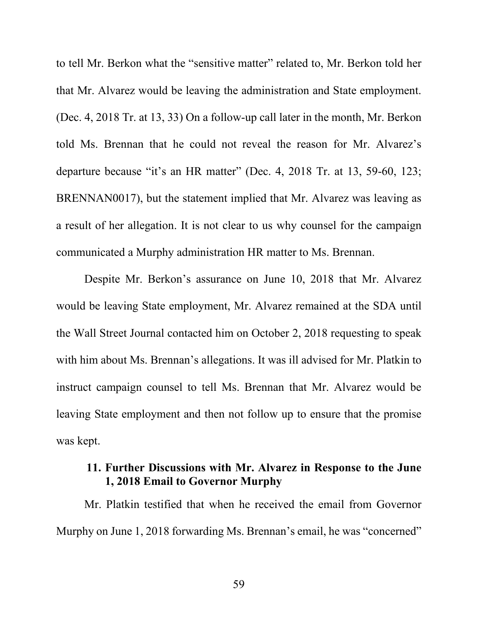to tell Mr. Berkon what the "sensitive matter" related to, Mr. Berkon told her that Mr. Alvarez would be leaving the administration and State employment. (Dec. 4, 2018 Tr. at 13, 33) On a follow-up call later in the month, Mr. Berkon told Ms. Brennan that he could not reveal the reason for Mr. Alvarez's departure because "it's an HR matter" (Dec. 4, 2018 Tr. at 13, 59-60, 123; BRENNAN0017), but the statement implied that Mr. Alvarez was leaving as a result of her allegation. It is not clear to us why counsel for the campaign communicated a Murphy administration HR matter to Ms. Brennan.

Despite Mr. Berkon's assurance on June 10, 2018 that Mr. Alvarez would be leaving State employment, Mr. Alvarez remained at the SDA until the Wall Street Journal contacted him on October 2, 2018 requesting to speak with him about Ms. Brennan's allegations. It was ill advised for Mr. Platkin to instruct campaign counsel to tell Ms. Brennan that Mr. Alvarez would be leaving State employment and then not follow up to ensure that the promise was kept.

## **11. Further Discussions with Mr. Alvarez in Response to the June 1, 2018 Email to Governor Murphy**

Mr. Platkin testified that when he received the email from Governor Murphy on June 1, 2018 forwarding Ms. Brennan's email, he was "concerned"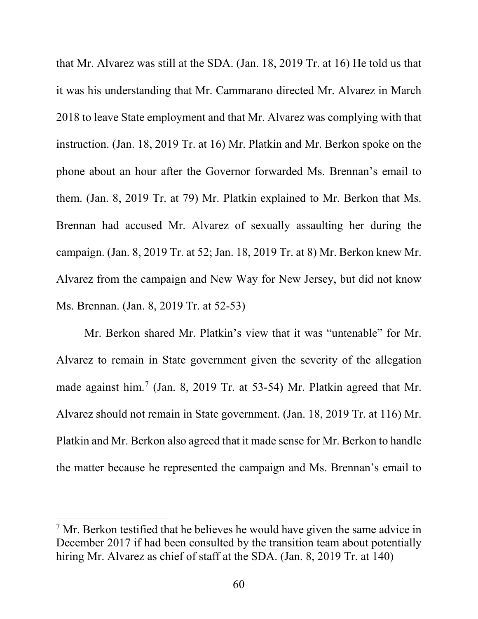that Mr. Alvarez was still at the SDA. (Jan. 18, 2019 Tr. at 16) He told us that it was his understanding that Mr. Cammarano directed Mr. Alvarez in March 2018 to leave State employment and that Mr. Alvarez was complying with that instruction. (Jan. 18, 2019 Tr. at 16) Mr. Platkin and Mr. Berkon spoke on the phone about an hour after the Governor forwarded Ms. Brennan's email to them. (Jan. 8, 2019 Tr. at 79) Mr. Platkin explained to Mr. Berkon that Ms. Brennan had accused Mr. Alvarez of sexually assaulting her during the campaign. (Jan. 8, 2019 Tr. at 52; Jan. 18, 2019 Tr. at 8) Mr. Berkon knew Mr. Alvarez from the campaign and New Way for New Jersey, but did not know Ms. Brennan. (Jan. 8, 2019 Tr. at 52-53)

Mr. Berkon shared Mr. Platkin's view that it was "untenable" for Mr. Alvarez to remain in State government given the severity of the allegation made against him.<sup>[7](#page-63-0)</sup> (Jan. 8, 2019 Tr. at 53-54) Mr. Platkin agreed that Mr. Alvarez should not remain in State government. (Jan. 18, 2019 Tr. at 116) Mr. Platkin and Mr. Berkon also agreed that it made sense for Mr. Berkon to handle the matter because he represented the campaign and Ms. Brennan's email to

 $\overline{a}$ 

<span id="page-63-0"></span> $7$  Mr. Berkon testified that he believes he would have given the same advice in December 2017 if had been consulted by the transition team about potentially hiring Mr. Alvarez as chief of staff at the SDA. (Jan. 8, 2019 Tr. at 140)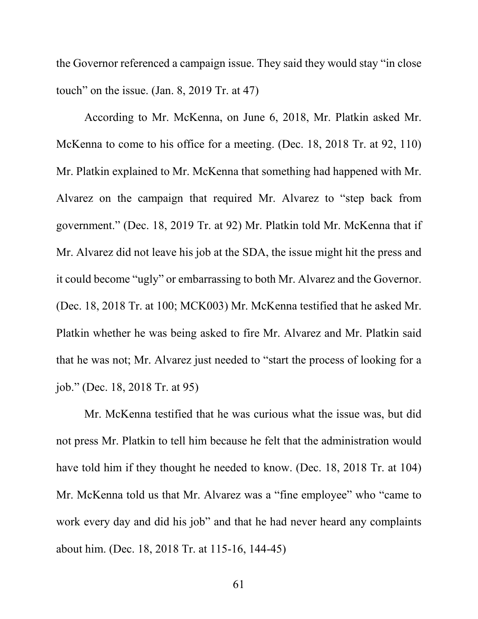the Governor referenced a campaign issue. They said they would stay "in close touch" on the issue. (Jan. 8, 2019 Tr. at 47)

According to Mr. McKenna, on June 6, 2018, Mr. Platkin asked Mr. McKenna to come to his office for a meeting. (Dec. 18, 2018 Tr. at 92, 110) Mr. Platkin explained to Mr. McKenna that something had happened with Mr. Alvarez on the campaign that required Mr. Alvarez to "step back from government." (Dec. 18, 2019 Tr. at 92) Mr. Platkin told Mr. McKenna that if Mr. Alvarez did not leave his job at the SDA, the issue might hit the press and it could become "ugly" or embarrassing to both Mr. Alvarez and the Governor. (Dec. 18, 2018 Tr. at 100; MCK003) Mr. McKenna testified that he asked Mr. Platkin whether he was being asked to fire Mr. Alvarez and Mr. Platkin said that he was not; Mr. Alvarez just needed to "start the process of looking for a job." (Dec. 18, 2018 Tr. at 95)

Mr. McKenna testified that he was curious what the issue was, but did not press Mr. Platkin to tell him because he felt that the administration would have told him if they thought he needed to know. (Dec. 18, 2018 Tr. at 104) Mr. McKenna told us that Mr. Alvarez was a "fine employee" who "came to work every day and did his job" and that he had never heard any complaints about him. (Dec. 18, 2018 Tr. at 115-16, 144-45)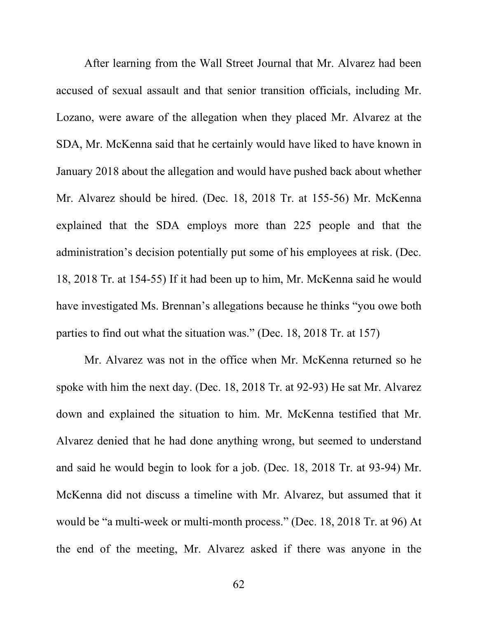After learning from the Wall Street Journal that Mr. Alvarez had been accused of sexual assault and that senior transition officials, including Mr. Lozano, were aware of the allegation when they placed Mr. Alvarez at the SDA, Mr. McKenna said that he certainly would have liked to have known in January 2018 about the allegation and would have pushed back about whether Mr. Alvarez should be hired. (Dec. 18, 2018 Tr. at 155-56) Mr. McKenna explained that the SDA employs more than 225 people and that the administration's decision potentially put some of his employees at risk. (Dec. 18, 2018 Tr. at 154-55) If it had been up to him, Mr. McKenna said he would have investigated Ms. Brennan's allegations because he thinks "you owe both parties to find out what the situation was." (Dec. 18, 2018 Tr. at 157)

Mr. Alvarez was not in the office when Mr. McKenna returned so he spoke with him the next day. (Dec. 18, 2018 Tr. at 92-93) He sat Mr. Alvarez down and explained the situation to him. Mr. McKenna testified that Mr. Alvarez denied that he had done anything wrong, but seemed to understand and said he would begin to look for a job. (Dec. 18, 2018 Tr. at 93-94) Mr. McKenna did not discuss a timeline with Mr. Alvarez, but assumed that it would be "a multi-week or multi-month process." (Dec. 18, 2018 Tr. at 96) At the end of the meeting, Mr. Alvarez asked if there was anyone in the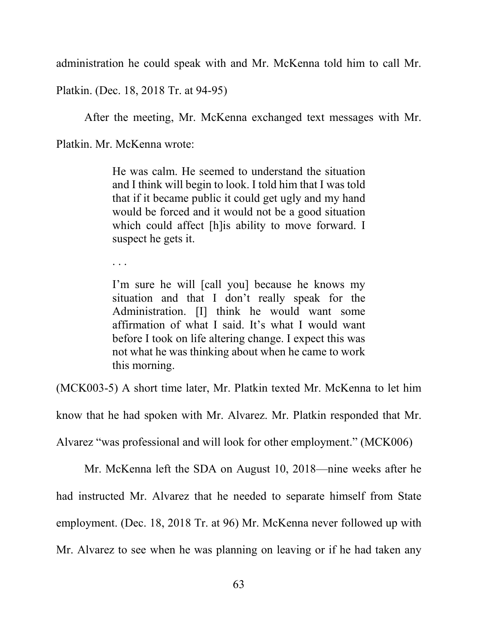administration he could speak with and Mr. McKenna told him to call Mr.

Platkin. (Dec. 18, 2018 Tr. at 94-95)

After the meeting, Mr. McKenna exchanged text messages with Mr.

Platkin. Mr. McKenna wrote:

He was calm. He seemed to understand the situation and I think will begin to look. I told him that I was told that if it became public it could get ugly and my hand would be forced and it would not be a good situation which could affect [h]is ability to move forward. I suspect he gets it.

. . .

I'm sure he will [call you] because he knows my situation and that I don't really speak for the Administration. [I] think he would want some affirmation of what I said. It's what I would want before I took on life altering change. I expect this was not what he was thinking about when he came to work this morning.

(MCK003-5) A short time later, Mr. Platkin texted Mr. McKenna to let him

know that he had spoken with Mr. Alvarez. Mr. Platkin responded that Mr.

Alvarez "was professional and will look for other employment." (MCK006)

Mr. McKenna left the SDA on August 10, 2018—nine weeks after he had instructed Mr. Alvarez that he needed to separate himself from State employment. (Dec. 18, 2018 Tr. at 96) Mr. McKenna never followed up with Mr. Alvarez to see when he was planning on leaving or if he had taken any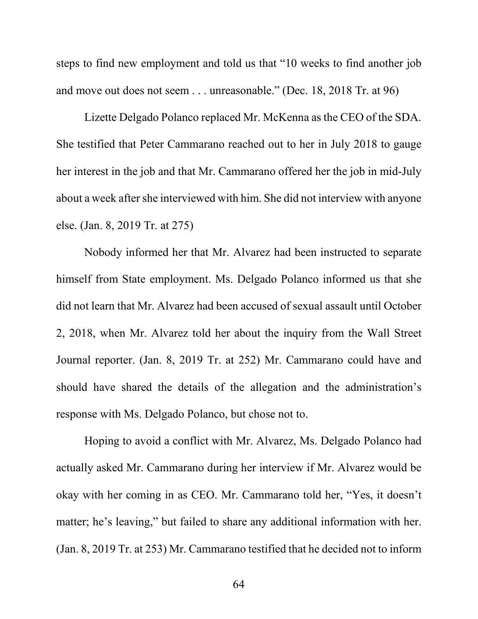steps to find new employment and told us that "10 weeks to find another job and move out does not seem . . . unreasonable." (Dec. 18, 2018 Tr. at 96)

Lizette Delgado Polanco replaced Mr. McKenna as the CEO of the SDA. She testified that Peter Cammarano reached out to her in July 2018 to gauge her interest in the job and that Mr. Cammarano offered her the job in mid-July about a week after she interviewed with him. She did not interview with anyone else. (Jan. 8, 2019 Tr. at 275)

Nobody informed her that Mr. Alvarez had been instructed to separate himself from State employment. Ms. Delgado Polanco informed us that she did not learn that Mr. Alvarez had been accused of sexual assault until October 2, 2018, when Mr. Alvarez told her about the inquiry from the Wall Street Journal reporter. (Jan. 8, 2019 Tr. at 252) Mr. Cammarano could have and should have shared the details of the allegation and the administration's response with Ms. Delgado Polanco, but chose not to.

Hoping to avoid a conflict with Mr. Alvarez, Ms. Delgado Polanco had actually asked Mr. Cammarano during her interview if Mr. Alvarez would be okay with her coming in as CEO. Mr. Cammarano told her, "Yes, it doesn't matter; he's leaving," but failed to share any additional information with her. (Jan. 8, 2019 Tr. at 253) Mr. Cammarano testified that he decided not to inform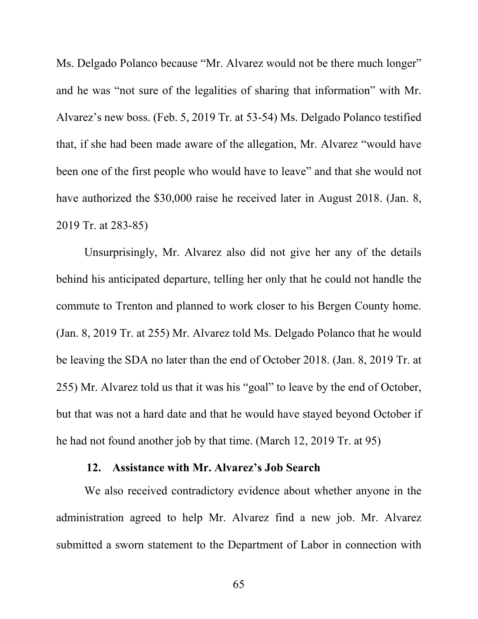Ms. Delgado Polanco because "Mr. Alvarez would not be there much longer" and he was "not sure of the legalities of sharing that information" with Mr. Alvarez's new boss. (Feb. 5, 2019 Tr. at 53-54) Ms. Delgado Polanco testified that, if she had been made aware of the allegation, Mr. Alvarez "would have been one of the first people who would have to leave" and that she would not have authorized the \$30,000 raise he received later in August 2018. (Jan. 8, 2019 Tr. at 283-85)

Unsurprisingly, Mr. Alvarez also did not give her any of the details behind his anticipated departure, telling her only that he could not handle the commute to Trenton and planned to work closer to his Bergen County home. (Jan. 8, 2019 Tr. at 255) Mr. Alvarez told Ms. Delgado Polanco that he would be leaving the SDA no later than the end of October 2018. (Jan. 8, 2019 Tr. at 255) Mr. Alvarez told us that it was his "goal" to leave by the end of October, but that was not a hard date and that he would have stayed beyond October if he had not found another job by that time. (March 12, 2019 Tr. at 95)

### **12. Assistance with Mr. Alvarez's Job Search**

We also received contradictory evidence about whether anyone in the administration agreed to help Mr. Alvarez find a new job. Mr. Alvarez submitted a sworn statement to the Department of Labor in connection with

65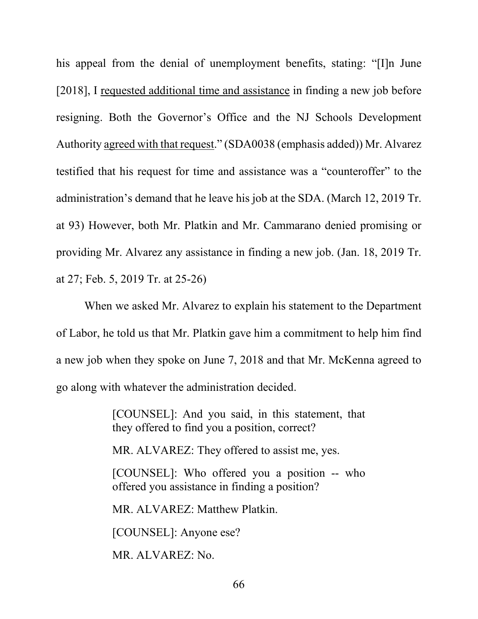his appeal from the denial of unemployment benefits, stating: "[I]n June [2018], I requested additional time and assistance in finding a new job before resigning. Both the Governor's Office and the NJ Schools Development Authority agreed with that request." (SDA0038 (emphasis added)) Mr. Alvarez testified that his request for time and assistance was a "counteroffer" to the administration's demand that he leave his job at the SDA. (March 12, 2019 Tr. at 93) However, both Mr. Platkin and Mr. Cammarano denied promising or providing Mr. Alvarez any assistance in finding a new job. (Jan. 18, 2019 Tr. at 27; Feb. 5, 2019 Tr. at 25-26)

When we asked Mr. Alvarez to explain his statement to the Department of Labor, he told us that Mr. Platkin gave him a commitment to help him find a new job when they spoke on June 7, 2018 and that Mr. McKenna agreed to go along with whatever the administration decided.

> [COUNSEL]: And you said, in this statement, that they offered to find you a position, correct?

MR. ALVAREZ: They offered to assist me, yes.

[COUNSEL]: Who offered you a position -- who offered you assistance in finding a position?

MR. ALVAREZ: Matthew Platkin.

[COUNSEL]: Anyone ese?

MR. ALVAREZ: No.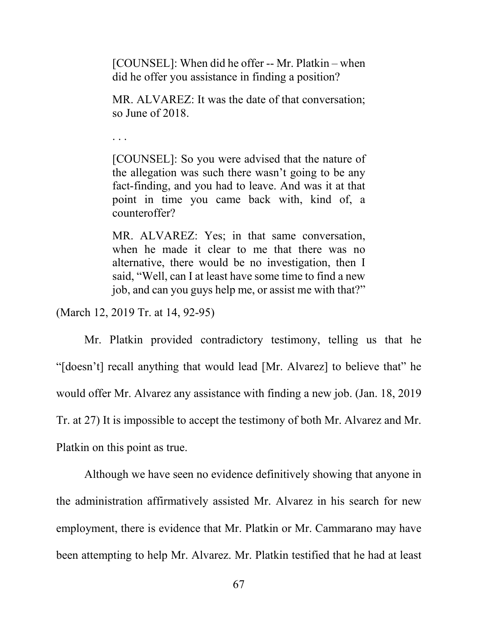[COUNSEL]: When did he offer -- Mr. Platkin – when did he offer you assistance in finding a position?

MR. ALVAREZ: It was the date of that conversation; so June of 2018.

. . .

[COUNSEL]: So you were advised that the nature of the allegation was such there wasn't going to be any fact-finding, and you had to leave. And was it at that point in time you came back with, kind of, a counteroffer?

MR. ALVAREZ: Yes; in that same conversation, when he made it clear to me that there was no alternative, there would be no investigation, then I said, "Well, can I at least have some time to find a new job, and can you guys help me, or assist me with that?"

(March 12, 2019 Tr. at 14, 92-95)

Mr. Platkin provided contradictory testimony, telling us that he "[doesn't] recall anything that would lead [Mr. Alvarez] to believe that" he would offer Mr. Alvarez any assistance with finding a new job. (Jan. 18, 2019 Tr. at 27) It is impossible to accept the testimony of both Mr. Alvarez and Mr. Platkin on this point as true.

Although we have seen no evidence definitively showing that anyone in the administration affirmatively assisted Mr. Alvarez in his search for new employment, there is evidence that Mr. Platkin or Mr. Cammarano may have been attempting to help Mr. Alvarez. Mr. Platkin testified that he had at least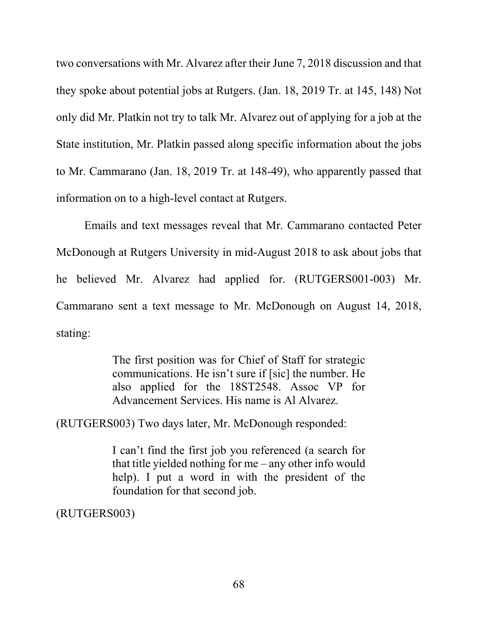two conversations with Mr. Alvarez after their June 7, 2018 discussion and that they spoke about potential jobs at Rutgers. (Jan. 18, 2019 Tr. at 145, 148) Not only did Mr. Platkin not try to talk Mr. Alvarez out of applying for a job at the State institution, Mr. Platkin passed along specific information about the jobs to Mr. Cammarano (Jan. 18, 2019 Tr. at 148-49), who apparently passed that information on to a high-level contact at Rutgers.

Emails and text messages reveal that Mr. Cammarano contacted Peter McDonough at Rutgers University in mid-August 2018 to ask about jobs that he believed Mr. Alvarez had applied for. (RUTGERS001-003) Mr. Cammarano sent a text message to Mr. McDonough on August 14, 2018, stating:

> The first position was for Chief of Staff for strategic communications. He isn't sure if [sic] the number. He also applied for the 18ST2548. Assoc VP for Advancement Services. His name is Al Alvarez.

(RUTGERS003) Two days later, Mr. McDonough responded:

I can't find the first job you referenced (a search for that title yielded nothing for me – any other info would help). I put a word in with the president of the foundation for that second job.

(RUTGERS003)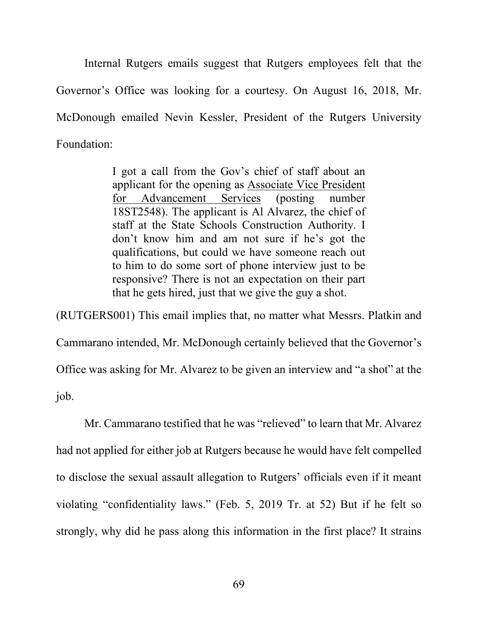Internal Rutgers emails suggest that Rutgers employees felt that the Governor's Office was looking for a courtesy. On August 16, 2018, Mr. McDonough emailed Nevin Kessler, President of the Rutgers University Foundation:

> I got a call from the Gov's chief of staff about an applicant for the opening as Associate Vice President for Advancement Services (posting number 18ST2548). The applicant is Al Alvarez, the chief of staff at the State Schools Construction Authority. I don't know him and am not sure if he's got the qualifications, but could we have someone reach out to him to do some sort of phone interview just to be responsive? There is not an expectation on their part that he gets hired, just that we give the guy a shot.

(RUTGERS001) This email implies that, no matter what Messrs. Platkin and Cammarano intended, Mr. McDonough certainly believed that the Governor's Office was asking for Mr. Alvarez to be given an interview and "a shot" at the job.

Mr. Cammarano testified that he was "relieved" to learn that Mr. Alvarez had not applied for either job at Rutgers because he would have felt compelled to disclose the sexual assault allegation to Rutgers' officials even if it meant violating "confidentiality laws." (Feb. 5, 2019 Tr. at 52) But if he felt so strongly, why did he pass along this information in the first place? It strains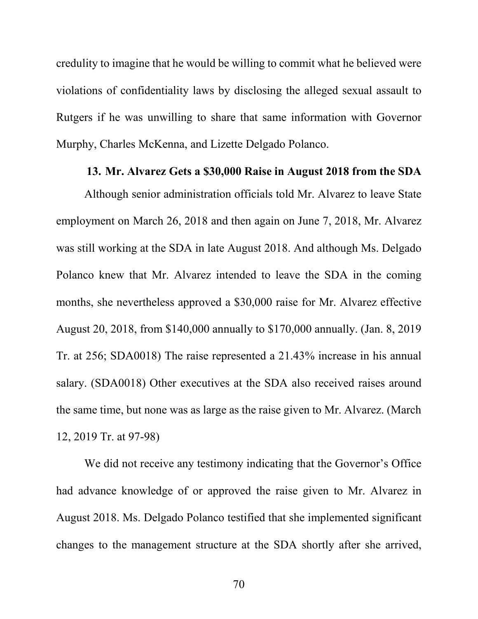credulity to imagine that he would be willing to commit what he believed were violations of confidentiality laws by disclosing the alleged sexual assault to Rutgers if he was unwilling to share that same information with Governor Murphy, Charles McKenna, and Lizette Delgado Polanco.

#### **13. Mr. Alvarez Gets a \$30,000 Raise in August 2018 from the SDA**

Although senior administration officials told Mr. Alvarez to leave State employment on March 26, 2018 and then again on June 7, 2018, Mr. Alvarez was still working at the SDA in late August 2018. And although Ms. Delgado Polanco knew that Mr. Alvarez intended to leave the SDA in the coming months, she nevertheless approved a \$30,000 raise for Mr. Alvarez effective August 20, 2018, from \$140,000 annually to \$170,000 annually. (Jan. 8, 2019 Tr. at 256; SDA0018) The raise represented a 21.43% increase in his annual salary. (SDA0018) Other executives at the SDA also received raises around the same time, but none was as large as the raise given to Mr. Alvarez. (March 12, 2019 Tr. at 97-98)

We did not receive any testimony indicating that the Governor's Office had advance knowledge of or approved the raise given to Mr. Alvarez in August 2018. Ms. Delgado Polanco testified that she implemented significant changes to the management structure at the SDA shortly after she arrived,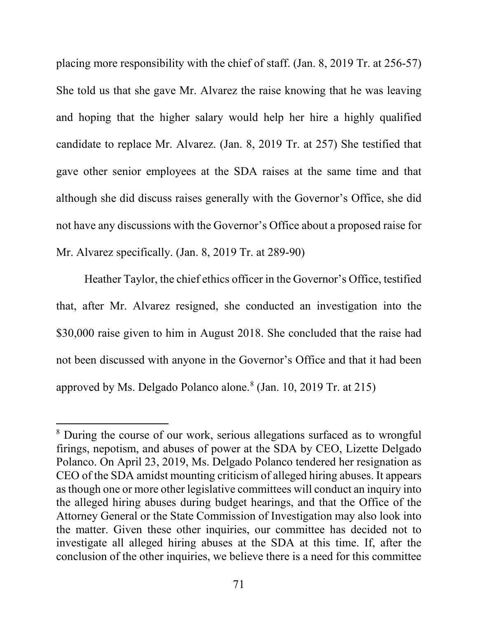placing more responsibility with the chief of staff. (Jan. 8, 2019 Tr. at 256-57) She told us that she gave Mr. Alvarez the raise knowing that he was leaving and hoping that the higher salary would help her hire a highly qualified candidate to replace Mr. Alvarez. (Jan. 8, 2019 Tr. at 257) She testified that gave other senior employees at the SDA raises at the same time and that although she did discuss raises generally with the Governor's Office, she did not have any discussions with the Governor's Office about a proposed raise for Mr. Alvarez specifically. (Jan. 8, 2019 Tr. at 289-90)

Heather Taylor, the chief ethics officer in the Governor's Office, testified that, after Mr. Alvarez resigned, she conducted an investigation into the \$30,000 raise given to him in August 2018. She concluded that the raise had not been discussed with anyone in the Governor's Office and that it had been approved by Ms. Delgado Polanco alone. $8$  (Jan. 10, 2019 Tr. at 215)

l

<span id="page-74-0"></span><sup>8</sup> During the course of our work, serious allegations surfaced as to wrongful firings, nepotism, and abuses of power at the SDA by CEO, Lizette Delgado Polanco. On April 23, 2019, Ms. Delgado Polanco tendered her resignation as CEO of the SDA amidst mounting criticism of alleged hiring abuses. It appears as though one or more other legislative committees will conduct an inquiry into the alleged hiring abuses during budget hearings, and that the Office of the Attorney General or the State Commission of Investigation may also look into the matter. Given these other inquiries, our committee has decided not to investigate all alleged hiring abuses at the SDA at this time. If, after the conclusion of the other inquiries, we believe there is a need for this committee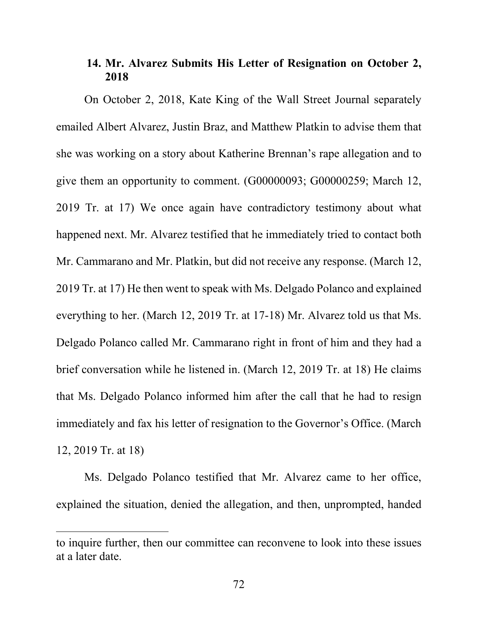# **14. Mr. Alvarez Submits His Letter of Resignation on October 2, 2018**

On October 2, 2018, Kate King of the Wall Street Journal separately emailed Albert Alvarez, Justin Braz, and Matthew Platkin to advise them that she was working on a story about Katherine Brennan's rape allegation and to give them an opportunity to comment. (G00000093; G00000259; March 12, 2019 Tr. at 17) We once again have contradictory testimony about what happened next. Mr. Alvarez testified that he immediately tried to contact both Mr. Cammarano and Mr. Platkin, but did not receive any response. (March 12, 2019 Tr. at 17) He then went to speak with Ms. Delgado Polanco and explained everything to her. (March 12, 2019 Tr. at 17-18) Mr. Alvarez told us that Ms. Delgado Polanco called Mr. Cammarano right in front of him and they had a brief conversation while he listened in. (March 12, 2019 Tr. at 18) He claims that Ms. Delgado Polanco informed him after the call that he had to resign immediately and fax his letter of resignation to the Governor's Office. (March 12, 2019 Tr. at 18)

Ms. Delgado Polanco testified that Mr. Alvarez came to her office, explained the situation, denied the allegation, and then, unprompted, handed

l

to inquire further, then our committee can reconvene to look into these issues at a later date.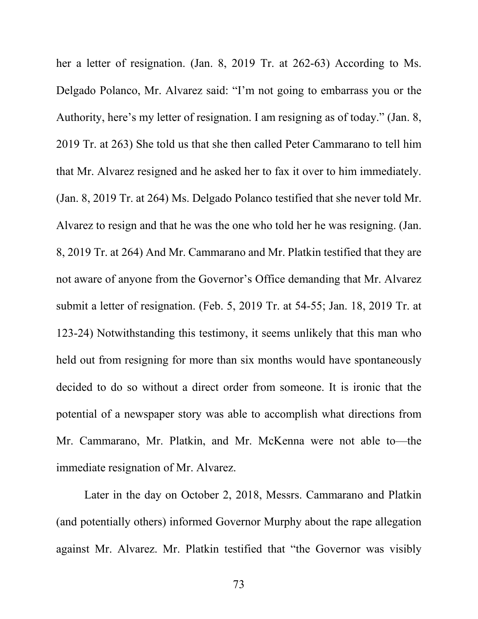her a letter of resignation. (Jan. 8, 2019 Tr. at 262-63) According to Ms. Delgado Polanco, Mr. Alvarez said: "I'm not going to embarrass you or the Authority, here's my letter of resignation. I am resigning as of today." (Jan. 8, 2019 Tr. at 263) She told us that she then called Peter Cammarano to tell him that Mr. Alvarez resigned and he asked her to fax it over to him immediately. (Jan. 8, 2019 Tr. at 264) Ms. Delgado Polanco testified that she never told Mr. Alvarez to resign and that he was the one who told her he was resigning. (Jan. 8, 2019 Tr. at 264) And Mr. Cammarano and Mr. Platkin testified that they are not aware of anyone from the Governor's Office demanding that Mr. Alvarez submit a letter of resignation. (Feb. 5, 2019 Tr. at 54-55; Jan. 18, 2019 Tr. at 123-24) Notwithstanding this testimony, it seems unlikely that this man who held out from resigning for more than six months would have spontaneously decided to do so without a direct order from someone. It is ironic that the potential of a newspaper story was able to accomplish what directions from Mr. Cammarano, Mr. Platkin, and Mr. McKenna were not able to—the immediate resignation of Mr. Alvarez.

Later in the day on October 2, 2018, Messrs. Cammarano and Platkin (and potentially others) informed Governor Murphy about the rape allegation against Mr. Alvarez. Mr. Platkin testified that "the Governor was visibly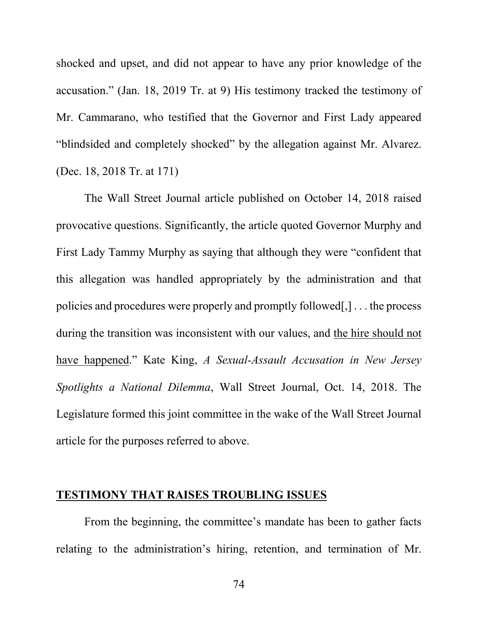shocked and upset, and did not appear to have any prior knowledge of the accusation." (Jan. 18, 2019 Tr. at 9) His testimony tracked the testimony of Mr. Cammarano, who testified that the Governor and First Lady appeared "blindsided and completely shocked" by the allegation against Mr. Alvarez. (Dec. 18, 2018 Tr. at 171)

The Wall Street Journal article published on October 14, 2018 raised provocative questions. Significantly, the article quoted Governor Murphy and First Lady Tammy Murphy as saying that although they were "confident that this allegation was handled appropriately by the administration and that policies and procedures were properly and promptly followed[,] . . . the process during the transition was inconsistent with our values, and the hire should not have happened." Kate King, *A Sexual-Assault Accusation in New Jersey Spotlights a National Dilemma*, Wall Street Journal, Oct. 14, 2018. The Legislature formed this joint committee in the wake of the Wall Street Journal article for the purposes referred to above.

## **TESTIMONY THAT RAISES TROUBLING ISSUES**

From the beginning, the committee's mandate has been to gather facts relating to the administration's hiring, retention, and termination of Mr.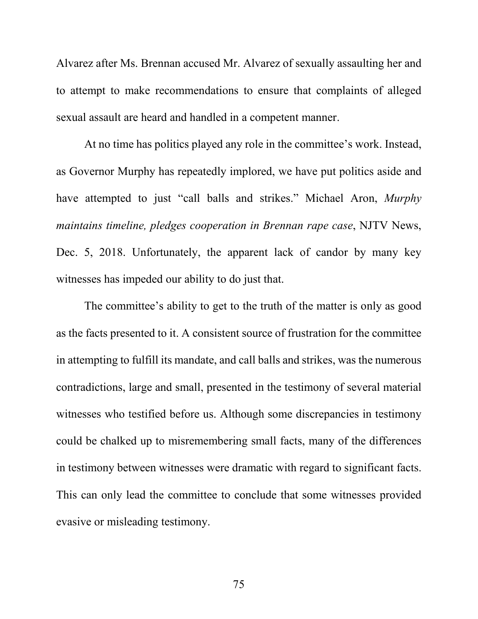Alvarez after Ms. Brennan accused Mr. Alvarez of sexually assaulting her and to attempt to make recommendations to ensure that complaints of alleged sexual assault are heard and handled in a competent manner.

At no time has politics played any role in the committee's work. Instead, as Governor Murphy has repeatedly implored, we have put politics aside and have attempted to just "call balls and strikes." Michael Aron, *Murphy maintains timeline, pledges cooperation in Brennan rape case*, NJTV News, Dec. 5, 2018. Unfortunately, the apparent lack of candor by many key witnesses has impeded our ability to do just that.

The committee's ability to get to the truth of the matter is only as good as the facts presented to it. A consistent source of frustration for the committee in attempting to fulfill its mandate, and call balls and strikes, was the numerous contradictions, large and small, presented in the testimony of several material witnesses who testified before us. Although some discrepancies in testimony could be chalked up to misremembering small facts, many of the differences in testimony between witnesses were dramatic with regard to significant facts. This can only lead the committee to conclude that some witnesses provided evasive or misleading testimony.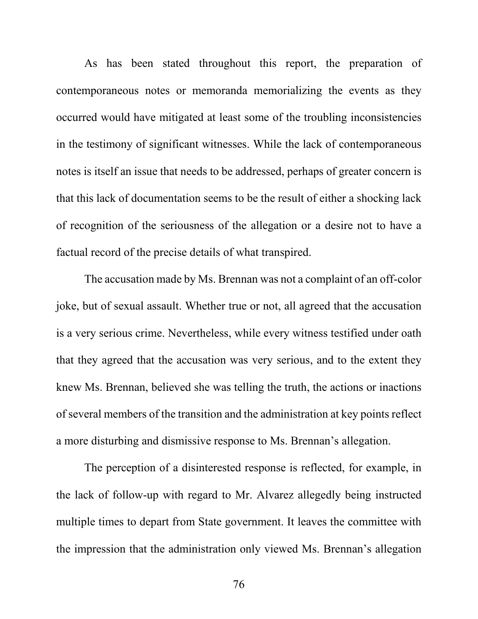As has been stated throughout this report, the preparation of contemporaneous notes or memoranda memorializing the events as they occurred would have mitigated at least some of the troubling inconsistencies in the testimony of significant witnesses. While the lack of contemporaneous notes is itself an issue that needs to be addressed, perhaps of greater concern is that this lack of documentation seems to be the result of either a shocking lack of recognition of the seriousness of the allegation or a desire not to have a factual record of the precise details of what transpired.

The accusation made by Ms. Brennan was not a complaint of an off-color joke, but of sexual assault. Whether true or not, all agreed that the accusation is a very serious crime. Nevertheless, while every witness testified under oath that they agreed that the accusation was very serious, and to the extent they knew Ms. Brennan, believed she was telling the truth, the actions or inactions of several members of the transition and the administration at key points reflect a more disturbing and dismissive response to Ms. Brennan's allegation.

The perception of a disinterested response is reflected, for example, in the lack of follow-up with regard to Mr. Alvarez allegedly being instructed multiple times to depart from State government. It leaves the committee with the impression that the administration only viewed Ms. Brennan's allegation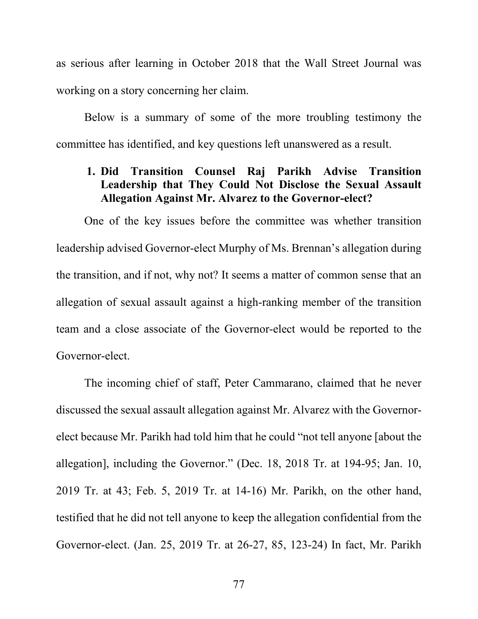as serious after learning in October 2018 that the Wall Street Journal was working on a story concerning her claim.

Below is a summary of some of the more troubling testimony the committee has identified, and key questions left unanswered as a result.

# **1. Did Transition Counsel Raj Parikh Advise Transition Leadership that They Could Not Disclose the Sexual Assault Allegation Against Mr. Alvarez to the Governor-elect?**

One of the key issues before the committee was whether transition leadership advised Governor-elect Murphy of Ms. Brennan's allegation during the transition, and if not, why not? It seems a matter of common sense that an allegation of sexual assault against a high-ranking member of the transition team and a close associate of the Governor-elect would be reported to the Governor-elect.

The incoming chief of staff, Peter Cammarano, claimed that he never discussed the sexual assault allegation against Mr. Alvarez with the Governorelect because Mr. Parikh had told him that he could "not tell anyone [about the allegation], including the Governor." (Dec. 18, 2018 Tr. at 194-95; Jan. 10, 2019 Tr. at 43; Feb. 5, 2019 Tr. at 14-16) Mr. Parikh, on the other hand, testified that he did not tell anyone to keep the allegation confidential from the Governor-elect. (Jan. 25, 2019 Tr. at 26-27, 85, 123-24) In fact, Mr. Parikh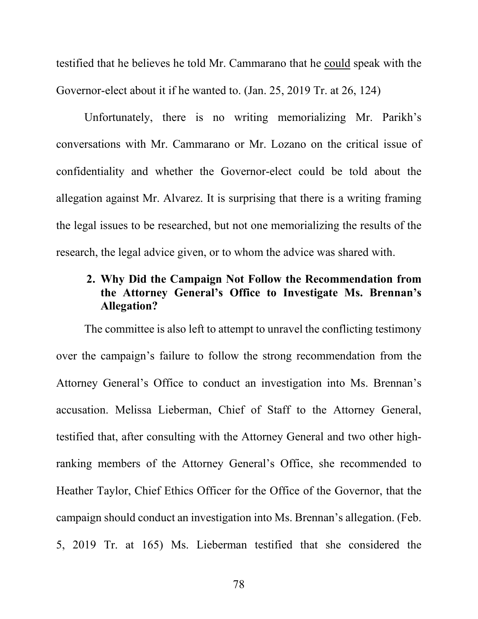testified that he believes he told Mr. Cammarano that he could speak with the Governor-elect about it if he wanted to. (Jan. 25, 2019 Tr. at 26, 124)

Unfortunately, there is no writing memorializing Mr. Parikh's conversations with Mr. Cammarano or Mr. Lozano on the critical issue of confidentiality and whether the Governor-elect could be told about the allegation against Mr. Alvarez. It is surprising that there is a writing framing the legal issues to be researched, but not one memorializing the results of the research, the legal advice given, or to whom the advice was shared with.

# **2. Why Did the Campaign Not Follow the Recommendation from the Attorney General's Office to Investigate Ms. Brennan's Allegation?**

The committee is also left to attempt to unravel the conflicting testimony over the campaign's failure to follow the strong recommendation from the Attorney General's Office to conduct an investigation into Ms. Brennan's accusation. Melissa Lieberman, Chief of Staff to the Attorney General, testified that, after consulting with the Attorney General and two other highranking members of the Attorney General's Office, she recommended to Heather Taylor, Chief Ethics Officer for the Office of the Governor, that the campaign should conduct an investigation into Ms. Brennan's allegation. (Feb. 5, 2019 Tr. at 165) Ms. Lieberman testified that she considered the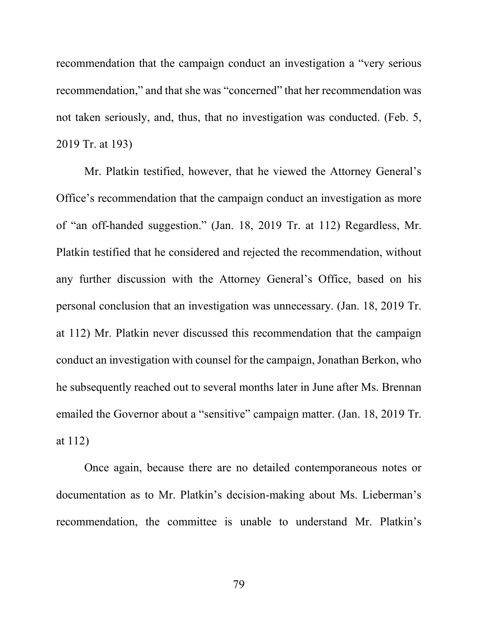recommendation that the campaign conduct an investigation a "very serious recommendation," and that she was "concerned" that her recommendation was not taken seriously, and, thus, that no investigation was conducted. (Feb. 5, 2019 Tr. at 193)

Mr. Platkin testified, however, that he viewed the Attorney General's Office's recommendation that the campaign conduct an investigation as more of "an off-handed suggestion." (Jan. 18, 2019 Tr. at 112) Regardless, Mr. Platkin testified that he considered and rejected the recommendation, without any further discussion with the Attorney General's Office, based on his personal conclusion that an investigation was unnecessary. (Jan. 18, 2019 Tr. at 112) Mr. Platkin never discussed this recommendation that the campaign conduct an investigation with counsel for the campaign, Jonathan Berkon, who he subsequently reached out to several months later in June after Ms. Brennan emailed the Governor about a "sensitive" campaign matter. (Jan. 18, 2019 Tr. at 112)

Once again, because there are no detailed contemporaneous notes or documentation as to Mr. Platkin's decision-making about Ms. Lieberman's recommendation, the committee is unable to understand Mr. Platkin's

79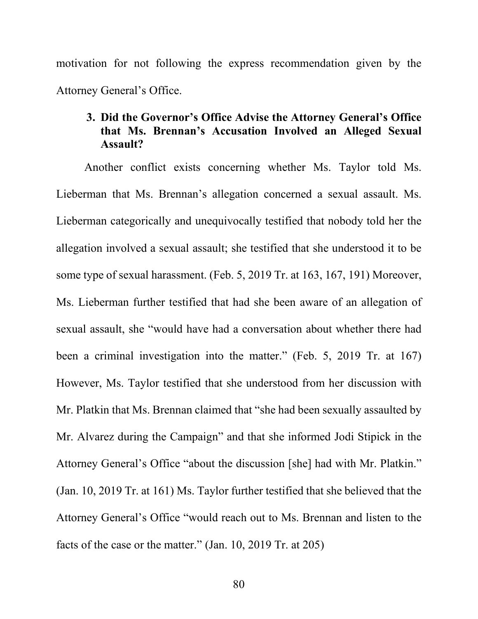motivation for not following the express recommendation given by the Attorney General's Office.

# **3. Did the Governor's Office Advise the Attorney General's Office that Ms. Brennan's Accusation Involved an Alleged Sexual Assault?**

Another conflict exists concerning whether Ms. Taylor told Ms. Lieberman that Ms. Brennan's allegation concerned a sexual assault. Ms. Lieberman categorically and unequivocally testified that nobody told her the allegation involved a sexual assault; she testified that she understood it to be some type of sexual harassment. (Feb. 5, 2019 Tr. at 163, 167, 191) Moreover, Ms. Lieberman further testified that had she been aware of an allegation of sexual assault, she "would have had a conversation about whether there had been a criminal investigation into the matter." (Feb. 5, 2019 Tr. at 167) However, Ms. Taylor testified that she understood from her discussion with Mr. Platkin that Ms. Brennan claimed that "she had been sexually assaulted by Mr. Alvarez during the Campaign" and that she informed Jodi Stipick in the Attorney General's Office "about the discussion [she] had with Mr. Platkin." (Jan. 10, 2019 Tr. at 161) Ms. Taylor further testified that she believed that the Attorney General's Office "would reach out to Ms. Brennan and listen to the facts of the case or the matter." (Jan. 10, 2019 Tr. at 205)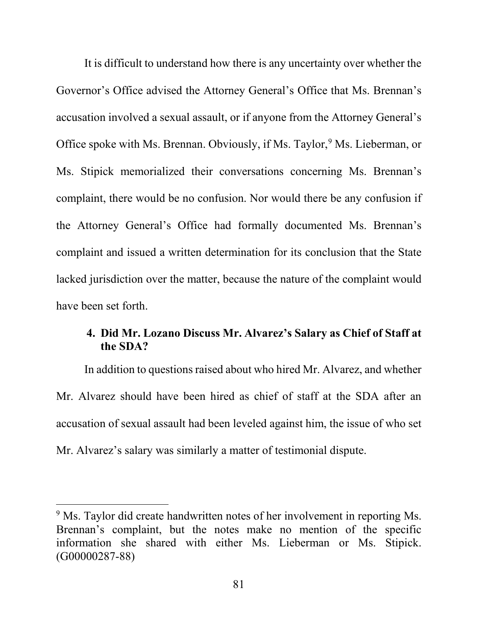It is difficult to understand how there is any uncertainty over whether the Governor's Office advised the Attorney General's Office that Ms. Brennan's accusation involved a sexual assault, or if anyone from the Attorney General's Office spoke with Ms. Brennan. Obviously, if Ms. Taylor,<sup>[9](#page-84-0)</sup> Ms. Lieberman, or Ms. Stipick memorialized their conversations concerning Ms. Brennan's complaint, there would be no confusion. Nor would there be any confusion if the Attorney General's Office had formally documented Ms. Brennan's complaint and issued a written determination for its conclusion that the State lacked jurisdiction over the matter, because the nature of the complaint would have been set forth.

# **4. Did Mr. Lozano Discuss Mr. Alvarez's Salary as Chief of Staff at the SDA?**

In addition to questions raised about who hired Mr. Alvarez, and whether Mr. Alvarez should have been hired as chief of staff at the SDA after an accusation of sexual assault had been leveled against him, the issue of who set Mr. Alvarez's salary was similarly a matter of testimonial dispute.

 $\overline{a}$ 

<span id="page-84-0"></span><sup>&</sup>lt;sup>9</sup> Ms. Taylor did create handwritten notes of her involvement in reporting Ms. Brennan's complaint, but the notes make no mention of the specific information she shared with either Ms. Lieberman or Ms. Stipick. (G00000287-88)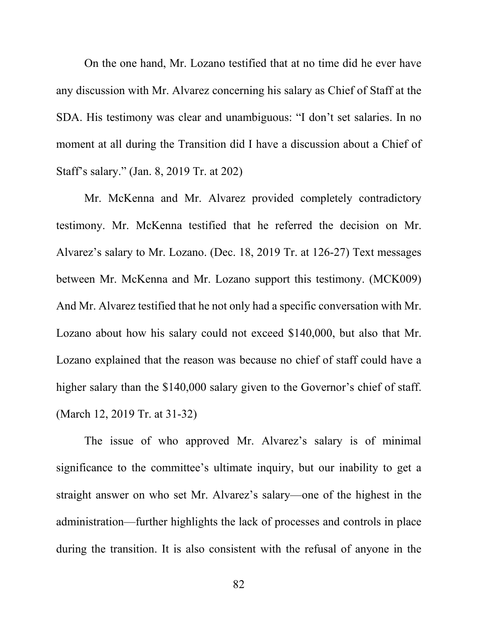On the one hand, Mr. Lozano testified that at no time did he ever have any discussion with Mr. Alvarez concerning his salary as Chief of Staff at the SDA. His testimony was clear and unambiguous: "I don't set salaries. In no moment at all during the Transition did I have a discussion about a Chief of Staff's salary." (Jan. 8, 2019 Tr. at 202)

Mr. McKenna and Mr. Alvarez provided completely contradictory testimony. Mr. McKenna testified that he referred the decision on Mr. Alvarez's salary to Mr. Lozano. (Dec. 18, 2019 Tr. at 126-27) Text messages between Mr. McKenna and Mr. Lozano support this testimony. (MCK009) And Mr. Alvarez testified that he not only had a specific conversation with Mr. Lozano about how his salary could not exceed \$140,000, but also that Mr. Lozano explained that the reason was because no chief of staff could have a higher salary than the \$140,000 salary given to the Governor's chief of staff. (March 12, 2019 Tr. at 31-32)

The issue of who approved Mr. Alvarez's salary is of minimal significance to the committee's ultimate inquiry, but our inability to get a straight answer on who set Mr. Alvarez's salary—one of the highest in the administration—further highlights the lack of processes and controls in place during the transition. It is also consistent with the refusal of anyone in the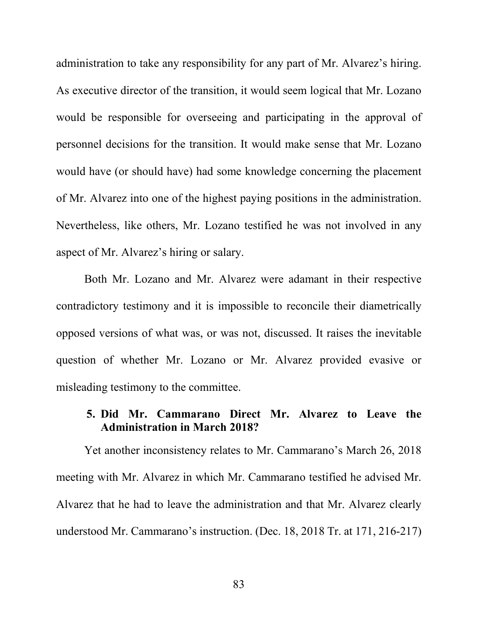administration to take any responsibility for any part of Mr. Alvarez's hiring. As executive director of the transition, it would seem logical that Mr. Lozano would be responsible for overseeing and participating in the approval of personnel decisions for the transition. It would make sense that Mr. Lozano would have (or should have) had some knowledge concerning the placement of Mr. Alvarez into one of the highest paying positions in the administration. Nevertheless, like others, Mr. Lozano testified he was not involved in any aspect of Mr. Alvarez's hiring or salary.

Both Mr. Lozano and Mr. Alvarez were adamant in their respective contradictory testimony and it is impossible to reconcile their diametrically opposed versions of what was, or was not, discussed. It raises the inevitable question of whether Mr. Lozano or Mr. Alvarez provided evasive or misleading testimony to the committee.

# **5. Did Mr. Cammarano Direct Mr. Alvarez to Leave the Administration in March 2018?**

Yet another inconsistency relates to Mr. Cammarano's March 26, 2018 meeting with Mr. Alvarez in which Mr. Cammarano testified he advised Mr. Alvarez that he had to leave the administration and that Mr. Alvarez clearly understood Mr. Cammarano's instruction. (Dec. 18, 2018 Tr. at 171, 216-217)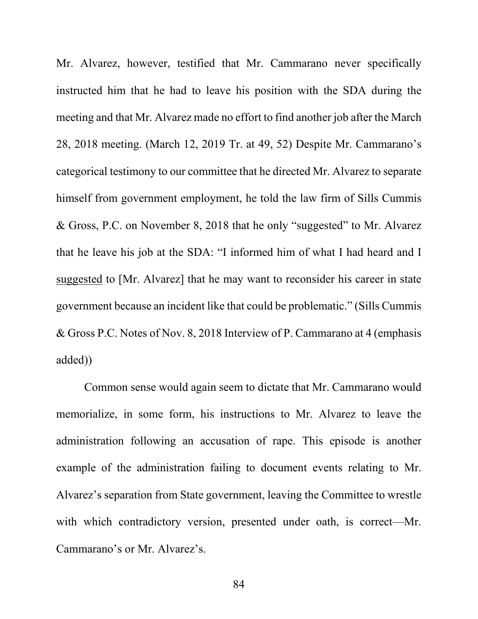Mr. Alvarez, however, testified that Mr. Cammarano never specifically instructed him that he had to leave his position with the SDA during the meeting and that Mr. Alvarez made no effort to find another job after the March 28, 2018 meeting. (March 12, 2019 Tr. at 49, 52) Despite Mr. Cammarano's categorical testimony to our committee that he directed Mr. Alvarez to separate himself from government employment, he told the law firm of Sills Cummis & Gross, P.C. on November 8, 2018 that he only "suggested" to Mr. Alvarez that he leave his job at the SDA: "I informed him of what I had heard and I suggested to [Mr. Alvarez] that he may want to reconsider his career in state government because an incident like that could be problematic." (Sills Cummis & Gross P.C. Notes of Nov. 8, 2018 Interview of P. Cammarano at 4 (emphasis added))

Common sense would again seem to dictate that Mr. Cammarano would memorialize, in some form, his instructions to Mr. Alvarez to leave the administration following an accusation of rape. This episode is another example of the administration failing to document events relating to Mr. Alvarez's separation from State government, leaving the Committee to wrestle with which contradictory version, presented under oath, is correct—Mr. Cammarano's or Mr. Alvarez's.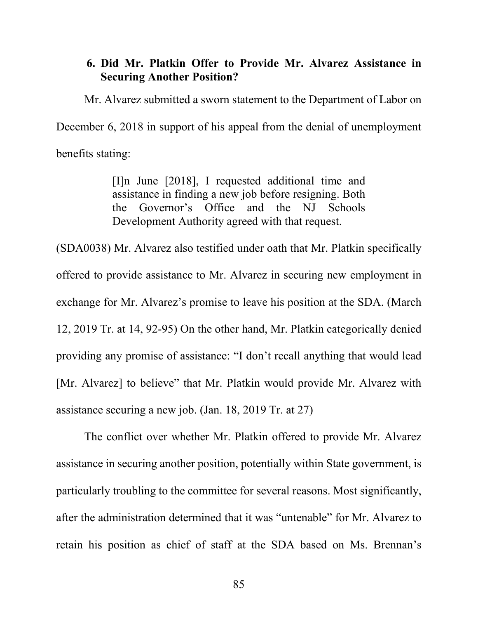## **6. Did Mr. Platkin Offer to Provide Mr. Alvarez Assistance in Securing Another Position?**

Mr. Alvarez submitted a sworn statement to the Department of Labor on December 6, 2018 in support of his appeal from the denial of unemployment benefits stating:

> [I]n June [2018], I requested additional time and assistance in finding a new job before resigning. Both the Governor's Office and the NJ Schools Development Authority agreed with that request.

(SDA0038) Mr. Alvarez also testified under oath that Mr. Platkin specifically offered to provide assistance to Mr. Alvarez in securing new employment in exchange for Mr. Alvarez's promise to leave his position at the SDA. (March 12, 2019 Tr. at 14, 92-95) On the other hand, Mr. Platkin categorically denied providing any promise of assistance: "I don't recall anything that would lead [Mr. Alvarez] to believe" that Mr. Platkin would provide Mr. Alvarez with assistance securing a new job. (Jan. 18, 2019 Tr. at 27)

The conflict over whether Mr. Platkin offered to provide Mr. Alvarez assistance in securing another position, potentially within State government, is particularly troubling to the committee for several reasons. Most significantly, after the administration determined that it was "untenable" for Mr. Alvarez to retain his position as chief of staff at the SDA based on Ms. Brennan's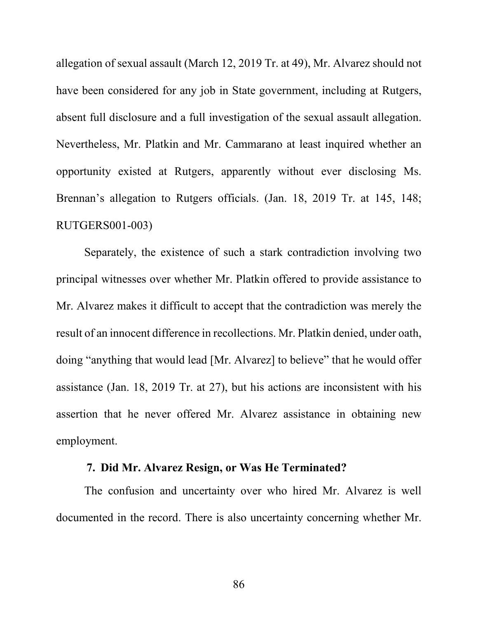allegation of sexual assault (March 12, 2019 Tr. at 49), Mr. Alvarez should not have been considered for any job in State government, including at Rutgers, absent full disclosure and a full investigation of the sexual assault allegation. Nevertheless, Mr. Platkin and Mr. Cammarano at least inquired whether an opportunity existed at Rutgers, apparently without ever disclosing Ms. Brennan's allegation to Rutgers officials. (Jan. 18, 2019 Tr. at 145, 148; RUTGERS001-003)

Separately, the existence of such a stark contradiction involving two principal witnesses over whether Mr. Platkin offered to provide assistance to Mr. Alvarez makes it difficult to accept that the contradiction was merely the result of an innocent difference in recollections. Mr. Platkin denied, under oath, doing "anything that would lead [Mr. Alvarez] to believe" that he would offer assistance (Jan. 18, 2019 Tr. at 27), but his actions are inconsistent with his assertion that he never offered Mr. Alvarez assistance in obtaining new employment.

## **7. Did Mr. Alvarez Resign, or Was He Terminated?**

The confusion and uncertainty over who hired Mr. Alvarez is well documented in the record. There is also uncertainty concerning whether Mr.

86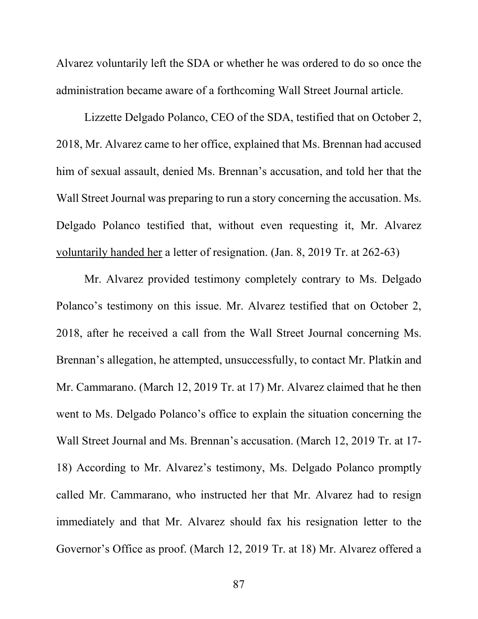Alvarez voluntarily left the SDA or whether he was ordered to do so once the administration became aware of a forthcoming Wall Street Journal article.

Lizzette Delgado Polanco, CEO of the SDA, testified that on October 2, 2018, Mr. Alvarez came to her office, explained that Ms. Brennan had accused him of sexual assault, denied Ms. Brennan's accusation, and told her that the Wall Street Journal was preparing to run a story concerning the accusation. Ms. Delgado Polanco testified that, without even requesting it, Mr. Alvarez voluntarily handed her a letter of resignation. (Jan. 8, 2019 Tr. at 262-63)

Mr. Alvarez provided testimony completely contrary to Ms. Delgado Polanco's testimony on this issue. Mr. Alvarez testified that on October 2, 2018, after he received a call from the Wall Street Journal concerning Ms. Brennan's allegation, he attempted, unsuccessfully, to contact Mr. Platkin and Mr. Cammarano. (March 12, 2019 Tr. at 17) Mr. Alvarez claimed that he then went to Ms. Delgado Polanco's office to explain the situation concerning the Wall Street Journal and Ms. Brennan's accusation. (March 12, 2019 Tr. at 17- 18) According to Mr. Alvarez's testimony, Ms. Delgado Polanco promptly called Mr. Cammarano, who instructed her that Mr. Alvarez had to resign immediately and that Mr. Alvarez should fax his resignation letter to the Governor's Office as proof. (March 12, 2019 Tr. at 18) Mr. Alvarez offered a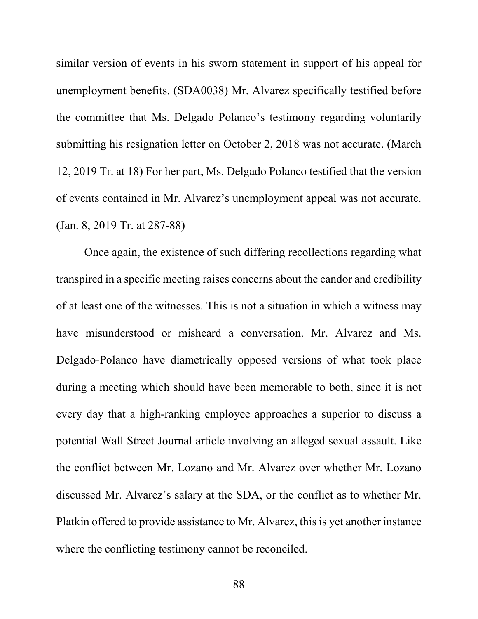similar version of events in his sworn statement in support of his appeal for unemployment benefits. (SDA0038) Mr. Alvarez specifically testified before the committee that Ms. Delgado Polanco's testimony regarding voluntarily submitting his resignation letter on October 2, 2018 was not accurate. (March 12, 2019 Tr. at 18) For her part, Ms. Delgado Polanco testified that the version of events contained in Mr. Alvarez's unemployment appeal was not accurate. (Jan. 8, 2019 Tr. at 287-88)

Once again, the existence of such differing recollections regarding what transpired in a specific meeting raises concerns about the candor and credibility of at least one of the witnesses. This is not a situation in which a witness may have misunderstood or misheard a conversation. Mr. Alvarez and Ms. Delgado-Polanco have diametrically opposed versions of what took place during a meeting which should have been memorable to both, since it is not every day that a high-ranking employee approaches a superior to discuss a potential Wall Street Journal article involving an alleged sexual assault. Like the conflict between Mr. Lozano and Mr. Alvarez over whether Mr. Lozano discussed Mr. Alvarez's salary at the SDA, or the conflict as to whether Mr. Platkin offered to provide assistance to Mr. Alvarez, this is yet another instance where the conflicting testimony cannot be reconciled.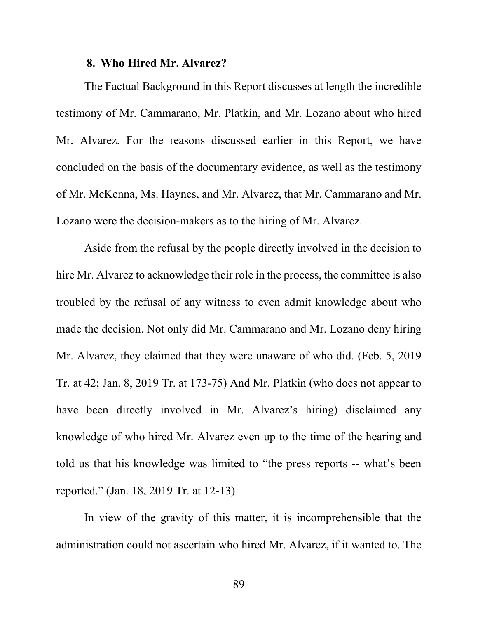#### **8. Who Hired Mr. Alvarez?**

The Factual Background in this Report discusses at length the incredible testimony of Mr. Cammarano, Mr. Platkin, and Mr. Lozano about who hired Mr. Alvarez. For the reasons discussed earlier in this Report, we have concluded on the basis of the documentary evidence, as well as the testimony of Mr. McKenna, Ms. Haynes, and Mr. Alvarez, that Mr. Cammarano and Mr. Lozano were the decision-makers as to the hiring of Mr. Alvarez.

Aside from the refusal by the people directly involved in the decision to hire Mr. Alvarez to acknowledge their role in the process, the committee is also troubled by the refusal of any witness to even admit knowledge about who made the decision. Not only did Mr. Cammarano and Mr. Lozano deny hiring Mr. Alvarez, they claimed that they were unaware of who did. (Feb. 5, 2019 Tr. at 42; Jan. 8, 2019 Tr. at 173-75) And Mr. Platkin (who does not appear to have been directly involved in Mr. Alvarez's hiring) disclaimed any knowledge of who hired Mr. Alvarez even up to the time of the hearing and told us that his knowledge was limited to "the press reports -- what's been reported." (Jan. 18, 2019 Tr. at 12-13)

In view of the gravity of this matter, it is incomprehensible that the administration could not ascertain who hired Mr. Alvarez, if it wanted to. The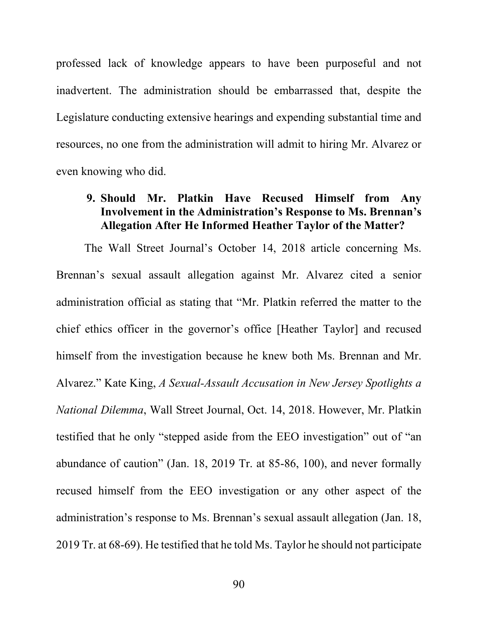professed lack of knowledge appears to have been purposeful and not inadvertent. The administration should be embarrassed that, despite the Legislature conducting extensive hearings and expending substantial time and resources, no one from the administration will admit to hiring Mr. Alvarez or even knowing who did.

# **9. Should Mr. Platkin Have Recused Himself from Any Involvement in the Administration's Response to Ms. Brennan's Allegation After He Informed Heather Taylor of the Matter?**

The Wall Street Journal's October 14, 2018 article concerning Ms. Brennan's sexual assault allegation against Mr. Alvarez cited a senior administration official as stating that "Mr. Platkin referred the matter to the chief ethics officer in the governor's office [Heather Taylor] and recused himself from the investigation because he knew both Ms. Brennan and Mr. Alvarez." Kate King, *A Sexual-Assault Accusation in New Jersey Spotlights a National Dilemma*, Wall Street Journal, Oct. 14, 2018. However, Mr. Platkin testified that he only "stepped aside from the EEO investigation" out of "an abundance of caution" (Jan. 18, 2019 Tr. at 85-86, 100), and never formally recused himself from the EEO investigation or any other aspect of the administration's response to Ms. Brennan's sexual assault allegation (Jan. 18, 2019 Tr. at 68-69). He testified that he told Ms. Taylor he should not participate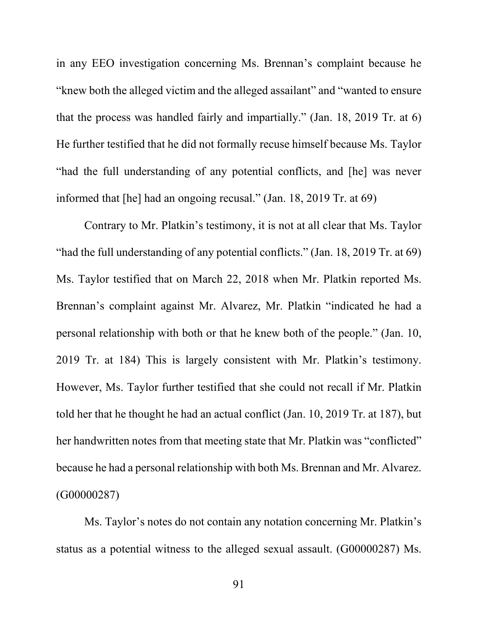in any EEO investigation concerning Ms. Brennan's complaint because he "knew both the alleged victim and the alleged assailant" and "wanted to ensure that the process was handled fairly and impartially." (Jan. 18, 2019 Tr. at 6) He further testified that he did not formally recuse himself because Ms. Taylor "had the full understanding of any potential conflicts, and [he] was never informed that [he] had an ongoing recusal." (Jan. 18, 2019 Tr. at 69)

Contrary to Mr. Platkin's testimony, it is not at all clear that Ms. Taylor "had the full understanding of any potential conflicts." (Jan. 18, 2019 Tr. at 69) Ms. Taylor testified that on March 22, 2018 when Mr. Platkin reported Ms. Brennan's complaint against Mr. Alvarez, Mr. Platkin "indicated he had a personal relationship with both or that he knew both of the people." (Jan. 10, 2019 Tr. at 184) This is largely consistent with Mr. Platkin's testimony. However, Ms. Taylor further testified that she could not recall if Mr. Platkin told her that he thought he had an actual conflict (Jan. 10, 2019 Tr. at 187), but her handwritten notes from that meeting state that Mr. Platkin was "conflicted" because he had a personal relationship with both Ms. Brennan and Mr. Alvarez. (G00000287)

Ms. Taylor's notes do not contain any notation concerning Mr. Platkin's status as a potential witness to the alleged sexual assault. (G00000287) Ms.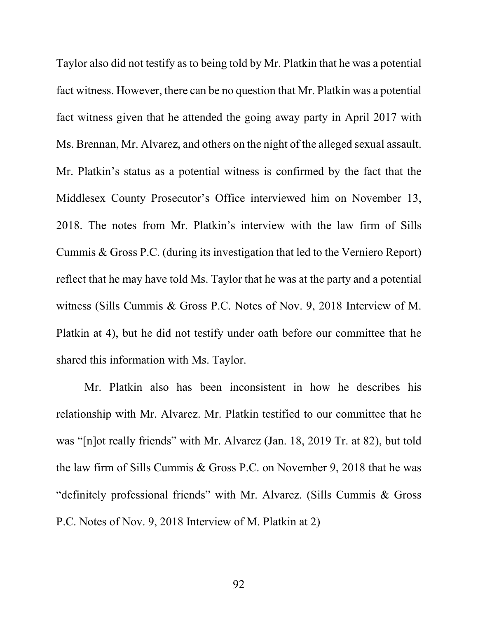Taylor also did not testify as to being told by Mr. Platkin that he was a potential fact witness. However, there can be no question that Mr. Platkin was a potential fact witness given that he attended the going away party in April 2017 with Ms. Brennan, Mr. Alvarez, and others on the night of the alleged sexual assault. Mr. Platkin's status as a potential witness is confirmed by the fact that the Middlesex County Prosecutor's Office interviewed him on November 13, 2018. The notes from Mr. Platkin's interview with the law firm of Sills Cummis & Gross P.C. (during its investigation that led to the Verniero Report) reflect that he may have told Ms. Taylor that he was at the party and a potential witness (Sills Cummis & Gross P.C. Notes of Nov. 9, 2018 Interview of M. Platkin at 4), but he did not testify under oath before our committee that he shared this information with Ms. Taylor.

Mr. Platkin also has been inconsistent in how he describes his relationship with Mr. Alvarez. Mr. Platkin testified to our committee that he was "[n]ot really friends" with Mr. Alvarez (Jan. 18, 2019 Tr. at 82), but told the law firm of Sills Cummis & Gross P.C. on November 9, 2018 that he was "definitely professional friends" with Mr. Alvarez. (Sills Cummis & Gross P.C. Notes of Nov. 9, 2018 Interview of M. Platkin at 2)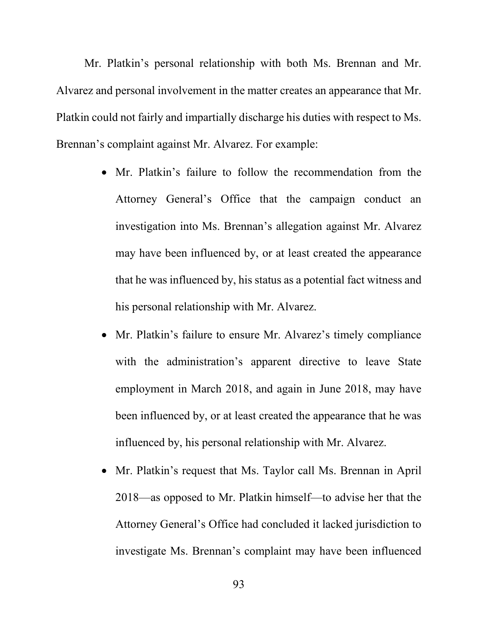Mr. Platkin's personal relationship with both Ms. Brennan and Mr. Alvarez and personal involvement in the matter creates an appearance that Mr. Platkin could not fairly and impartially discharge his duties with respect to Ms. Brennan's complaint against Mr. Alvarez. For example:

- Mr. Platkin's failure to follow the recommendation from the Attorney General's Office that the campaign conduct an investigation into Ms. Brennan's allegation against Mr. Alvarez may have been influenced by, or at least created the appearance that he was influenced by, his status as a potential fact witness and his personal relationship with Mr. Alvarez.
- Mr. Platkin's failure to ensure Mr. Alvarez's timely compliance with the administration's apparent directive to leave State employment in March 2018, and again in June 2018, may have been influenced by, or at least created the appearance that he was influenced by, his personal relationship with Mr. Alvarez.
- Mr. Platkin's request that Ms. Taylor call Ms. Brennan in April 2018—as opposed to Mr. Platkin himself—to advise her that the Attorney General's Office had concluded it lacked jurisdiction to investigate Ms. Brennan's complaint may have been influenced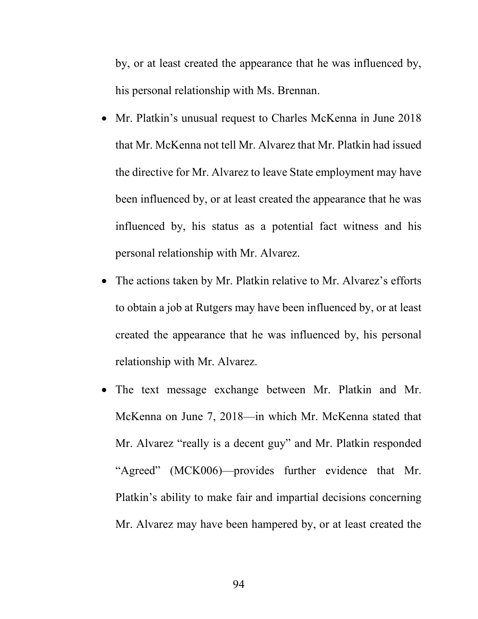by, or at least created the appearance that he was influenced by, his personal relationship with Ms. Brennan.

- Mr. Platkin's unusual request to Charles McKenna in June 2018 that Mr. McKenna not tell Mr. Alvarez that Mr. Platkin had issued the directive for Mr. Alvarez to leave State employment may have been influenced by, or at least created the appearance that he was influenced by, his status as a potential fact witness and his personal relationship with Mr. Alvarez.
- The actions taken by Mr. Platkin relative to Mr. Alvarez's efforts to obtain a job at Rutgers may have been influenced by, or at least created the appearance that he was influenced by, his personal relationship with Mr. Alvarez.
- The text message exchange between Mr. Platkin and Mr. McKenna on June 7, 2018—in which Mr. McKenna stated that Mr. Alvarez "really is a decent guy" and Mr. Platkin responded "Agreed" (MCK006)—provides further evidence that Mr. Platkin's ability to make fair and impartial decisions concerning Mr. Alvarez may have been hampered by, or at least created the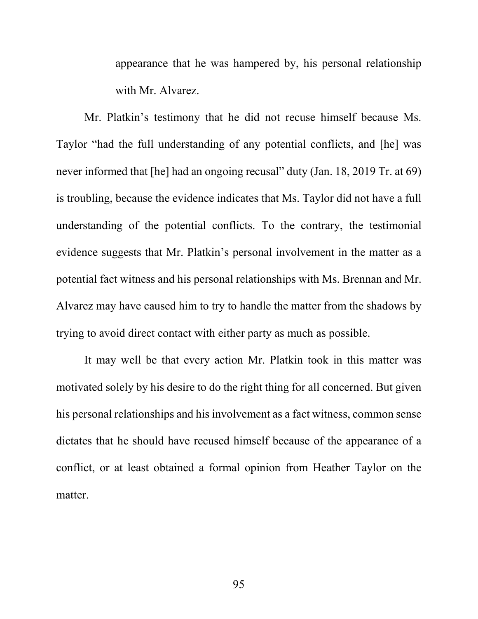appearance that he was hampered by, his personal relationship with Mr. Alvarez.

Mr. Platkin's testimony that he did not recuse himself because Ms. Taylor "had the full understanding of any potential conflicts, and [he] was never informed that [he] had an ongoing recusal" duty (Jan. 18, 2019 Tr. at 69) is troubling, because the evidence indicates that Ms. Taylor did not have a full understanding of the potential conflicts. To the contrary, the testimonial evidence suggests that Mr. Platkin's personal involvement in the matter as a potential fact witness and his personal relationships with Ms. Brennan and Mr. Alvarez may have caused him to try to handle the matter from the shadows by trying to avoid direct contact with either party as much as possible.

It may well be that every action Mr. Platkin took in this matter was motivated solely by his desire to do the right thing for all concerned. But given his personal relationships and his involvement as a fact witness, common sense dictates that he should have recused himself because of the appearance of a conflict, or at least obtained a formal opinion from Heather Taylor on the matter.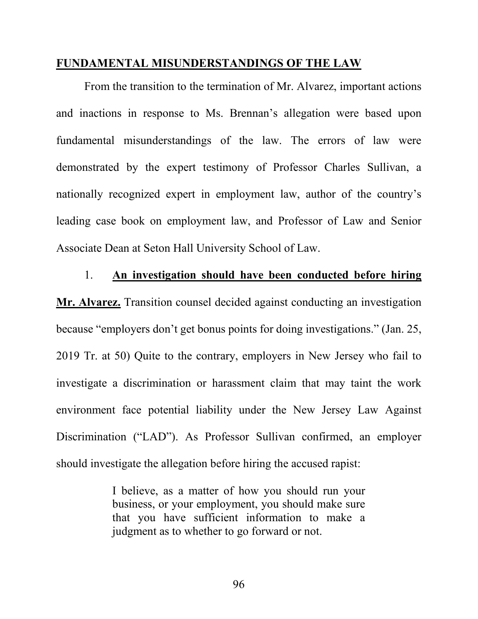#### **FUNDAMENTAL MISUNDERSTANDINGS OF THE LAW**

From the transition to the termination of Mr. Alvarez, important actions and inactions in response to Ms. Brennan's allegation were based upon fundamental misunderstandings of the law. The errors of law were demonstrated by the expert testimony of Professor Charles Sullivan, a nationally recognized expert in employment law, author of the country's leading case book on employment law, and Professor of Law and Senior Associate Dean at Seton Hall University School of Law.

#### 1. **An investigation should have been conducted before hiring**

**Mr. Alvarez.** Transition counsel decided against conducting an investigation because "employers don't get bonus points for doing investigations." (Jan. 25, 2019 Tr. at 50) Quite to the contrary, employers in New Jersey who fail to investigate a discrimination or harassment claim that may taint the work environment face potential liability under the New Jersey Law Against Discrimination ("LAD"). As Professor Sullivan confirmed, an employer should investigate the allegation before hiring the accused rapist:

> I believe, as a matter of how you should run your business, or your employment, you should make sure that you have sufficient information to make a judgment as to whether to go forward or not.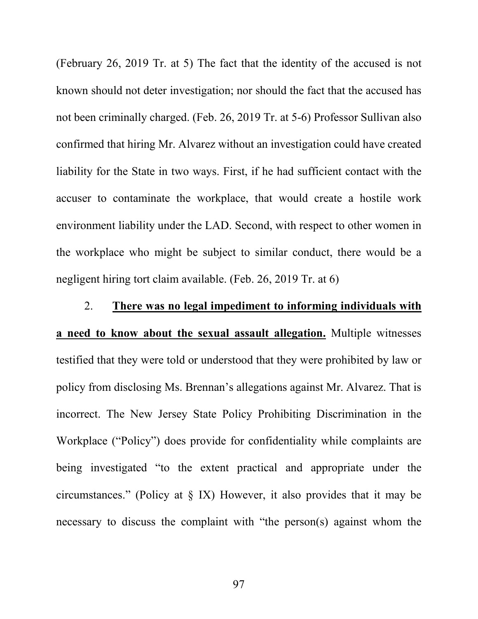(February 26, 2019 Tr. at 5) The fact that the identity of the accused is not known should not deter investigation; nor should the fact that the accused has not been criminally charged. (Feb. 26, 2019 Tr. at 5-6) Professor Sullivan also confirmed that hiring Mr. Alvarez without an investigation could have created liability for the State in two ways. First, if he had sufficient contact with the accuser to contaminate the workplace, that would create a hostile work environment liability under the LAD. Second, with respect to other women in the workplace who might be subject to similar conduct, there would be a negligent hiring tort claim available. (Feb. 26, 2019 Tr. at 6)

# 2. **There was no legal impediment to informing individuals with a need to know about the sexual assault allegation.** Multiple witnesses testified that they were told or understood that they were prohibited by law or policy from disclosing Ms. Brennan's allegations against Mr. Alvarez. That is incorrect. The New Jersey State Policy Prohibiting Discrimination in the Workplace ("Policy") does provide for confidentiality while complaints are being investigated "to the extent practical and appropriate under the circumstances." (Policy at § IX) However, it also provides that it may be necessary to discuss the complaint with "the person(s) against whom the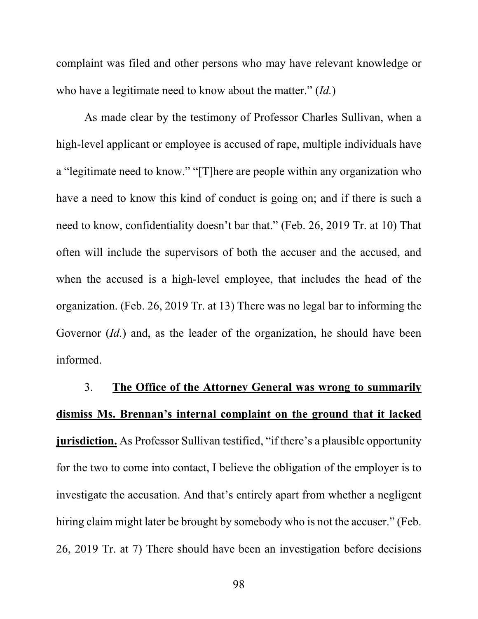complaint was filed and other persons who may have relevant knowledge or who have a legitimate need to know about the matter." (*Id.*)

As made clear by the testimony of Professor Charles Sullivan, when a high-level applicant or employee is accused of rape, multiple individuals have a "legitimate need to know." "[T]here are people within any organization who have a need to know this kind of conduct is going on; and if there is such a need to know, confidentiality doesn't bar that." (Feb. 26, 2019 Tr. at 10) That often will include the supervisors of both the accuser and the accused, and when the accused is a high-level employee, that includes the head of the organization. (Feb. 26, 2019 Tr. at 13) There was no legal bar to informing the Governor (*Id.*) and, as the leader of the organization, he should have been informed.

# 3. **The Office of the Attorney General was wrong to summarily dismiss Ms. Brennan's internal complaint on the ground that it lacked jurisdiction.** As Professor Sullivan testified, "if there's a plausible opportunity for the two to come into contact, I believe the obligation of the employer is to investigate the accusation. And that's entirely apart from whether a negligent hiring claim might later be brought by somebody who is not the accuser." (Feb. 26, 2019 Tr. at 7) There should have been an investigation before decisions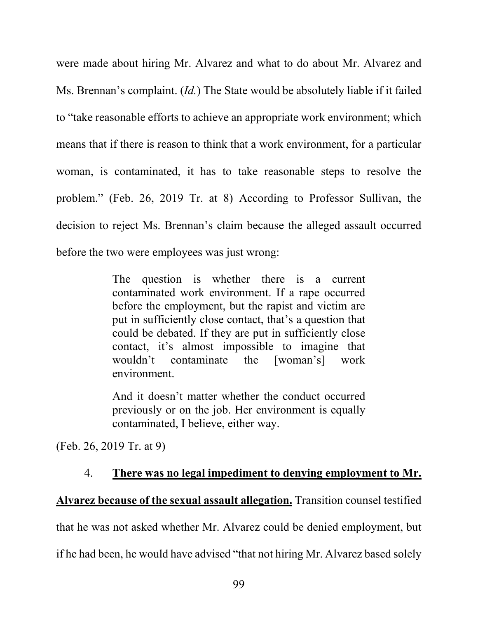were made about hiring Mr. Alvarez and what to do about Mr. Alvarez and Ms. Brennan's complaint. (*Id.*) The State would be absolutely liable if it failed to "take reasonable efforts to achieve an appropriate work environment; which means that if there is reason to think that a work environment, for a particular woman, is contaminated, it has to take reasonable steps to resolve the problem." (Feb. 26, 2019 Tr. at 8) According to Professor Sullivan, the decision to reject Ms. Brennan's claim because the alleged assault occurred before the two were employees was just wrong:

> The question is whether there is a current contaminated work environment. If a rape occurred before the employment, but the rapist and victim are put in sufficiently close contact, that's a question that could be debated. If they are put in sufficiently close contact, it's almost impossible to imagine that wouldn't contaminate the [woman's] work environment.

> And it doesn't matter whether the conduct occurred previously or on the job. Her environment is equally contaminated, I believe, either way.

(Feb. 26, 2019 Tr. at 9)

# 4. **There was no legal impediment to denying employment to Mr.**

# **Alvarez because of the sexual assault allegation.** Transition counsel testified

that he was not asked whether Mr. Alvarez could be denied employment, but

if he had been, he would have advised "that not hiring Mr. Alvarez based solely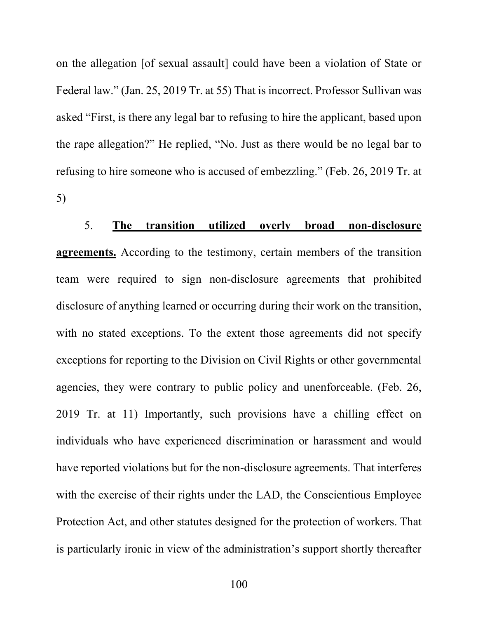on the allegation [of sexual assault] could have been a violation of State or Federal law." (Jan. 25, 2019 Tr. at 55) That is incorrect. Professor Sullivan was asked "First, is there any legal bar to refusing to hire the applicant, based upon the rape allegation?" He replied, "No. Just as there would be no legal bar to refusing to hire someone who is accused of embezzling." (Feb. 26, 2019 Tr. at 5)

5. **The transition utilized overly broad non-disclosure agreements.** According to the testimony, certain members of the transition team were required to sign non-disclosure agreements that prohibited disclosure of anything learned or occurring during their work on the transition, with no stated exceptions. To the extent those agreements did not specify exceptions for reporting to the Division on Civil Rights or other governmental agencies, they were contrary to public policy and unenforceable. (Feb. 26, 2019 Tr. at 11) Importantly, such provisions have a chilling effect on individuals who have experienced discrimination or harassment and would have reported violations but for the non-disclosure agreements. That interferes with the exercise of their rights under the LAD, the Conscientious Employee Protection Act, and other statutes designed for the protection of workers. That is particularly ironic in view of the administration's support shortly thereafter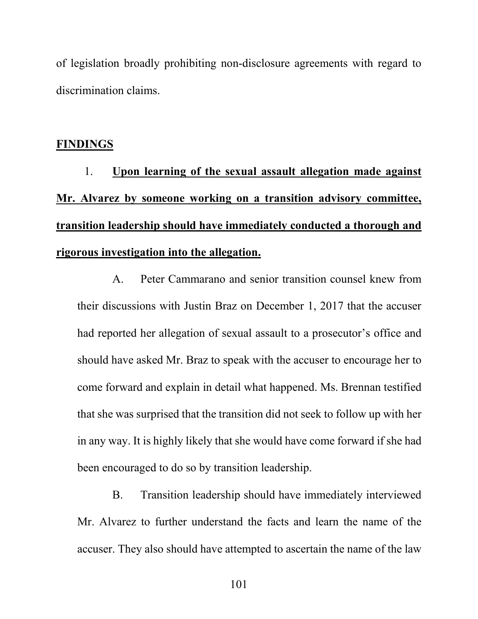of legislation broadly prohibiting non-disclosure agreements with regard to discrimination claims.

## **FINDINGS**

1. **Upon learning of the sexual assault allegation made against Mr. Alvarez by someone working on a transition advisory committee, transition leadership should have immediately conducted a thorough and rigorous investigation into the allegation.**

A. Peter Cammarano and senior transition counsel knew from their discussions with Justin Braz on December 1, 2017 that the accuser had reported her allegation of sexual assault to a prosecutor's office and should have asked Mr. Braz to speak with the accuser to encourage her to come forward and explain in detail what happened. Ms. Brennan testified that she was surprised that the transition did not seek to follow up with her in any way. It is highly likely that she would have come forward if she had been encouraged to do so by transition leadership.

B. Transition leadership should have immediately interviewed Mr. Alvarez to further understand the facts and learn the name of the accuser. They also should have attempted to ascertain the name of the law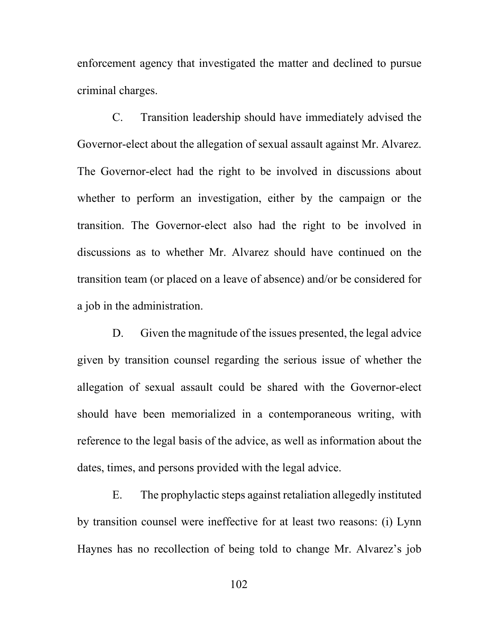enforcement agency that investigated the matter and declined to pursue criminal charges.

C. Transition leadership should have immediately advised the Governor-elect about the allegation of sexual assault against Mr. Alvarez. The Governor-elect had the right to be involved in discussions about whether to perform an investigation, either by the campaign or the transition. The Governor-elect also had the right to be involved in discussions as to whether Mr. Alvarez should have continued on the transition team (or placed on a leave of absence) and/or be considered for a job in the administration.

D. Given the magnitude of the issues presented, the legal advice given by transition counsel regarding the serious issue of whether the allegation of sexual assault could be shared with the Governor-elect should have been memorialized in a contemporaneous writing, with reference to the legal basis of the advice, as well as information about the dates, times, and persons provided with the legal advice.

E. The prophylactic steps against retaliation allegedly instituted by transition counsel were ineffective for at least two reasons: (i) Lynn Haynes has no recollection of being told to change Mr. Alvarez's job

102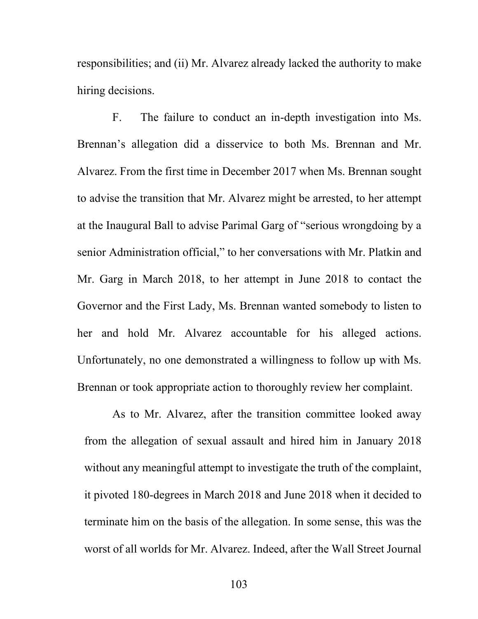responsibilities; and (ii) Mr. Alvarez already lacked the authority to make hiring decisions.

F. The failure to conduct an in-depth investigation into Ms. Brennan's allegation did a disservice to both Ms. Brennan and Mr. Alvarez. From the first time in December 2017 when Ms. Brennan sought to advise the transition that Mr. Alvarez might be arrested, to her attempt at the Inaugural Ball to advise Parimal Garg of "serious wrongdoing by a senior Administration official," to her conversations with Mr. Platkin and Mr. Garg in March 2018, to her attempt in June 2018 to contact the Governor and the First Lady, Ms. Brennan wanted somebody to listen to her and hold Mr. Alvarez accountable for his alleged actions. Unfortunately, no one demonstrated a willingness to follow up with Ms. Brennan or took appropriate action to thoroughly review her complaint.

As to Mr. Alvarez, after the transition committee looked away from the allegation of sexual assault and hired him in January 2018 without any meaningful attempt to investigate the truth of the complaint, it pivoted 180-degrees in March 2018 and June 2018 when it decided to terminate him on the basis of the allegation. In some sense, this was the worst of all worlds for Mr. Alvarez. Indeed, after the Wall Street Journal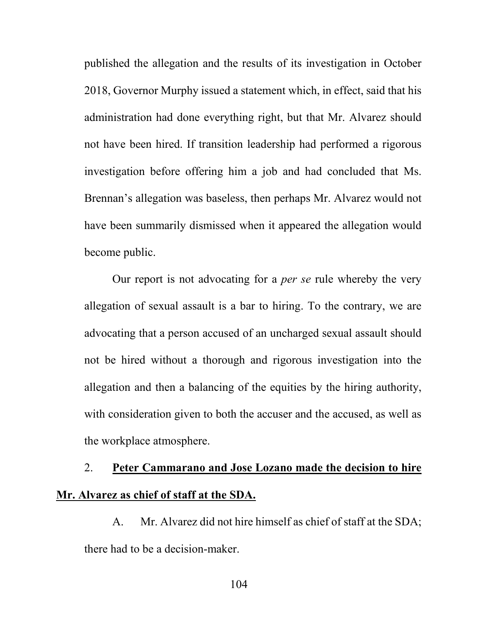published the allegation and the results of its investigation in October 2018, Governor Murphy issued a statement which, in effect, said that his administration had done everything right, but that Mr. Alvarez should not have been hired. If transition leadership had performed a rigorous investigation before offering him a job and had concluded that Ms. Brennan's allegation was baseless, then perhaps Mr. Alvarez would not have been summarily dismissed when it appeared the allegation would become public.

Our report is not advocating for a *per se* rule whereby the very allegation of sexual assault is a bar to hiring. To the contrary, we are advocating that a person accused of an uncharged sexual assault should not be hired without a thorough and rigorous investigation into the allegation and then a balancing of the equities by the hiring authority, with consideration given to both the accuser and the accused, as well as the workplace atmosphere.

# 2. **Peter Cammarano and Jose Lozano made the decision to hire Mr. Alvarez as chief of staff at the SDA.**

A. Mr. Alvarez did not hire himself as chief of staff at the SDA; there had to be a decision-maker.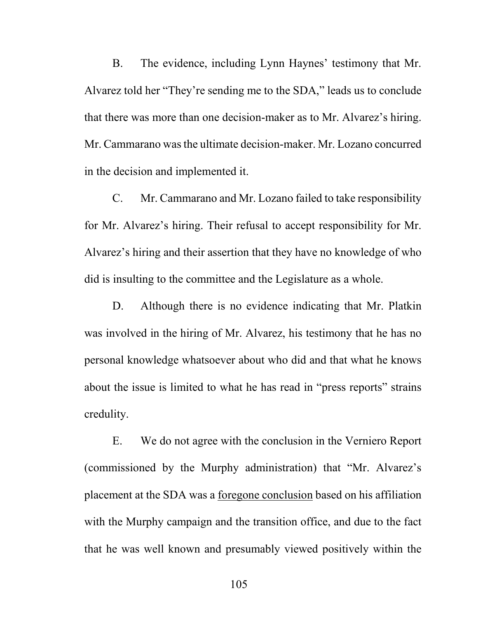B. The evidence, including Lynn Haynes' testimony that Mr. Alvarez told her "They're sending me to the SDA," leads us to conclude that there was more than one decision-maker as to Mr. Alvarez's hiring. Mr. Cammarano was the ultimate decision-maker. Mr. Lozano concurred in the decision and implemented it.

C. Mr. Cammarano and Mr. Lozano failed to take responsibility for Mr. Alvarez's hiring. Their refusal to accept responsibility for Mr. Alvarez's hiring and their assertion that they have no knowledge of who did is insulting to the committee and the Legislature as a whole.

D. Although there is no evidence indicating that Mr. Platkin was involved in the hiring of Mr. Alvarez, his testimony that he has no personal knowledge whatsoever about who did and that what he knows about the issue is limited to what he has read in "press reports" strains credulity.

E. We do not agree with the conclusion in the Verniero Report (commissioned by the Murphy administration) that "Mr. Alvarez's placement at the SDA was a foregone conclusion based on his affiliation with the Murphy campaign and the transition office, and due to the fact that he was well known and presumably viewed positively within the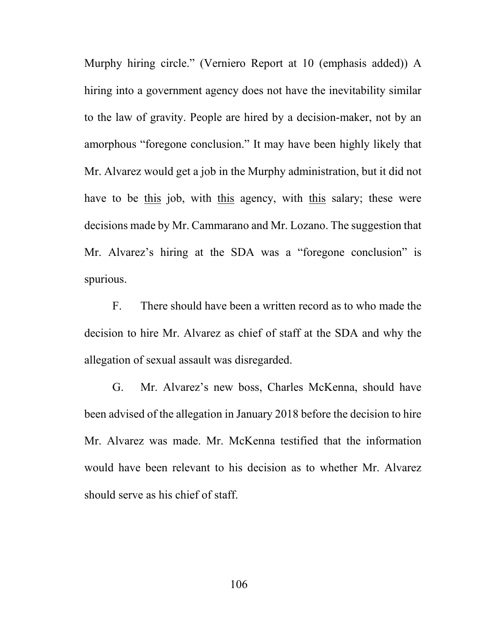Murphy hiring circle." (Verniero Report at 10 (emphasis added)) A hiring into a government agency does not have the inevitability similar to the law of gravity. People are hired by a decision-maker, not by an amorphous "foregone conclusion." It may have been highly likely that Mr. Alvarez would get a job in the Murphy administration, but it did not have to be this job, with this agency, with this salary; these were decisions made by Mr. Cammarano and Mr. Lozano. The suggestion that Mr. Alvarez's hiring at the SDA was a "foregone conclusion" is spurious.

F. There should have been a written record as to who made the decision to hire Mr. Alvarez as chief of staff at the SDA and why the allegation of sexual assault was disregarded.

G. Mr. Alvarez's new boss, Charles McKenna, should have been advised of the allegation in January 2018 before the decision to hire Mr. Alvarez was made. Mr. McKenna testified that the information would have been relevant to his decision as to whether Mr. Alvarez should serve as his chief of staff.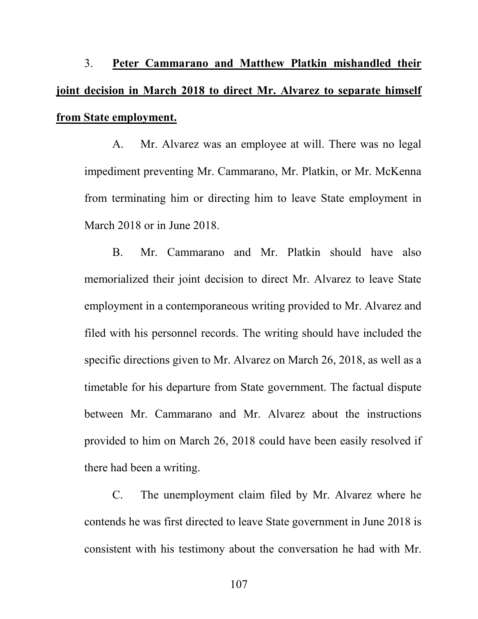3. **Peter Cammarano and Matthew Platkin mishandled their joint decision in March 2018 to direct Mr. Alvarez to separate himself from State employment.**

A. Mr. Alvarez was an employee at will. There was no legal impediment preventing Mr. Cammarano, Mr. Platkin, or Mr. McKenna from terminating him or directing him to leave State employment in March 2018 or in June 2018.

B. Mr. Cammarano and Mr. Platkin should have also memorialized their joint decision to direct Mr. Alvarez to leave State employment in a contemporaneous writing provided to Mr. Alvarez and filed with his personnel records. The writing should have included the specific directions given to Mr. Alvarez on March 26, 2018, as well as a timetable for his departure from State government. The factual dispute between Mr. Cammarano and Mr. Alvarez about the instructions provided to him on March 26, 2018 could have been easily resolved if there had been a writing.

C. The unemployment claim filed by Mr. Alvarez where he contends he was first directed to leave State government in June 2018 is consistent with his testimony about the conversation he had with Mr.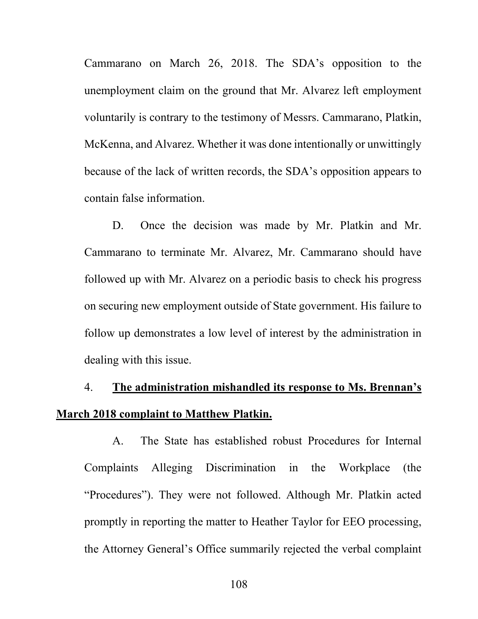Cammarano on March 26, 2018. The SDA's opposition to the unemployment claim on the ground that Mr. Alvarez left employment voluntarily is contrary to the testimony of Messrs. Cammarano, Platkin, McKenna, and Alvarez. Whether it was done intentionally or unwittingly because of the lack of written records, the SDA's opposition appears to contain false information.

D. Once the decision was made by Mr. Platkin and Mr. Cammarano to terminate Mr. Alvarez, Mr. Cammarano should have followed up with Mr. Alvarez on a periodic basis to check his progress on securing new employment outside of State government. His failure to follow up demonstrates a low level of interest by the administration in dealing with this issue.

## 4. **The administration mishandled its response to Ms. Brennan's March 2018 complaint to Matthew Platkin.**

A. The State has established robust Procedures for Internal Complaints Alleging Discrimination in the Workplace (the "Procedures"). They were not followed. Although Mr. Platkin acted promptly in reporting the matter to Heather Taylor for EEO processing, the Attorney General's Office summarily rejected the verbal complaint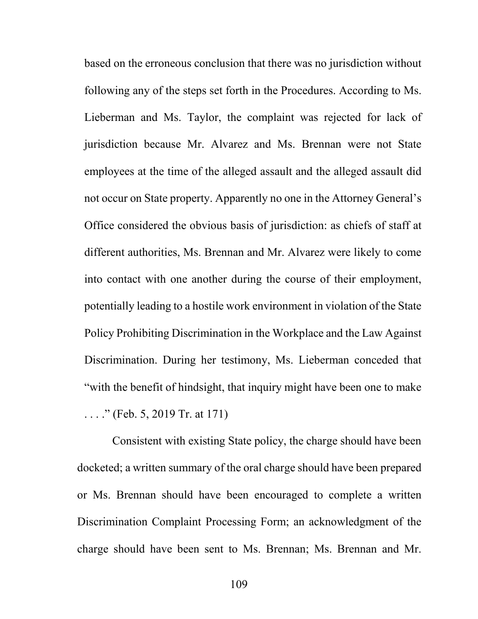based on the erroneous conclusion that there was no jurisdiction without following any of the steps set forth in the Procedures. According to Ms. Lieberman and Ms. Taylor, the complaint was rejected for lack of jurisdiction because Mr. Alvarez and Ms. Brennan were not State employees at the time of the alleged assault and the alleged assault did not occur on State property. Apparently no one in the Attorney General's Office considered the obvious basis of jurisdiction: as chiefs of staff at different authorities, Ms. Brennan and Mr. Alvarez were likely to come into contact with one another during the course of their employment, potentially leading to a hostile work environment in violation of the State Policy Prohibiting Discrimination in the Workplace and the Law Against Discrimination. During her testimony, Ms. Lieberman conceded that "with the benefit of hindsight, that inquiry might have been one to make ...." (Feb. 5, 2019 Tr. at 171)

Consistent with existing State policy, the charge should have been docketed; a written summary of the oral charge should have been prepared or Ms. Brennan should have been encouraged to complete a written Discrimination Complaint Processing Form; an acknowledgment of the charge should have been sent to Ms. Brennan; Ms. Brennan and Mr.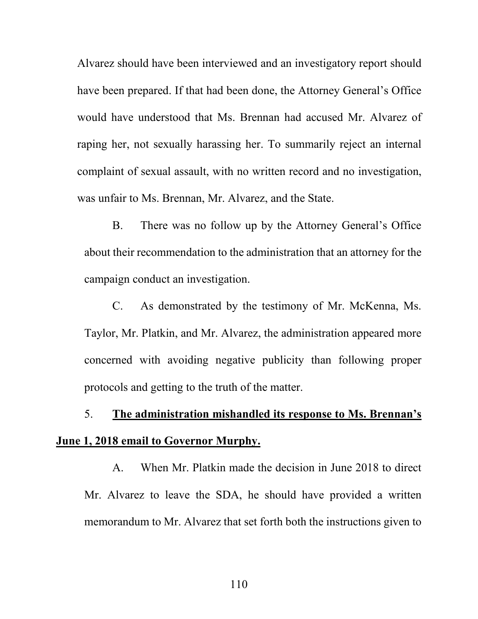Alvarez should have been interviewed and an investigatory report should have been prepared. If that had been done, the Attorney General's Office would have understood that Ms. Brennan had accused Mr. Alvarez of raping her, not sexually harassing her. To summarily reject an internal complaint of sexual assault, with no written record and no investigation, was unfair to Ms. Brennan, Mr. Alvarez, and the State.

B. There was no follow up by the Attorney General's Office about their recommendation to the administration that an attorney for the campaign conduct an investigation.

C. As demonstrated by the testimony of Mr. McKenna, Ms. Taylor, Mr. Platkin, and Mr. Alvarez, the administration appeared more concerned with avoiding negative publicity than following proper protocols and getting to the truth of the matter.

## 5. **The administration mishandled its response to Ms. Brennan's June 1, 2018 email to Governor Murphy.**

A. When Mr. Platkin made the decision in June 2018 to direct Mr. Alvarez to leave the SDA, he should have provided a written memorandum to Mr. Alvarez that set forth both the instructions given to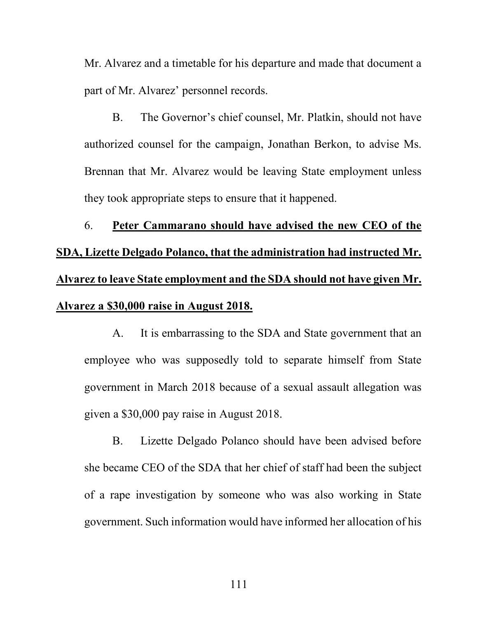Mr. Alvarez and a timetable for his departure and made that document a part of Mr. Alvarez' personnel records.

B. The Governor's chief counsel, Mr. Platkin, should not have authorized counsel for the campaign, Jonathan Berkon, to advise Ms. Brennan that Mr. Alvarez would be leaving State employment unless they took appropriate steps to ensure that it happened.

6. **Peter Cammarano should have advised the new CEO of the SDA, Lizette Delgado Polanco, that the administration had instructed Mr. Alvarez to leave State employment and the SDA should not have given Mr. Alvarez a \$30,000 raise in August 2018.**

A. It is embarrassing to the SDA and State government that an employee who was supposedly told to separate himself from State government in March 2018 because of a sexual assault allegation was given a \$30,000 pay raise in August 2018.

B. Lizette Delgado Polanco should have been advised before she became CEO of the SDA that her chief of staff had been the subject of a rape investigation by someone who was also working in State government. Such information would have informed her allocation of his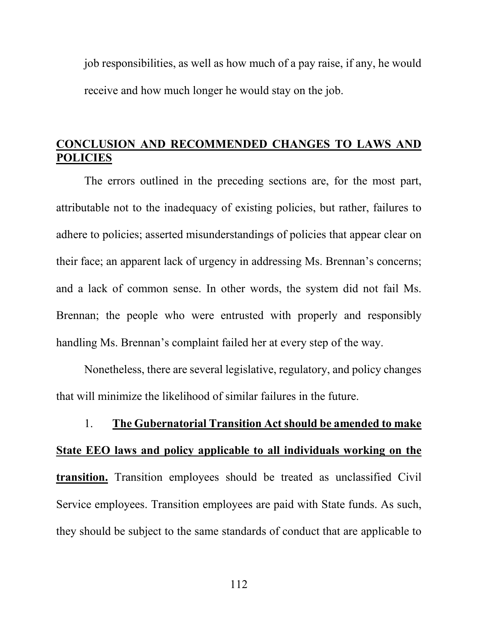job responsibilities, as well as how much of a pay raise, if any, he would receive and how much longer he would stay on the job.

## **CONCLUSION AND RECOMMENDED CHANGES TO LAWS AND POLICIES**

The errors outlined in the preceding sections are, for the most part, attributable not to the inadequacy of existing policies, but rather, failures to adhere to policies; asserted misunderstandings of policies that appear clear on their face; an apparent lack of urgency in addressing Ms. Brennan's concerns; and a lack of common sense. In other words, the system did not fail Ms. Brennan; the people who were entrusted with properly and responsibly handling Ms. Brennan's complaint failed her at every step of the way.

Nonetheless, there are several legislative, regulatory, and policy changes that will minimize the likelihood of similar failures in the future.

1. **The Gubernatorial Transition Act should be amended to make State EEO laws and policy applicable to all individuals working on the transition.** Transition employees should be treated as unclassified Civil Service employees. Transition employees are paid with State funds. As such, they should be subject to the same standards of conduct that are applicable to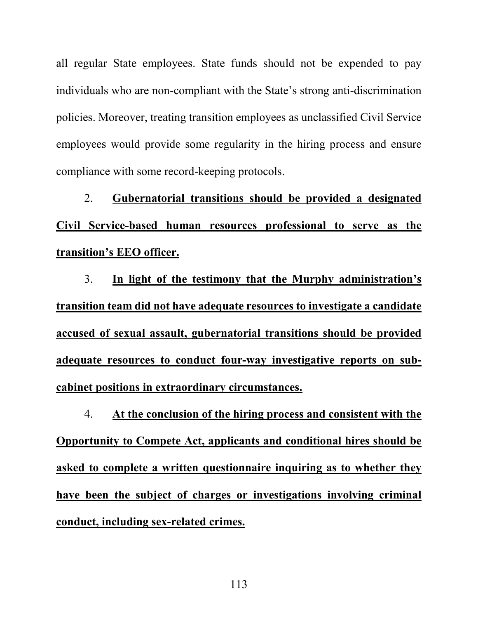all regular State employees. State funds should not be expended to pay individuals who are non-compliant with the State's strong anti-discrimination policies. Moreover, treating transition employees as unclassified Civil Service employees would provide some regularity in the hiring process and ensure compliance with some record-keeping protocols.

2. **Gubernatorial transitions should be provided a designated Civil Service-based human resources professional to serve as the transition's EEO officer.**

3. **In light of the testimony that the Murphy administration's transition team did not have adequate resources to investigate a candidate accused of sexual assault, gubernatorial transitions should be provided adequate resources to conduct four-way investigative reports on subcabinet positions in extraordinary circumstances.**

4. **At the conclusion of the hiring process and consistent with the Opportunity to Compete Act, applicants and conditional hires should be asked to complete a written questionnaire inquiring as to whether they have been the subject of charges or investigations involving criminal conduct, including sex-related crimes.**

113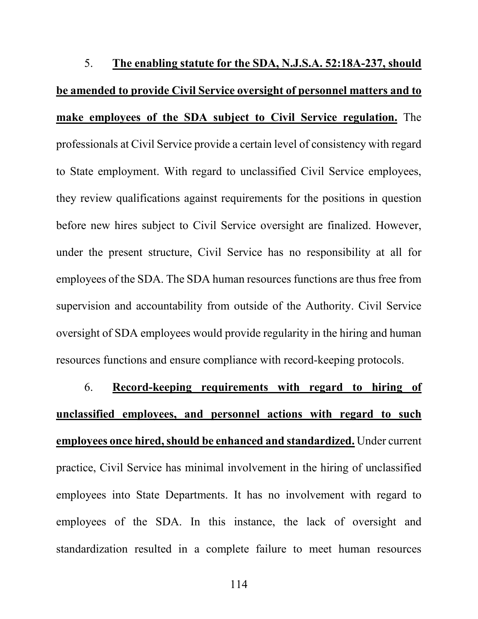5. **The enabling statute for the SDA, N.J.S.A. 52:18A-237, should be amended to provide Civil Service oversight of personnel matters and to make employees of the SDA subject to Civil Service regulation.** The professionals at Civil Service provide a certain level of consistency with regard to State employment. With regard to unclassified Civil Service employees, they review qualifications against requirements for the positions in question before new hires subject to Civil Service oversight are finalized. However, under the present structure, Civil Service has no responsibility at all for employees of the SDA. The SDA human resources functions are thus free from supervision and accountability from outside of the Authority. Civil Service oversight of SDA employees would provide regularity in the hiring and human resources functions and ensure compliance with record-keeping protocols.

6. **Record-keeping requirements with regard to hiring of unclassified employees, and personnel actions with regard to such employees once hired, should be enhanced and standardized.** Under current practice, Civil Service has minimal involvement in the hiring of unclassified employees into State Departments. It has no involvement with regard to employees of the SDA. In this instance, the lack of oversight and standardization resulted in a complete failure to meet human resources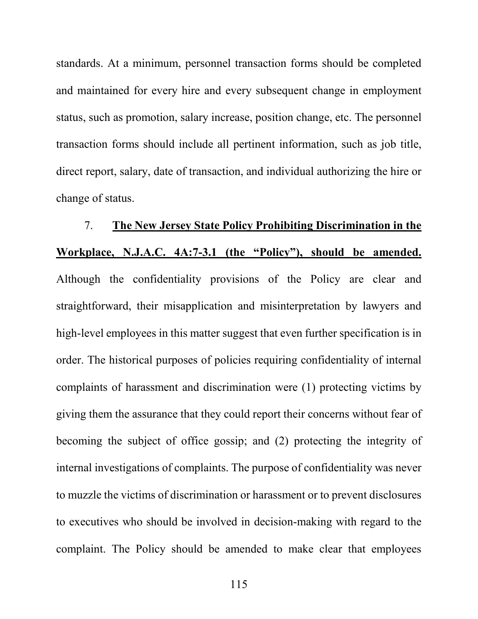standards. At a minimum, personnel transaction forms should be completed and maintained for every hire and every subsequent change in employment status, such as promotion, salary increase, position change, etc. The personnel transaction forms should include all pertinent information, such as job title, direct report, salary, date of transaction, and individual authorizing the hire or change of status.

7. **The New Jersey State Policy Prohibiting Discrimination in the Workplace, N.J.A.C. 4A:7-3.1 (the "Policy"), should be amended.** Although the confidentiality provisions of the Policy are clear and straightforward, their misapplication and misinterpretation by lawyers and high-level employees in this matter suggest that even further specification is in order. The historical purposes of policies requiring confidentiality of internal complaints of harassment and discrimination were (1) protecting victims by giving them the assurance that they could report their concerns without fear of becoming the subject of office gossip; and (2) protecting the integrity of internal investigations of complaints. The purpose of confidentiality was never to muzzle the victims of discrimination or harassment or to prevent disclosures to executives who should be involved in decision-making with regard to the complaint. The Policy should be amended to make clear that employees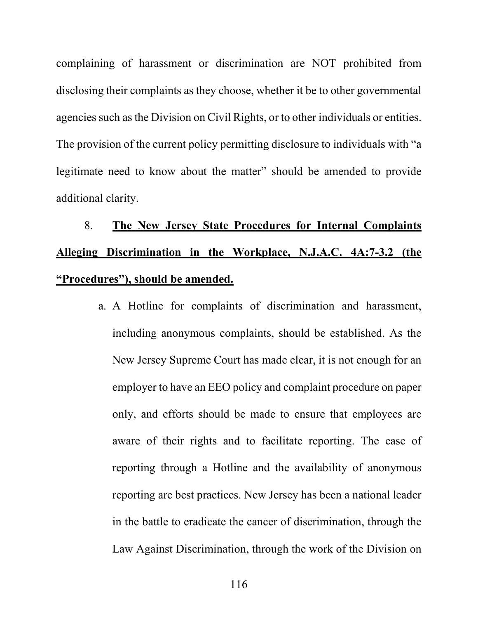complaining of harassment or discrimination are NOT prohibited from disclosing their complaints as they choose, whether it be to other governmental agencies such as the Division on Civil Rights, or to other individuals or entities. The provision of the current policy permitting disclosure to individuals with "a legitimate need to know about the matter" should be amended to provide additional clarity.

## 8. **The New Jersey State Procedures for Internal Complaints Alleging Discrimination in the Workplace, N.J.A.C. 4A:7-3.2 (the "Procedures"), should be amended.**

a. A Hotline for complaints of discrimination and harassment, including anonymous complaints, should be established. As the New Jersey Supreme Court has made clear, it is not enough for an employer to have an EEO policy and complaint procedure on paper only, and efforts should be made to ensure that employees are aware of their rights and to facilitate reporting. The ease of reporting through a Hotline and the availability of anonymous reporting are best practices. New Jersey has been a national leader in the battle to eradicate the cancer of discrimination, through the Law Against Discrimination, through the work of the Division on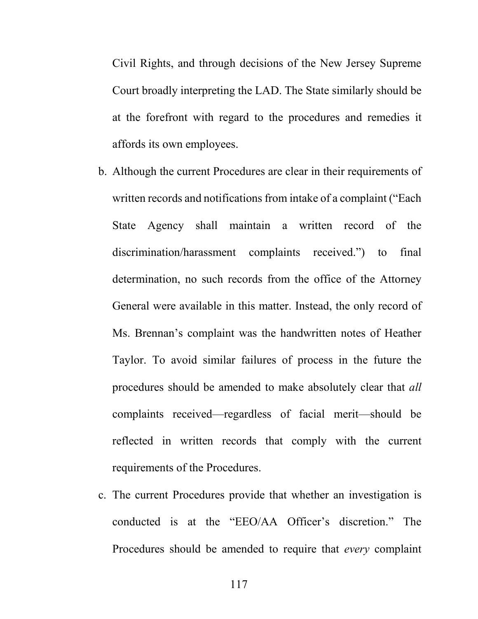Civil Rights, and through decisions of the New Jersey Supreme Court broadly interpreting the LAD. The State similarly should be at the forefront with regard to the procedures and remedies it affords its own employees.

- b. Although the current Procedures are clear in their requirements of written records and notifications from intake of a complaint ("Each State Agency shall maintain a written record of the discrimination/harassment complaints received.") to final determination, no such records from the office of the Attorney General were available in this matter. Instead, the only record of Ms. Brennan's complaint was the handwritten notes of Heather Taylor. To avoid similar failures of process in the future the procedures should be amended to make absolutely clear that *all* complaints received—regardless of facial merit—should be reflected in written records that comply with the current requirements of the Procedures.
- c. The current Procedures provide that whether an investigation is conducted is at the "EEO/AA Officer's discretion." The Procedures should be amended to require that *every* complaint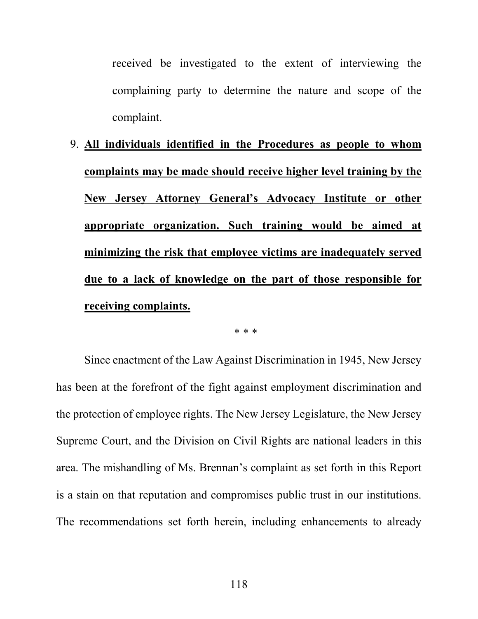received be investigated to the extent of interviewing the complaining party to determine the nature and scope of the complaint.

9. **All individuals identified in the Procedures as people to whom complaints may be made should receive higher level training by the New Jersey Attorney General's Advocacy Institute or other appropriate organization. Such training would be aimed at minimizing the risk that employee victims are inadequately served due to a lack of knowledge on the part of those responsible for receiving complaints.**

\* \* \*

Since enactment of the Law Against Discrimination in 1945, New Jersey has been at the forefront of the fight against employment discrimination and the protection of employee rights. The New Jersey Legislature, the New Jersey Supreme Court, and the Division on Civil Rights are national leaders in this area. The mishandling of Ms. Brennan's complaint as set forth in this Report is a stain on that reputation and compromises public trust in our institutions. The recommendations set forth herein, including enhancements to already